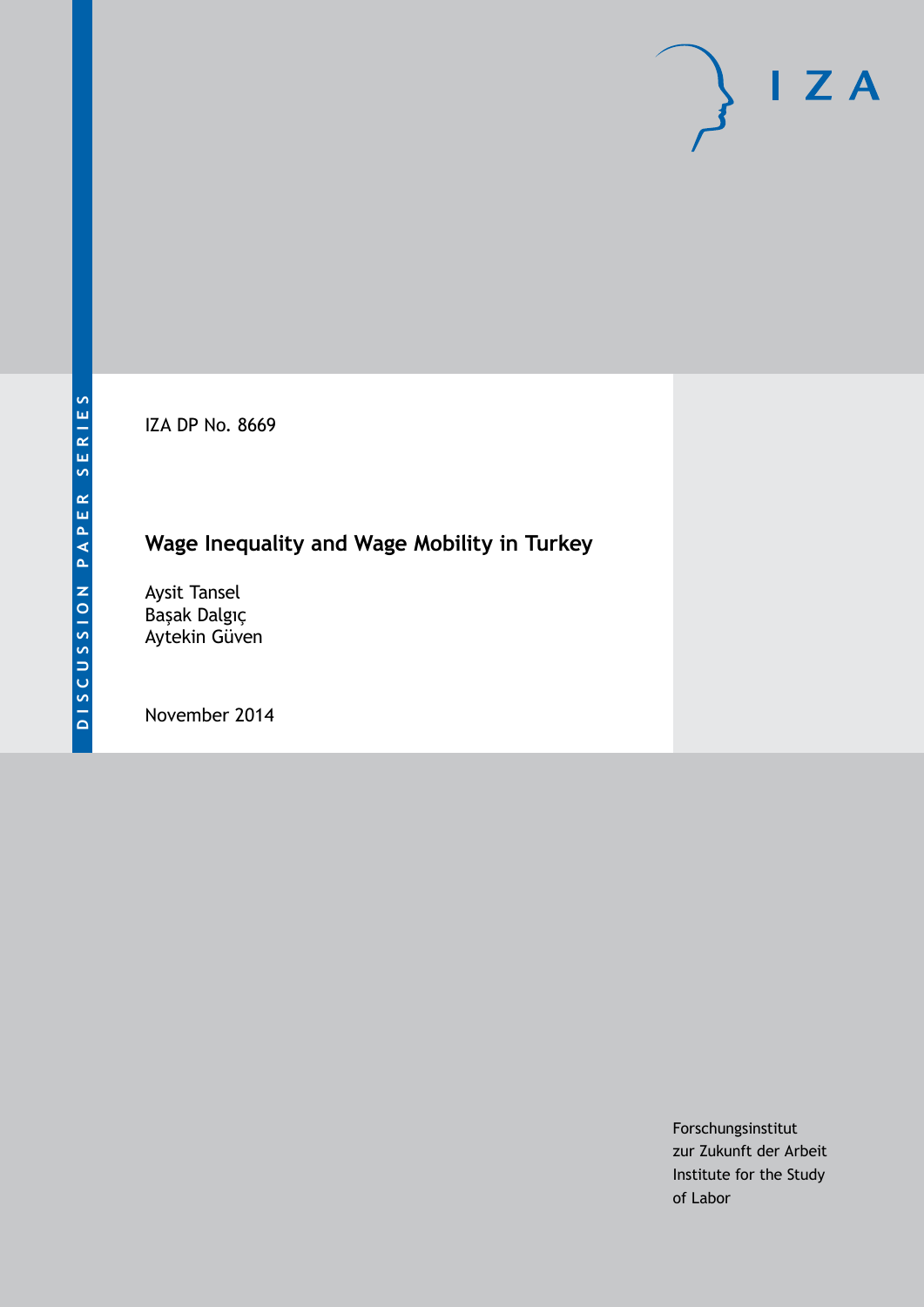IZA DP No. 8669

# **Wage Inequality and Wage Mobility in Turkey**

Aysit Tansel Başak Dalgıç Aytekin Güven

November 2014

Forschungsinstitut zur Zukunft der Arbeit Institute for the Study of Labor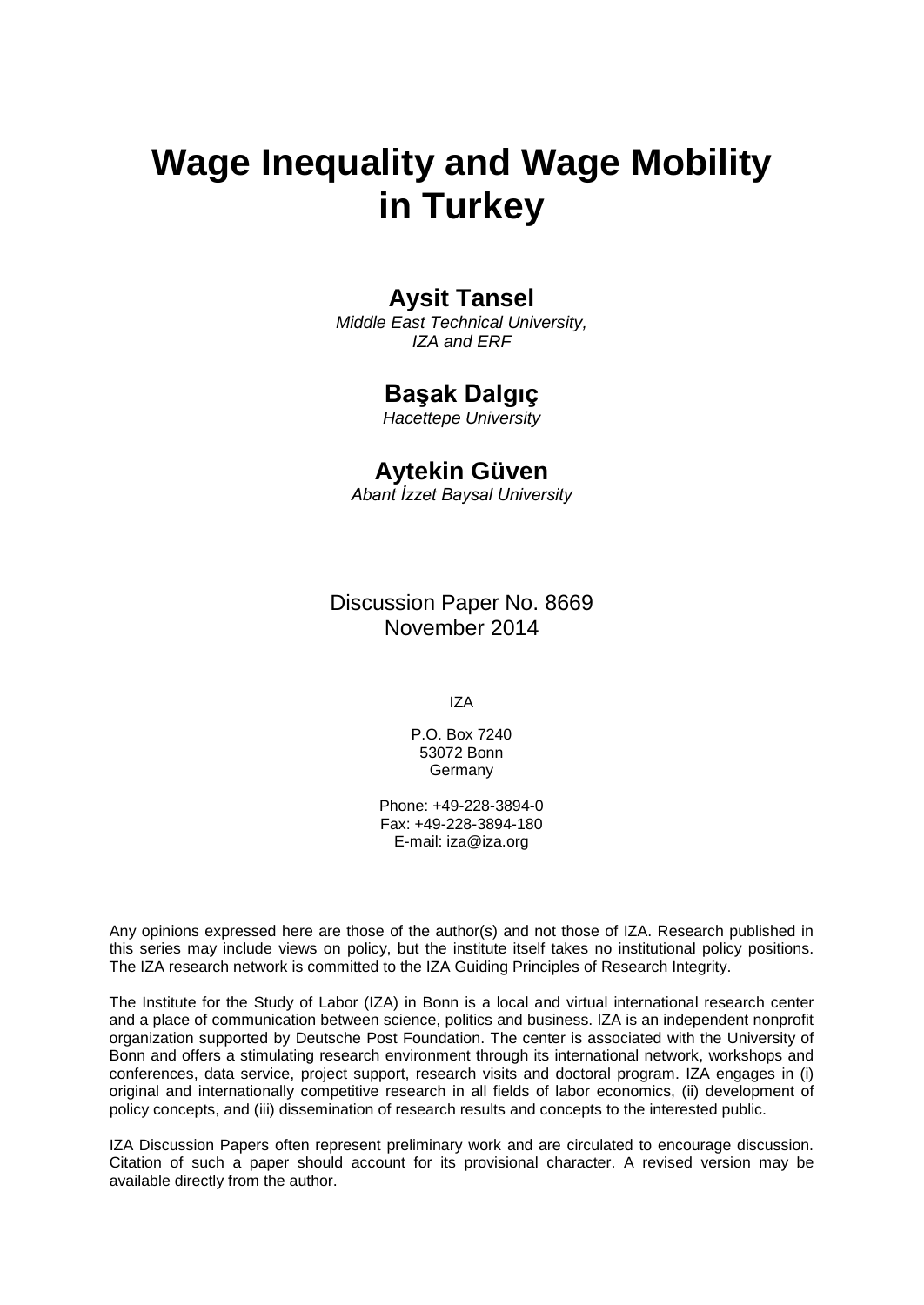# **Wage Inequality and Wage Mobility in Turkey**

### **Aysit Tansel**

*Middle East Technical University, IZA and ERF*

### **Başak Dalgıç**

*Hacettepe University*

### **Aytekin Güven**

*Abant İzzet Baysal University*

Discussion Paper No. 8669 November 2014

IZA

P.O. Box 7240 53072 Bonn **Germany** 

Phone: +49-228-3894-0 Fax: +49-228-3894-180 E-mail: [iza@iza.org](mailto:iza@iza.org)

Any opinions expressed here are those of the author(s) and not those of IZA. Research published in this series may include views on policy, but the institute itself takes no institutional policy positions. The IZA research network is committed to the IZA Guiding Principles of Research Integrity.

The Institute for the Study of Labor (IZA) in Bonn is a local and virtual international research center and a place of communication between science, politics and business. IZA is an independent nonprofit organization supported by Deutsche Post Foundation. The center is associated with the University of Bonn and offers a stimulating research environment through its international network, workshops and conferences, data service, project support, research visits and doctoral program. IZA engages in (i) original and internationally competitive research in all fields of labor economics, (ii) development of policy concepts, and (iii) dissemination of research results and concepts to the interested public.

<span id="page-1-0"></span>IZA Discussion Papers often represent preliminary work and are circulated to encourage discussion. Citation of such a paper should account for its provisional character. A revised version may be available directly from the author.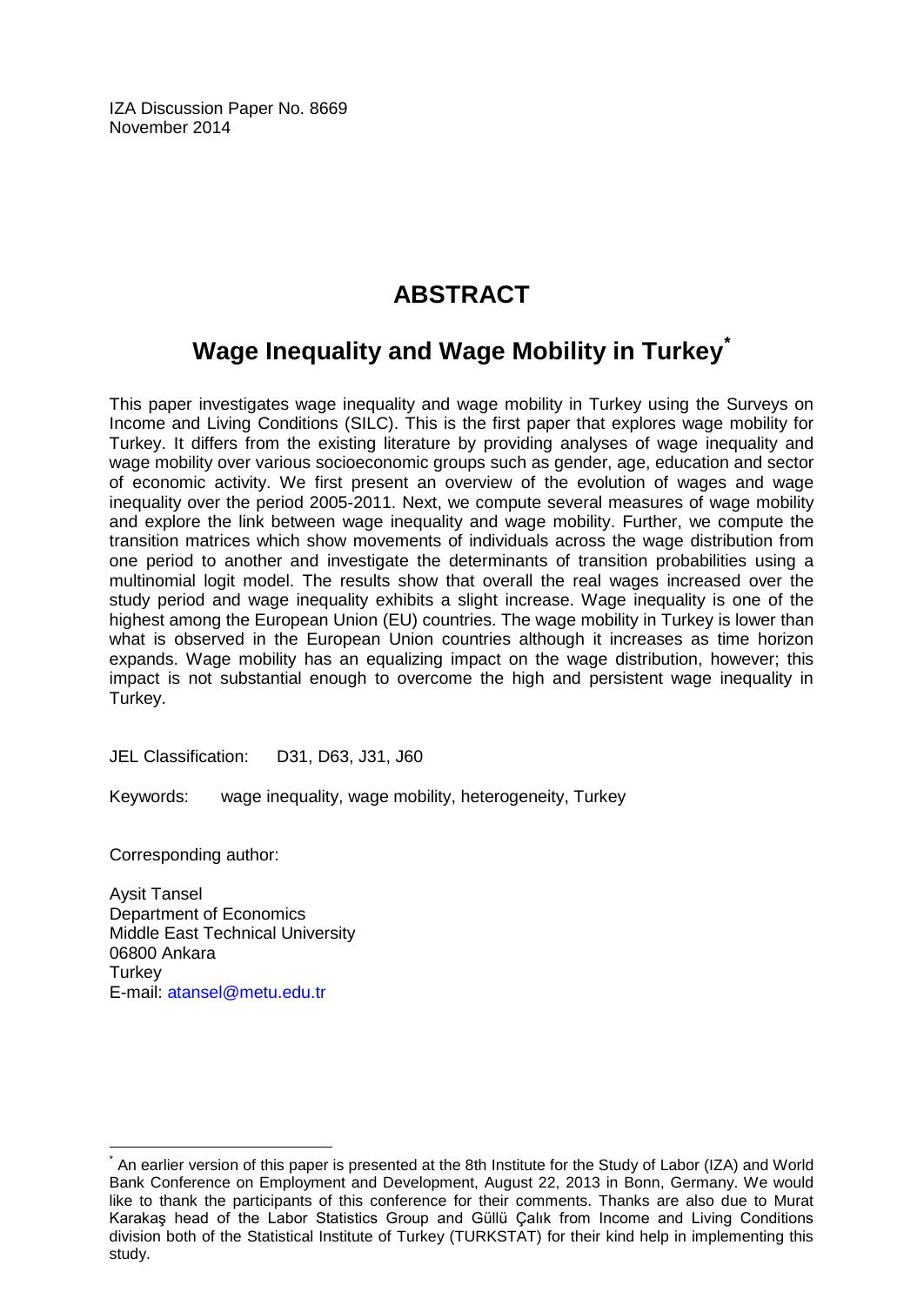IZA Discussion Paper No. 8669 November 2014

# **ABSTRACT**

## **Wage Inequality and Wage Mobility in Turkey[\\*](#page-1-0)**

This paper investigates wage inequality and wage mobility in Turkey using the Surveys on Income and Living Conditions (SILC). This is the first paper that explores wage mobility for Turkey. It differs from the existing literature by providing analyses of wage inequality and wage mobility over various socioeconomic groups such as gender, age, education and sector of economic activity. We first present an overview of the evolution of wages and wage inequality over the period 2005-2011. Next, we compute several measures of wage mobility and explore the link between wage inequality and wage mobility. Further, we compute the transition matrices which show movements of individuals across the wage distribution from one period to another and investigate the determinants of transition probabilities using a multinomial logit model. The results show that overall the real wages increased over the study period and wage inequality exhibits a slight increase. Wage inequality is one of the highest among the European Union (EU) countries. The wage mobility in Turkey is lower than what is observed in the European Union countries although it increases as time horizon expands. Wage mobility has an equalizing impact on the wage distribution, however; this impact is not substantial enough to overcome the high and persistent wage inequality in Turkey.

JEL Classification: D31, D63, J31, J60

Keywords: wage inequality, wage mobility, heterogeneity, Turkey

Corresponding author:

Aysit Tansel Department of Economics Middle East Technical University 06800 Ankara **Turkey** E-mail: [atansel@metu.edu.tr](mailto:atansel@metu.edu.tr)

\* An earlier version of this paper is presented at the 8th Institute for the Study of Labor (IZA) and World Bank Conference on Employment and Development, August 22, 2013 in Bonn, Germany. We would like to thank the participants of this conference for their comments. Thanks are also due to Murat Karakaş head of the Labor Statistics Group and Güllü Çalık from Income and Living Conditions division both of the Statistical Institute of Turkey (TURKSTAT) for their kind help in implementing this study.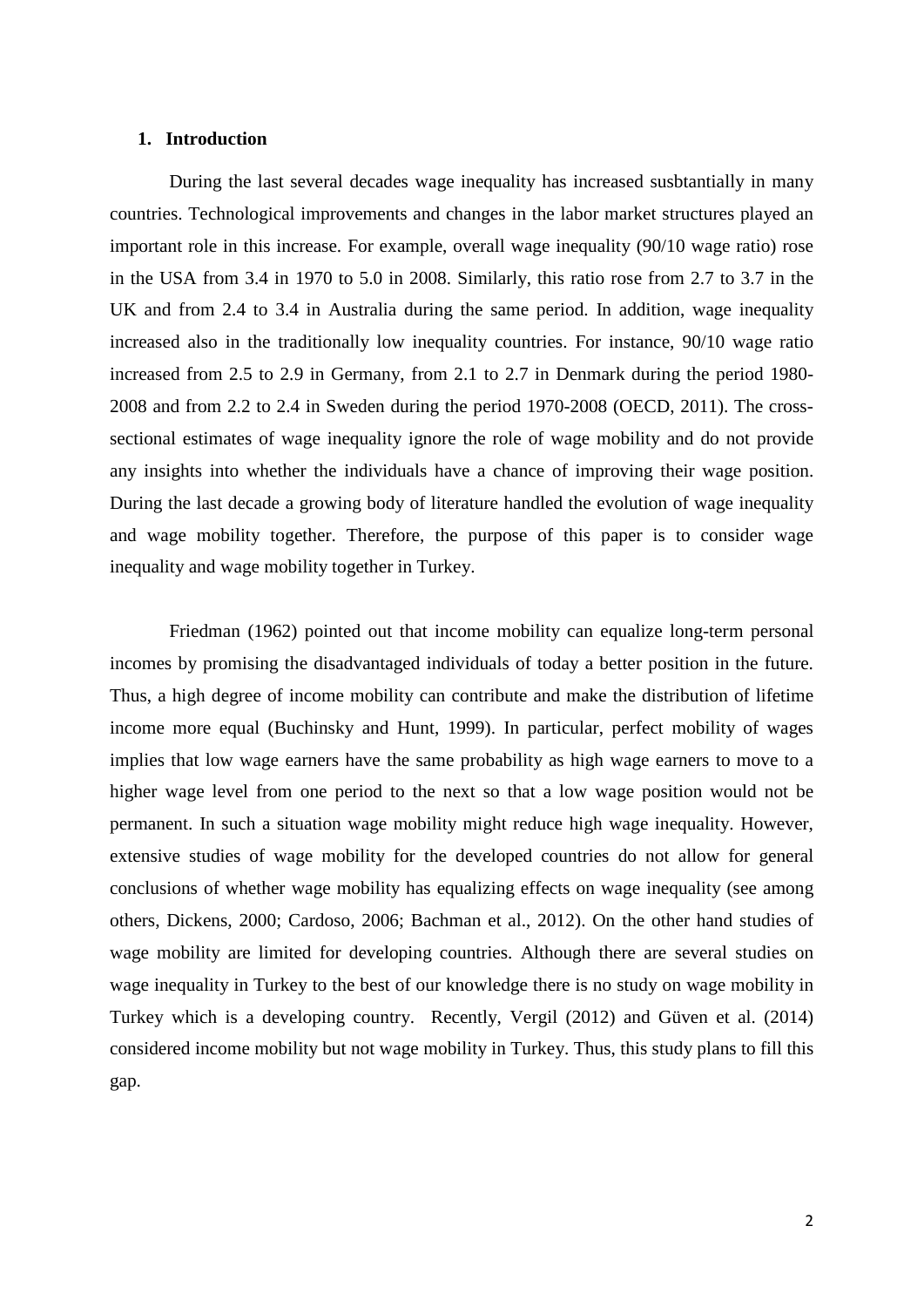#### **1. Introduction**

During the last several decades wage inequality has increased susbtantially in many countries. Technological improvements and changes in the labor market structures played an important role in this increase. For example, overall wage inequality (90/10 wage ratio) rose in the USA from 3.4 in 1970 to 5.0 in 2008. Similarly, this ratio rose from 2.7 to 3.7 in the UK and from 2.4 to 3.4 in Australia during the same period. In addition, wage inequality increased also in the traditionally low inequality countries. For instance, 90/10 wage ratio increased from 2.5 to 2.9 in Germany, from 2.1 to 2.7 in Denmark during the period 1980- 2008 and from 2.2 to 2.4 in Sweden during the period 1970-2008 (OECD, 2011). The crosssectional estimates of wage inequality ignore the role of wage mobility and do not provide any insights into whether the individuals have a chance of improving their wage position. During the last decade a growing body of literature handled the evolution of wage inequality and wage mobility together. Therefore, the purpose of this paper is to consider wage inequality and wage mobility together in Turkey.

Friedman (1962) pointed out that income mobility can equalize long-term personal incomes by promising the disadvantaged individuals of today a better position in the future. Thus, a high degree of income mobility can contribute and make the distribution of lifetime income more equal (Buchinsky and Hunt, 1999). In particular, perfect mobility of wages implies that low wage earners have the same probability as high wage earners to move to a higher wage level from one period to the next so that a low wage position would not be permanent. In such a situation wage mobility might reduce high wage inequality. However, extensive studies of wage mobility for the developed countries do not allow for general conclusions of whether wage mobility has equalizing effects on wage inequality (see among others, Dickens, 2000; Cardoso, 2006; Bachman et al., 2012). On the other hand studies of wage mobility are limited for developing countries. Although there are several studies on wage inequality in Turkey to the best of our knowledge there is no study on wage mobility in Turkey which is a developing country. Recently, Vergil (2012) and Güven et al. (2014) considered income mobility but not wage mobility in Turkey. Thus, this study plans to fill this gap.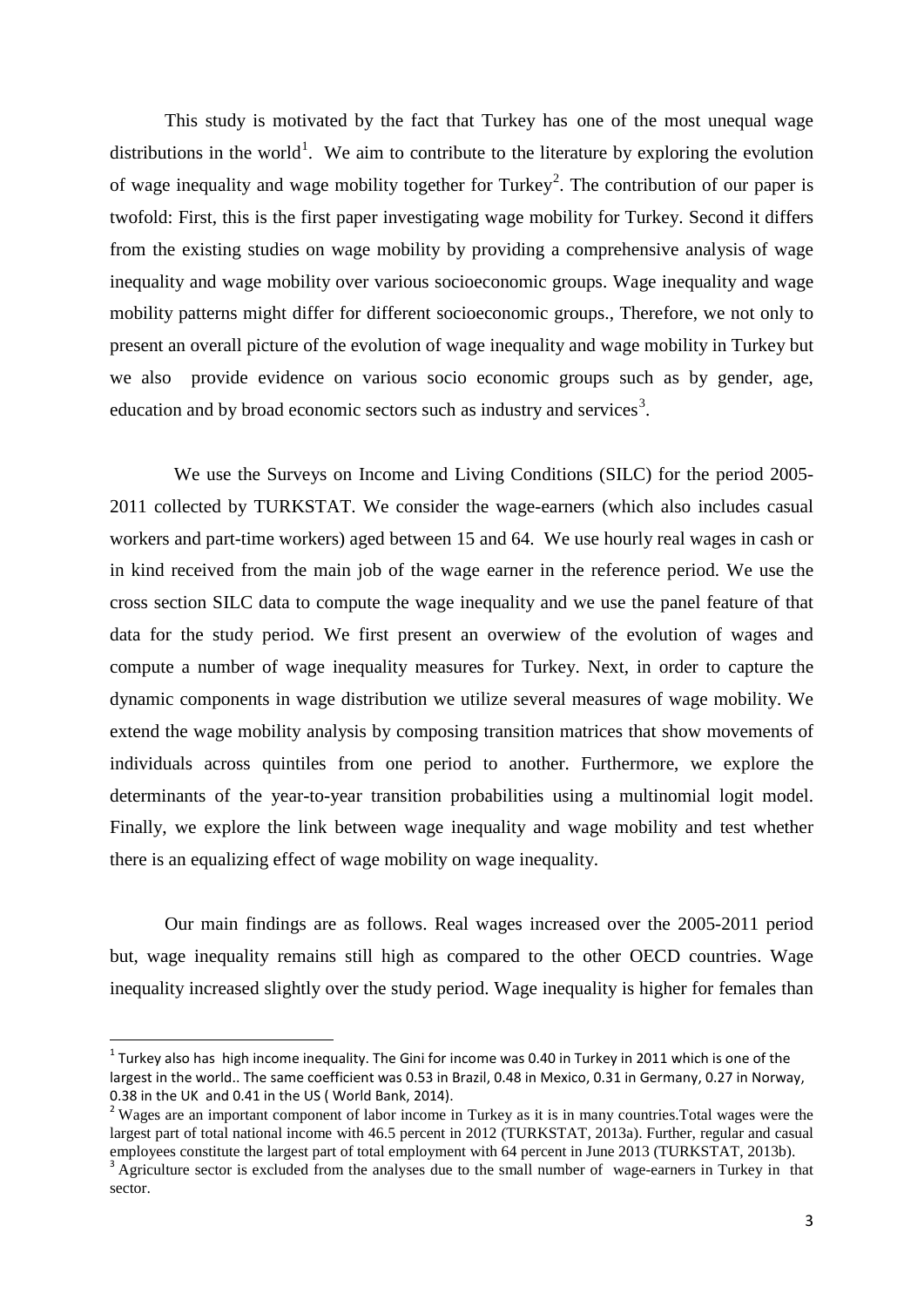This study is motivated by the fact that Turkey has one of the most unequal wage distributions in the world<sup>[1](#page-42-0)</sup>. We aim to contribute to the literature by exploring the evolution of wage inequality and wage mobility together for Turkey<sup>[2](#page-4-0)</sup>. The contribution of our paper is twofold: First, this is the first paper investigating wage mobility for Turkey. Second it differs from the existing studies on wage mobility by providing a comprehensive analysis of wage inequality and wage mobility over various socioeconomic groups. Wage inequality and wage mobility patterns might differ for different socioeconomic groups., Therefore, we not only to present an overall picture of the evolution of wage inequality and wage mobility in Turkey but we also provide evidence on various socio economic groups such as by gender, age, education and by broad economic sectors such as industry and services<sup>[3](#page-4-1)</sup>.

We use the Surveys on Income and Living Conditions (SILC) for the period 2005- 2011 collected by TURKSTAT. We consider the wage-earners (which also includes casual workers and part-time workers) aged between 15 and 64. We use hourly real wages in cash or in kind received from the main job of the wage earner in the reference period. We use the cross section SILC data to compute the wage inequality and we use the panel feature of that data for the study period. We first present an overwiew of the evolution of wages and compute a number of wage inequality measures for Turkey. Next, in order to capture the dynamic components in wage distribution we utilize several measures of wage mobility. We extend the wage mobility analysis by composing transition matrices that show movements of individuals across quintiles from one period to another. Furthermore, we explore the determinants of the year-to-year transition probabilities using a multinomial logit model. Finally, we explore the link between wage inequality and wage mobility and test whether there is an equalizing effect of wage mobility on wage inequality.

Our main findings are as follows. Real wages increased over the 2005-2011 period but, wage inequality remains still high as compared to the other OECD countries. Wage inequality increased slightly over the study period. Wage inequality is higher for females than

 $1$  Turkey also has high income inequality. The Gini for income was 0.40 in Turkey in 2011 which is one of the largest in the world.. The same coefficient was 0.53 in Brazil, 0.48 in Mexico, 0.31 in Germany, 0.27 in Norway, 0.38 in the UK and 0.41 in the US ( World Bank, 2014).

<span id="page-4-0"></span><sup>&</sup>lt;sup>2</sup> Wages are an important component of labor income in Turkey as it is in many countries. Total wages were the largest part of total national income with 46.5 percent in 2012 (TURKSTAT, 2013a). Further, regular and casual employees constitute the largest part of total employment with 64 percent in June 2013 (TURKSTAT, 2013b).

<span id="page-4-2"></span><span id="page-4-1"></span> $^3$  Agriculture sector is excluded from the analyses due to the small number of wage-earners in Turkey in that sector.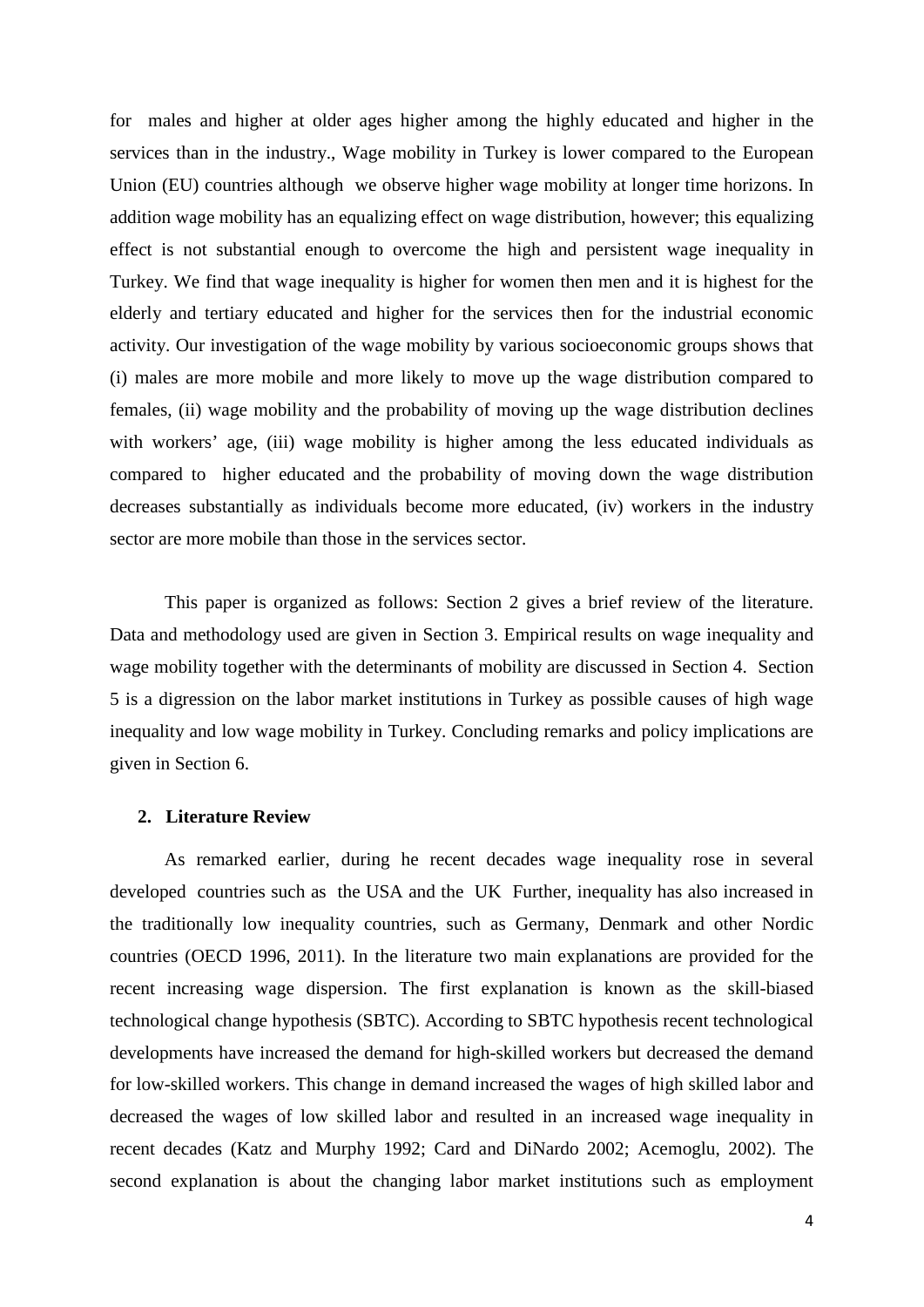for males and higher at older ages higher among the highly educated and higher in the services than in the industry., Wage mobility in Turkey is lower compared to the European Union (EU) countries although we observe higher wage mobility at longer time horizons. In addition wage mobility has an equalizing effect on wage distribution, however; this equalizing effect is not substantial enough to overcome the high and persistent wage inequality in Turkey. We find that wage inequality is higher for women then men and it is highest for the elderly and tertiary educated and higher for the services then for the industrial economic activity. Our investigation of the wage mobility by various socioeconomic groups shows that (i) males are more mobile and more likely to move up the wage distribution compared to females, (ii) wage mobility and the probability of moving up the wage distribution declines with workers' age, (iii) wage mobility is higher among the less educated individuals as compared to higher educated and the probability of moving down the wage distribution decreases substantially as individuals become more educated, (iv) workers in the industry sector are more mobile than those in the services sector.

This paper is organized as follows: Section 2 gives a brief review of the literature. Data and methodology used are given in Section 3. Empirical results on wage inequality and wage mobility together with the determinants of mobility are discussed in Section 4. Section 5 is a digression on the labor market institutions in Turkey as possible causes of high wage inequality and low wage mobility in Turkey. Concluding remarks and policy implications are given in Section 6.

#### **2. Literature Review**

As remarked earlier, during he recent decades wage inequality rose in several developed countries such as the USA and the UK Further, inequality has also increased in the traditionally low inequality countries, such as Germany, Denmark and other Nordic countries (OECD 1996, 2011). In the literature two main explanations are provided for the recent increasing wage dispersion. The first explanation is known as the skill-biased technological change hypothesis (SBTC). According to SBTC hypothesis recent technological developments have increased the demand for high-skilled workers but decreased the demand for low-skilled workers. This change in demand increased the wages of high skilled labor and decreased the wages of low skilled labor and resulted in an increased wage inequality in recent decades (Katz and Murphy 1992; Card and DiNardo 2002; Acemoglu, 2002). The second explanation is about the changing labor market institutions such as employment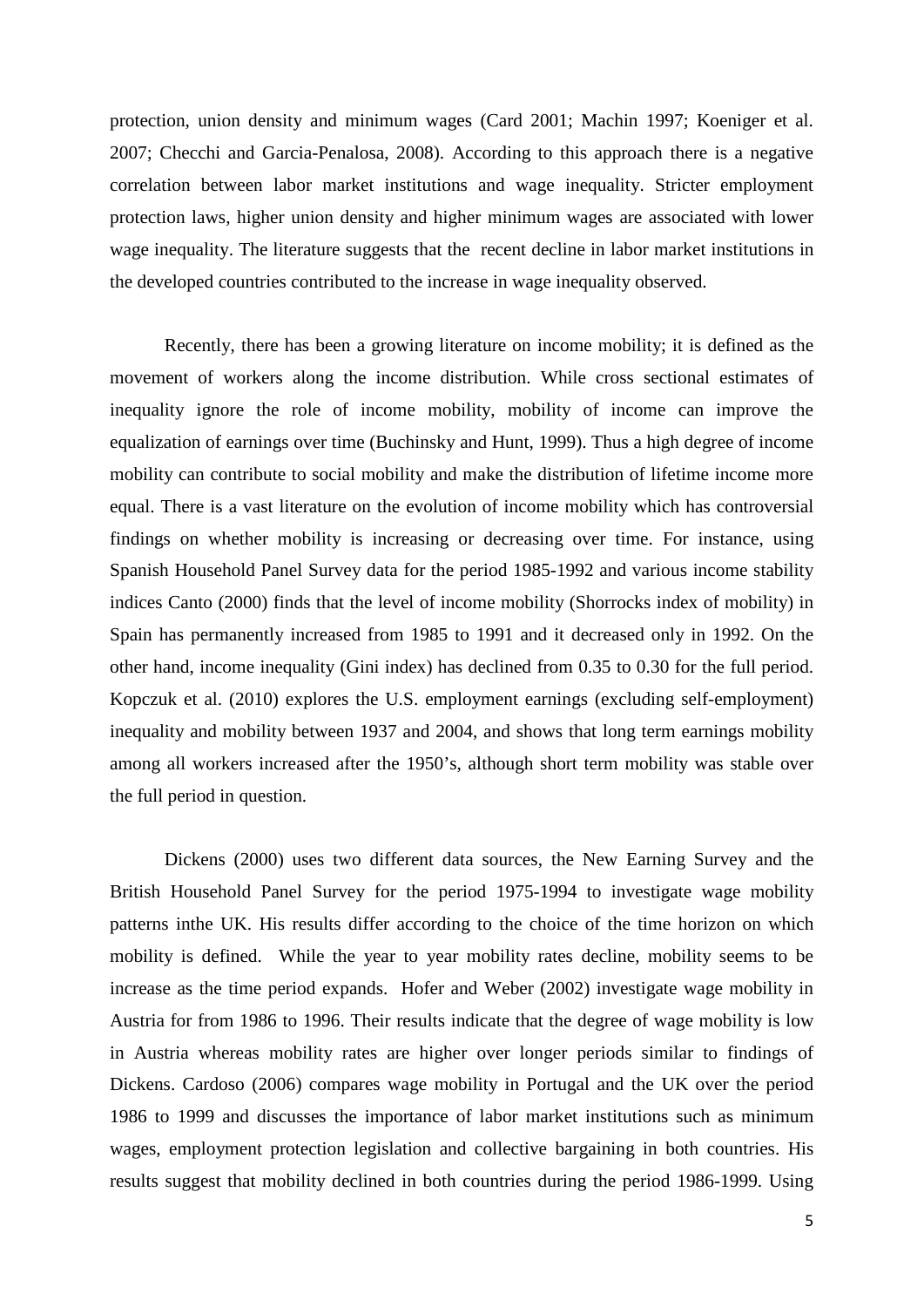protection, union density and minimum wages (Card 2001; Machin 1997; Koeniger et al. 2007; Checchi and Garcia-Penalosa, 2008). According to this approach there is a negative correlation between labor market institutions and wage inequality. Stricter employment protection laws, higher union density and higher minimum wages are associated with lower wage inequality. The literature suggests that the recent decline in labor market institutions in the developed countries contributed to the increase in wage inequality observed.

Recently, there has been a growing literature on income mobility; it is defined as the movement of workers along the income distribution. While cross sectional estimates of inequality ignore the role of income mobility, mobility of income can improve the equalization of earnings over time (Buchinsky and Hunt, 1999). Thus a high degree of income mobility can contribute to social mobility and make the distribution of lifetime income more equal. There is a vast literature on the evolution of income mobility which has controversial findings on whether mobility is increasing or decreasing over time. For instance, using Spanish Household Panel Survey data for the period 1985-1992 and various income stability indices Canto (2000) finds that the level of income mobility (Shorrocks index of mobility) in Spain has permanently increased from 1985 to 1991 and it decreased only in 1992. On the other hand, income inequality (Gini index) has declined from 0.35 to 0.30 for the full period. Kopczuk et al. (2010) explores the U.S. employment earnings (excluding self-employment) inequality and mobility between 1937 and 2004, and shows that long term earnings mobility among all workers increased after the 1950's, although short term mobility was stable over the full period in question.

Dickens (2000) uses two different data sources, the New Earning Survey and the British Household Panel Survey for the period 1975-1994 to investigate wage mobility patterns inthe UK. His results differ according to the choice of the time horizon on which mobility is defined. While the year to year mobility rates decline, mobility seems to be increase as the time period expands. Hofer and Weber (2002) investigate wage mobility in Austria for from 1986 to 1996. Their results indicate that the degree of wage mobility is low in Austria whereas mobility rates are higher over longer periods similar to findings of Dickens. Cardoso (2006) compares wage mobility in Portugal and the UK over the period 1986 to 1999 and discusses the importance of labor market institutions such as minimum wages, employment protection legislation and collective bargaining in both countries. His results suggest that mobility declined in both countries during the period 1986-1999. Using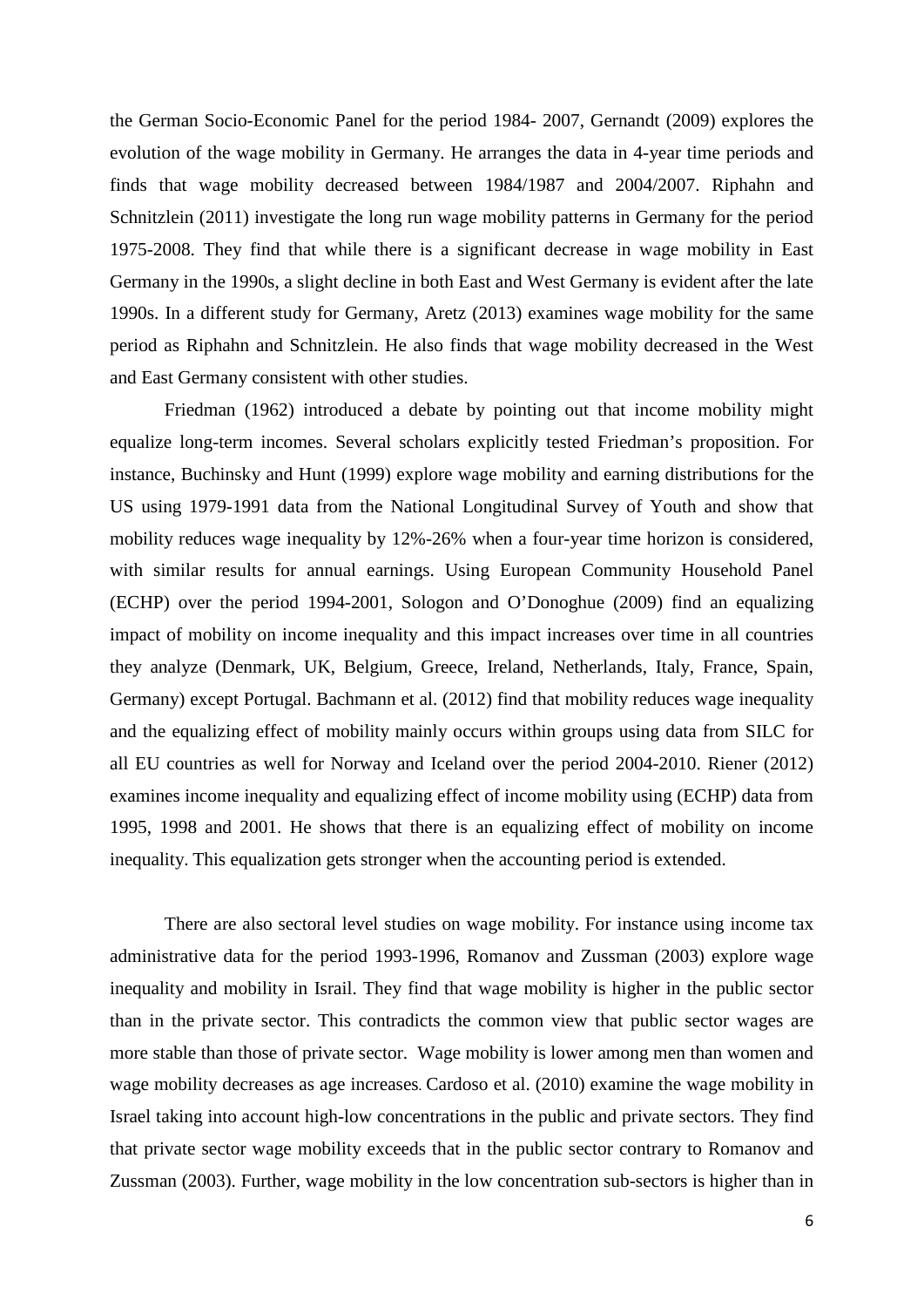the German Socio-Economic Panel for the period 1984- 2007, Gernandt (2009) explores the evolution of the wage mobility in Germany. He arranges the data in 4-year time periods and finds that wage mobility decreased between 1984/1987 and 2004/2007. Riphahn and Schnitzlein (2011) investigate the long run wage mobility patterns in Germany for the period 1975-2008. They find that while there is a significant decrease in wage mobility in East Germany in the 1990s, a slight decline in both East and West Germany is evident after the late 1990s. In a different study for Germany, Aretz (2013) examines wage mobility for the same period as Riphahn and Schnitzlein. He also finds that wage mobility decreased in the West and East Germany consistent with other studies.

Friedman (1962) introduced a debate by pointing out that income mobility might equalize long-term incomes. Several scholars explicitly tested Friedman's proposition. For instance, Buchinsky and Hunt (1999) explore wage mobility and earning distributions for the US using 1979-1991 data from the National Longitudinal Survey of Youth and show that mobility reduces wage inequality by 12%-26% when a four-year time horizon is considered, with similar results for annual earnings. Using European Community Household Panel (ECHP) over the period 1994-2001, Sologon and O'Donoghue (2009) find an equalizing impact of mobility on income inequality and this impact increases over time in all countries they analyze (Denmark, UK, Belgium, Greece, Ireland, Netherlands, Italy, France, Spain, Germany) except Portugal. Bachmann et al. (2012) find that mobility reduces wage inequality and the equalizing effect of mobility mainly occurs within groups using data from SILC for all EU countries as well for Norway and Iceland over the period 2004-2010. Riener (2012) examines income inequality and equalizing effect of income mobility using (ECHP) data from 1995, 1998 and 2001. He shows that there is an equalizing effect of mobility on income inequality. This equalization gets stronger when the accounting period is extended.

There are also sectoral level studies on wage mobility. For instance using income tax administrative data for the period 1993-1996, Romanov and Zussman (2003) explore wage inequality and mobility in Israil. They find that wage mobility is higher in the public sector than in the private sector. This contradicts the common view that public sector wages are more stable than those of private sector. Wage mobility is lower among men than women and wage mobility decreases as age increases*.* Cardoso et al. (2010) examine the wage mobility in Israel taking into account high-low concentrations in the public and private sectors. They find that private sector wage mobility exceeds that in the public sector contrary to Romanov and Zussman (2003). Further, wage mobility in the low concentration sub-sectors is higher than in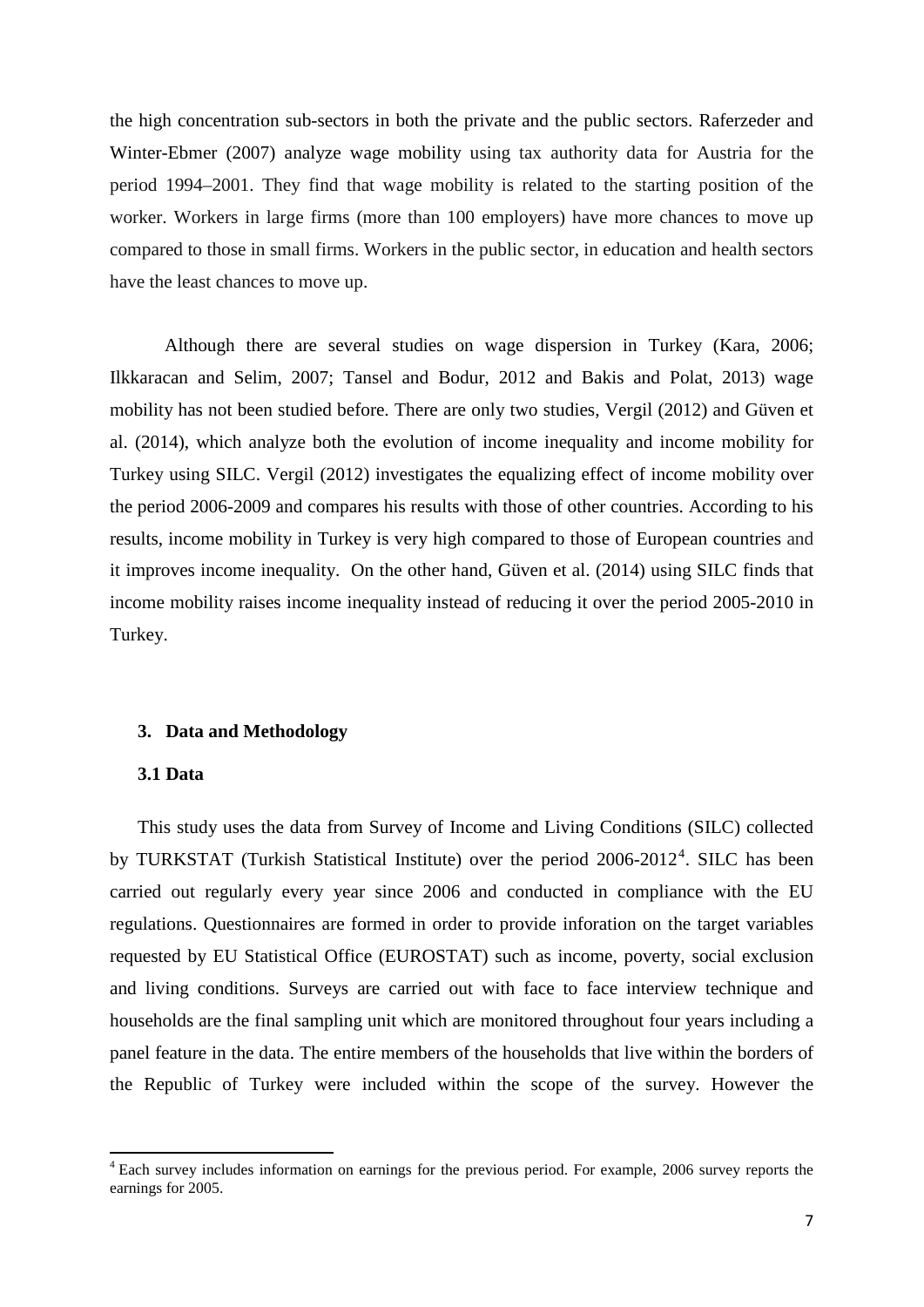the high concentration sub-sectors in both the private and the public sectors. Raferzeder and Winter-Ebmer (2007) analyze wage mobility using tax authority data for Austria for the period 1994–2001. They find that wage mobility is related to the starting position of the worker. Workers in large firms (more than 100 employers) have more chances to move up compared to those in small firms. Workers in the public sector, in education and health sectors have the least chances to move up.

Although there are several studies on wage dispersion in Turkey (Kara, 2006; Ilkkaracan and Selim, 2007; Tansel and Bodur, 2012 and Bakis and Polat, 2013) wage mobility has not been studied before. There are only two studies, Vergil (2012) and Güven et al. (2014), which analyze both the evolution of income inequality and income mobility for Turkey using SILC. Vergil (2012) investigates the equalizing effect of income mobility over the period 2006-2009 and compares his results with those of other countries. According to his results, income mobility in Turkey is very high compared to those of European countries and it improves income inequality. On the other hand, Güven et al. (2014) using SILC finds that income mobility raises income inequality instead of reducing it over the period 2005-2010 in Turkey.

#### **3. Data and Methodology**

#### **3.1 Data**

This study uses the data from Survey of Income and Living Conditions (SILC) collected by TURKSTAT (Turkish Statistical Institute) over the period  $2006-2012^4$  $2006-2012^4$ . SILC has been carried out regularly every year since 2006 and conducted in compliance with the EU regulations. Questionnaires are formed in order to provide inforation on the target variables requested by EU Statistical Office (EUROSTAT) such as income, poverty, social exclusion and living conditions. Surveys are carried out with face to face interview technique and households are the final sampling unit which are monitored throughout four years including a panel feature in the data. The entire members of the households that live within the borders of the Republic of Turkey were included within the scope of the survey. However the

<span id="page-8-0"></span><sup>&</sup>lt;sup>4</sup> Each survey includes information on earnings for the previous period. For example, 2006 survey reports the earnings for 2005.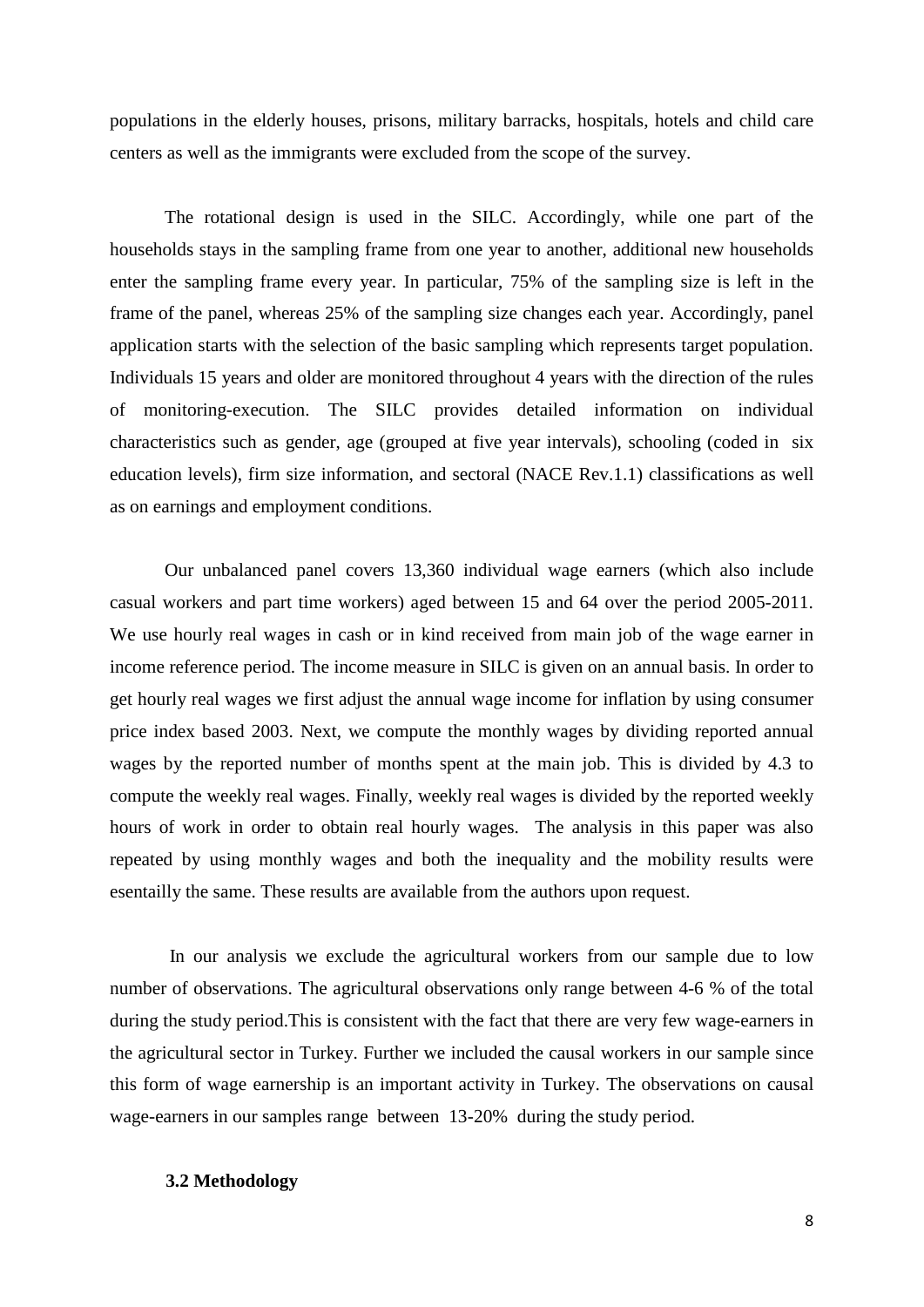populations in the elderly houses, prisons, military barracks, hospitals, hotels and child care centers as well as the immigrants were excluded from the scope of the survey.

The rotational design is used in the SILC. Accordingly, while one part of the households stays in the sampling frame from one year to another, additional new households enter the sampling frame every year. In particular, 75% of the sampling size is left in the frame of the panel, whereas 25% of the sampling size changes each year. Accordingly, panel application starts with the selection of the basic sampling which represents target population. Individuals 15 years and older are monitored throughout 4 years with the direction of the rules of monitoring-execution. The SILC provides detailed information on individual characteristics such as gender, age (grouped at five year intervals), schooling (coded in six education levels), firm size information, and sectoral (NACE Rev.1.1) classifications as well as on earnings and employment conditions.

Our unbalanced panel covers 13,360 individual wage earners (which also include casual workers and part time workers) aged between 15 and 64 over the period 2005-2011. We use hourly real wages in cash or in kind received from main job of the wage earner in income reference period. The income measure in SILC is given on an annual basis. In order to get hourly real wages we first adjust the annual wage income for inflation by using consumer price index based 2003. Next, we compute the monthly wages by dividing reported annual wages by the reported number of months spent at the main job. This is divided by 4.3 to compute the weekly real wages. Finally, weekly real wages is divided by the reported weekly hours of work in order to obtain real hourly wages. The analysis in this paper was also repeated by using monthly wages and both the inequality and the mobility results were esentailly the same. These results are available from the authors upon request.

In our analysis we exclude the agricultural workers from our sample due to low number of observations. The agricultural observations only range between 4-6 % of the total during the study period.This is consistent with the fact that there are very few wage-earners in the agricultural sector in Turkey. Further we included the causal workers in our sample since this form of wage earnership is an important activity in Turkey. The observations on causal wage-earners in our samples range between 13-20% during the study period.

#### **3.2 Methodology**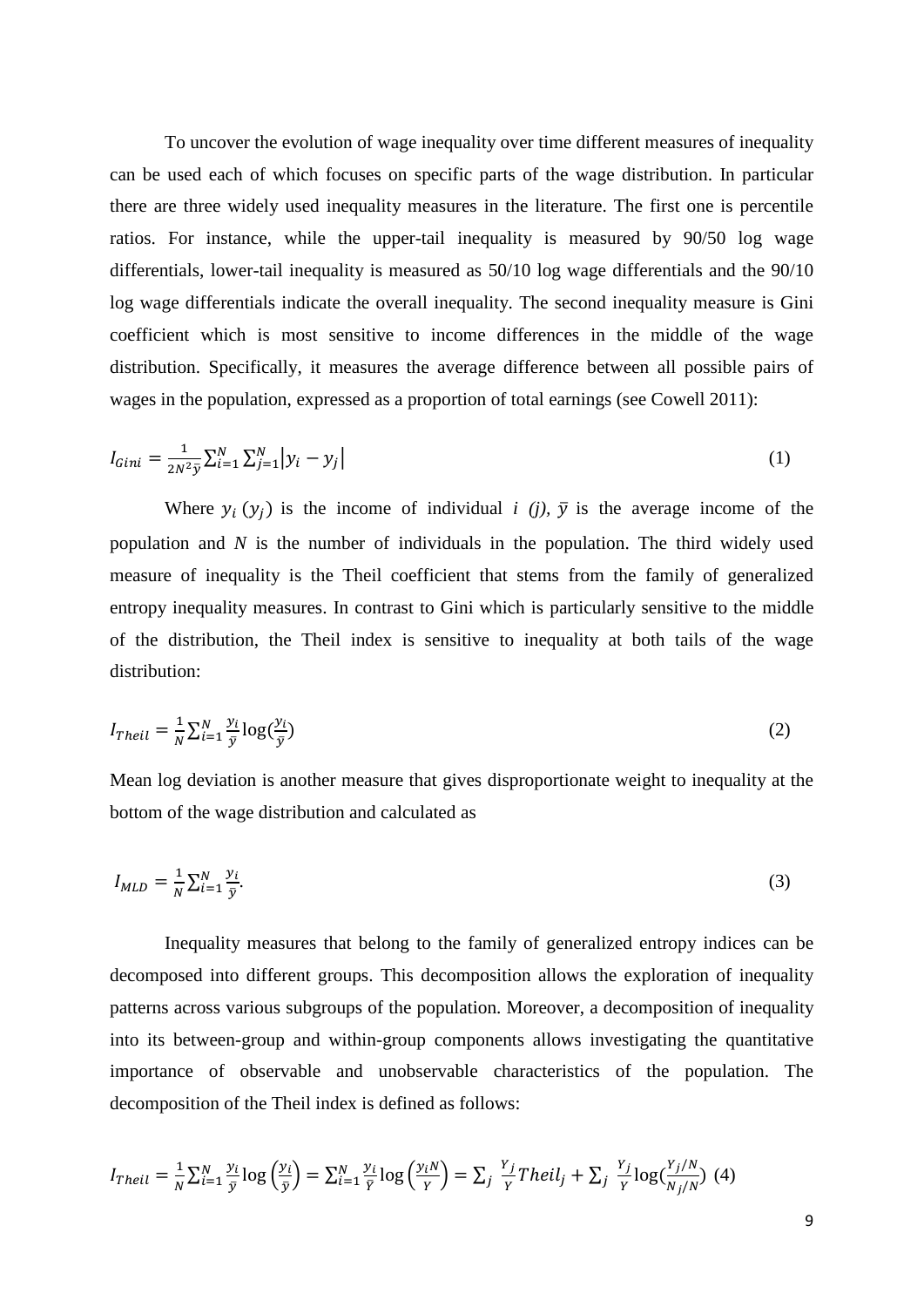To uncover the evolution of wage inequality over time different measures of inequality can be used each of which focuses on specific parts of the wage distribution. In particular there are three widely used inequality measures in the literature. The first one is percentile ratios. For instance, while the upper-tail inequality is measured by 90/50 log wage differentials, lower-tail inequality is measured as 50/10 log wage differentials and the 90/10 log wage differentials indicate the overall inequality. The second inequality measure is Gini coefficient which is most sensitive to income differences in the middle of the wage distribution. Specifically, it measures the average difference between all possible pairs of wages in the population, expressed as a proportion of total earnings (see Cowell 2011):

$$
I_{Gini} = \frac{1}{2N^2 \bar{y}} \sum_{i=1}^{N} \sum_{j=1}^{N} |y_i - y_j|
$$
 (1)

Where  $y_i(y_i)$  is the income of individual *i* (*j*),  $\bar{y}$  is the average income of the population and *N* is the number of individuals in the population. The third widely used measure of inequality is the Theil coefficient that stems from the family of generalized entropy inequality measures. In contrast to Gini which is particularly sensitive to the middle of the distribution, the Theil index is sensitive to inequality at both tails of the wage distribution:

$$
I_{Theil} = \frac{1}{N} \sum_{i=1}^{N} \frac{y_i}{\bar{y}} \log(\frac{y_i}{\bar{y}})
$$
 (2)

Mean log deviation is another measure that gives disproportionate weight to inequality at the bottom of the wage distribution and calculated as

$$
I_{MLD} = \frac{1}{N} \sum_{i=1}^{N} \frac{y_i}{\bar{y}}.
$$
\n<sup>(3)</sup>

Inequality measures that belong to the family of generalized entropy indices can be decomposed into different groups. This decomposition allows the exploration of inequality patterns across various subgroups of the population. Moreover, a decomposition of inequality into its between-group and within-group components allows investigating the quantitative importance of observable and unobservable characteristics of the population. The decomposition of the Theil index is defined as follows:

$$
I_{Theil} = \frac{1}{N} \sum_{i=1}^{N} \frac{y_i}{\bar{y}} \log \left(\frac{y_i}{\bar{y}}\right) = \sum_{i=1}^{N} \frac{y_i}{\bar{Y}} \log \left(\frac{y_i N}{Y}\right) = \sum_{j} \frac{y_j}{Y} Theil_j + \sum_{j} \frac{y_j}{Y} \log \left(\frac{y_j N}{N_j N}\right) (4)
$$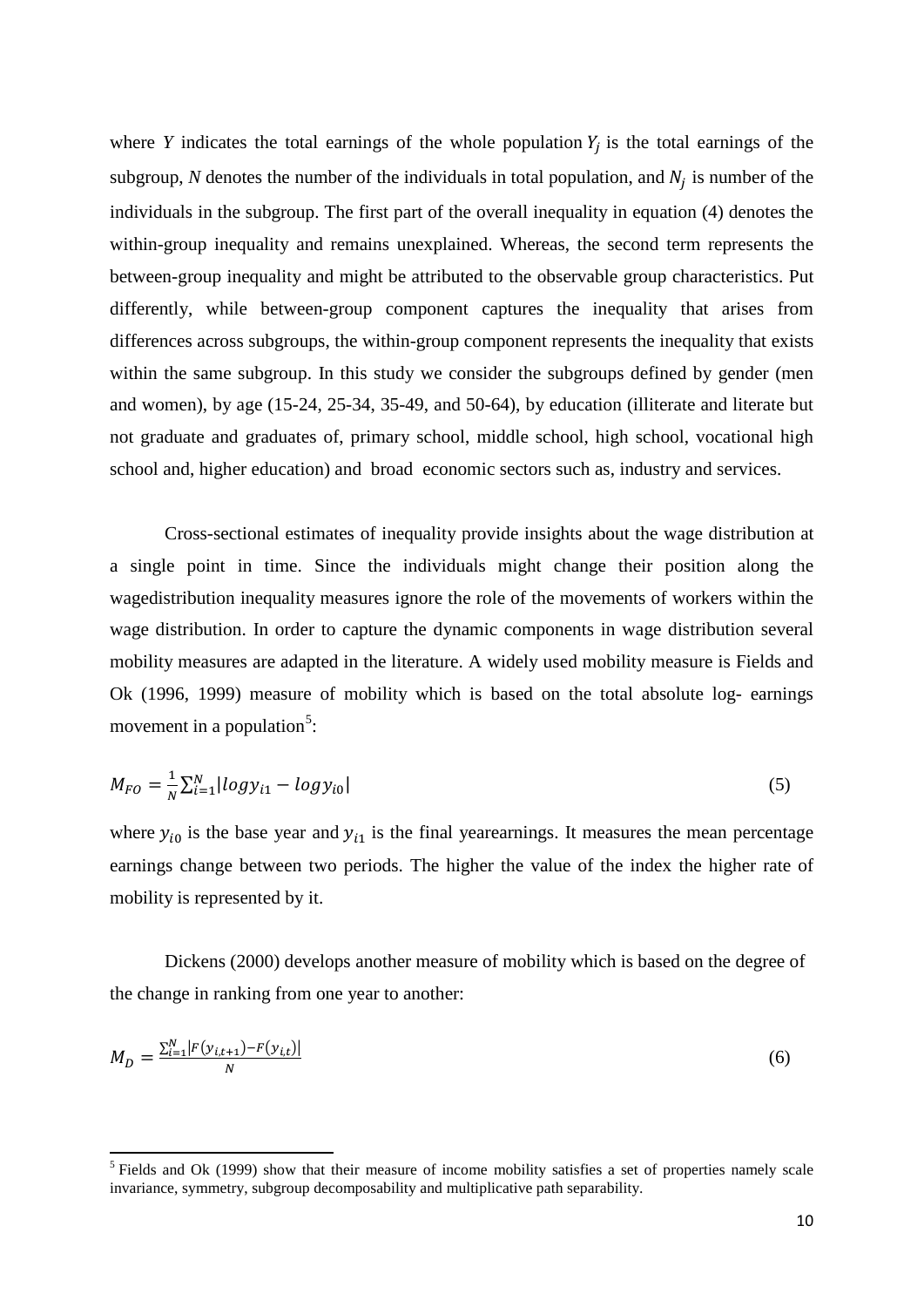where *Y* indicates the total earnings of the whole population  $Y_i$  is the total earnings of the subgroup, N denotes the number of the individuals in total population, and  $N_i$  is number of the individuals in the subgroup. The first part of the overall inequality in equation (4) denotes the within-group inequality and remains unexplained. Whereas, the second term represents the between-group inequality and might be attributed to the observable group characteristics. Put differently, while between-group component captures the inequality that arises from differences across subgroups, the within-group component represents the inequality that exists within the same subgroup. In this study we consider the subgroups defined by gender (men and women), by age (15-24, 25-34, 35-49, and 50-64), by education (illiterate and literate but not graduate and graduates of, primary school, middle school, high school, vocational high school and, higher education) and broad economic sectors such as, industry and services.

Cross-sectional estimates of inequality provide insights about the wage distribution at a single point in time. Since the individuals might change their position along the wagedistribution inequality measures ignore the role of the movements of workers within the wage distribution. In order to capture the dynamic components in wage distribution several mobility measures are adapted in the literature. A widely used mobility measure is Fields and Ok (1996, 1999) measure of mobility which is based on the total absolute log- earnings movement in a population<sup>[5](#page-8-0)</sup>:

$$
M_{FO} = \frac{1}{N} \sum_{i=1}^{N} |log y_{i1} - log y_{i0}|
$$
\n(5)

where  $y_{i0}$  is the base year and  $y_{i1}$  is the final yearearnings. It measures the mean percentage earnings change between two periods. The higher the value of the index the higher rate of mobility is represented by it.

Dickens (2000) develops another measure of mobility which is based on the degree of the change in ranking from one year to another:

$$
M_D = \frac{\sum_{i=1}^{N} |F(y_{i,t+1}) - F(y_{i,t})|}{N}
$$
(6)

<span id="page-11-0"></span><sup>&</sup>lt;sup>5</sup> Fields and Ok (1999) show that their measure of income mobility satisfies a set of properties namely scale invariance, symmetry, subgroup decomposability and multiplicative path separability.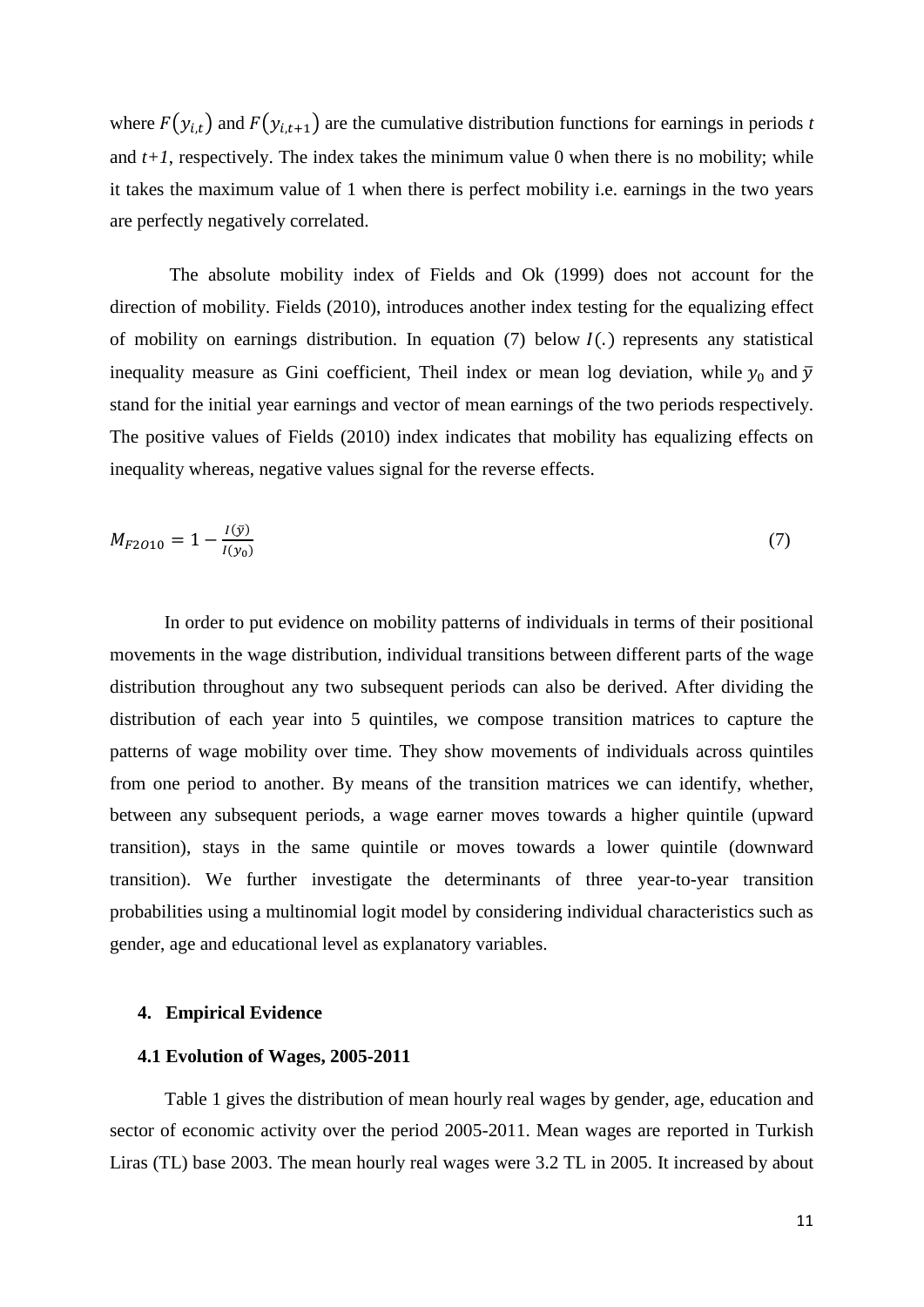where  $F(y_{i,t})$  and  $F(y_{i,t+1})$  are the cumulative distribution functions for earnings in periods *t* and  $t+1$ , respectively. The index takes the minimum value 0 when there is no mobility; while it takes the maximum value of 1 when there is perfect mobility i.e. earnings in the two years are perfectly negatively correlated.

The absolute mobility index of Fields and Ok (1999) does not account for the direction of mobility. Fields (2010), introduces another index testing for the equalizing effect of mobility on earnings distribution. In equation (7) below  $I(.)$  represents any statistical inequality measure as Gini coefficient, Theil index or mean log deviation, while  $y_0$  and  $\overline{y}$ stand for the initial year earnings and vector of mean earnings of the two periods respectively. The positive values of Fields (2010) index indicates that mobility has equalizing effects on inequality whereas, negative values signal for the reverse effects.

$$
M_{F2010} = 1 - \frac{I(\bar{y})}{I(y_0)}\tag{7}
$$

In order to put evidence on mobility patterns of individuals in terms of their positional movements in the wage distribution, individual transitions between different parts of the wage distribution throughout any two subsequent periods can also be derived. After dividing the distribution of each year into 5 quintiles, we compose transition matrices to capture the patterns of wage mobility over time. They show movements of individuals across quintiles from one period to another. By means of the transition matrices we can identify, whether, between any subsequent periods, a wage earner moves towards a higher quintile (upward transition), stays in the same quintile or moves towards a lower quintile (downward transition). We further investigate the determinants of three year-to-year transition probabilities using a multinomial logit model by considering individual characteristics such as gender, age and educational level as explanatory variables.

#### **4. Empirical Evidence**

#### **4.1 Evolution of Wages, 2005-2011**

Table 1 gives the distribution of mean hourly real wages by gender, age, education and sector of economic activity over the period 2005-2011. Mean wages are reported in Turkish Liras (TL) base 2003. The mean hourly real wages were 3.2 TL in 2005. It increased by about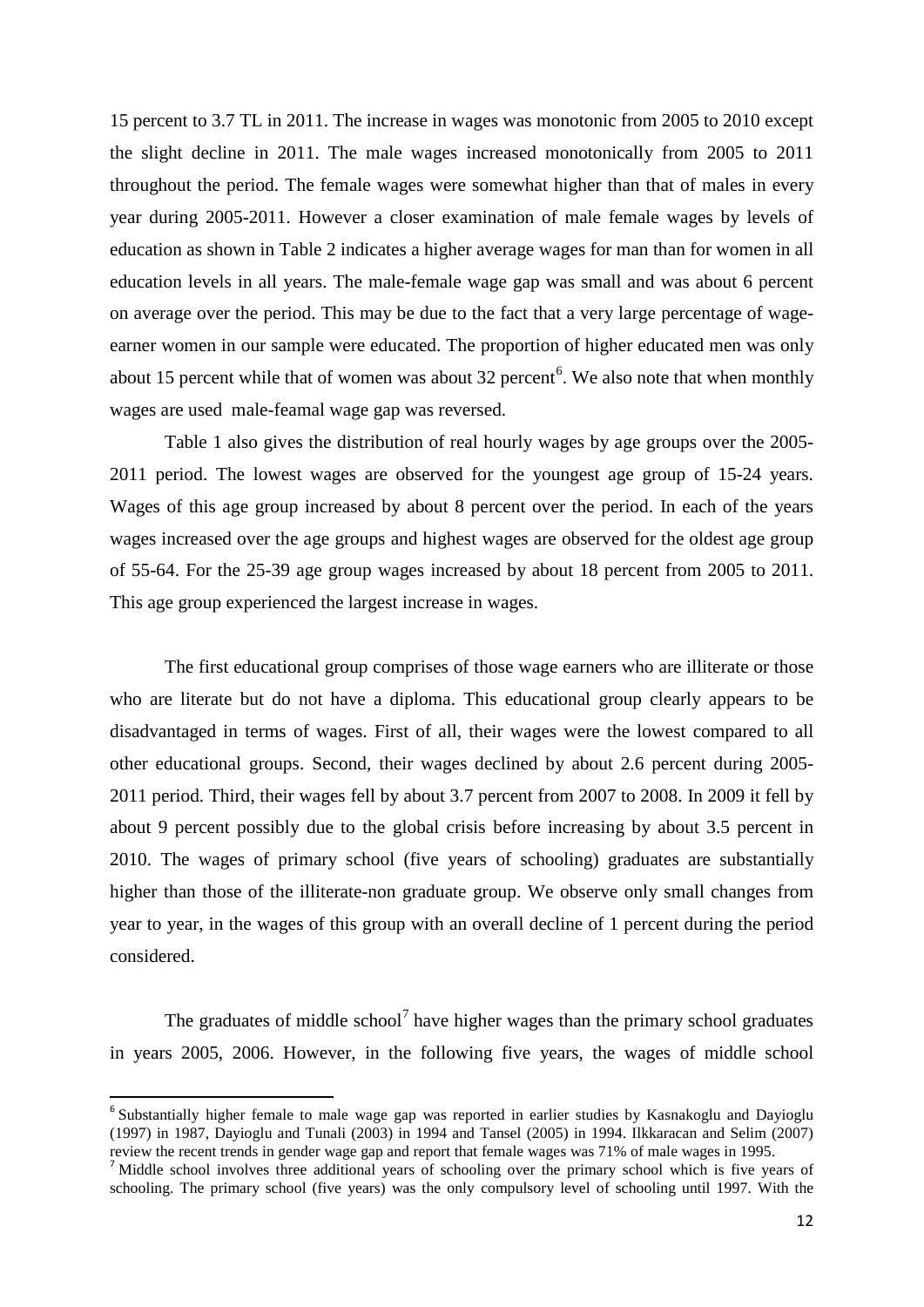15 percent to 3.7 TL in 2011. The increase in wages was monotonic from 2005 to 2010 except the slight decline in 2011. The male wages increased monotonically from 2005 to 2011 throughout the period. The female wages were somewhat higher than that of males in every year during 2005-2011. However a closer examination of male female wages by levels of education as shown in Table 2 indicates a higher average wages for man than for women in all education levels in all years. The male-female wage gap was small and was about 6 percent on average over the period. This may be due to the fact that a very large percentage of wageearner women in our sample were educated. The proportion of higher educated men was only about 15 percent while that of women was about 32 percent<sup>[6](#page-11-0)</sup>. We also note that when monthly wages are used male-feamal wage gap was reversed.

Table 1 also gives the distribution of real hourly wages by age groups over the 2005- 2011 period. The lowest wages are observed for the youngest age group of 15-24 years. Wages of this age group increased by about 8 percent over the period. In each of the years wages increased over the age groups and highest wages are observed for the oldest age group of 55-64. For the 25-39 age group wages increased by about 18 percent from 2005 to 2011. This age group experienced the largest increase in wages.

The first educational group comprises of those wage earners who are illiterate or those who are literate but do not have a diploma. This educational group clearly appears to be disadvantaged in terms of wages. First of all, their wages were the lowest compared to all other educational groups. Second, their wages declined by about 2.6 percent during 2005- 2011 period. Third, their wages fell by about 3.7 percent from 2007 to 2008. In 2009 it fell by about 9 percent possibly due to the global crisis before increasing by about 3.5 percent in 2010. The wages of primary school (five years of schooling) graduates are substantially higher than those of the illiterate-non graduate group. We observe only small changes from year to year, in the wages of this group with an overall decline of 1 percent during the period considered.

The graduates of middle school<sup>[7](#page-13-0)</sup> have higher wages than the primary school graduates in years 2005, 2006. However, in the following five years, the wages of middle school

<span id="page-13-1"></span><sup>&</sup>lt;sup>6</sup> Substantially higher female to male wage gap was reported in earlier studies by Kasnakoglu and Davioglu (1997) in 1987, Dayioglu and Tunali (2003) in 1994 and Tansel (2005) in 1994. Ilkkaracan and Selim (2007) review the recent trends in gender wage gap and report that female wages was 71% of male wages in 1995.

<span id="page-13-0"></span><sup>&</sup>lt;sup>7</sup> Middle school involves three additional years of schooling over the primary school which is five years of schooling. The primary school (five years) was the only compulsory level of schooling until 1997. With the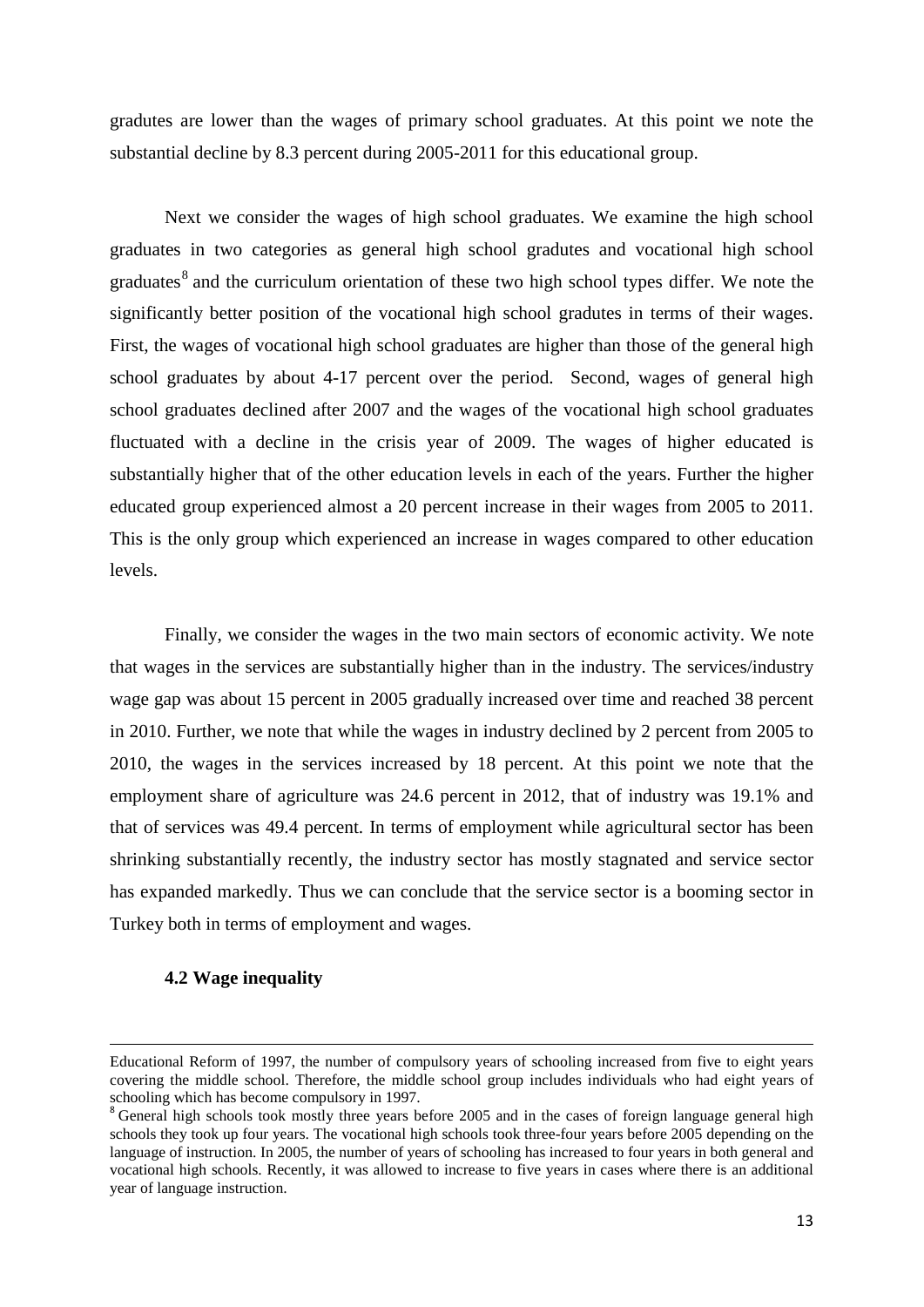gradutes are lower than the wages of primary school graduates. At this point we note the substantial decline by 8.3 percent during 2005-2011 for this educational group.

Next we consider the wages of high school graduates. We examine the high school graduates in two categories as general high school gradutes and vocational high school graduates $8$  and the curriculum orientation of these two high school types differ. We note the significantly better position of the vocational high school gradutes in terms of their wages. First, the wages of vocational high school graduates are higher than those of the general high school graduates by about 4-17 percent over the period. Second, wages of general high school graduates declined after 2007 and the wages of the vocational high school graduates fluctuated with a decline in the crisis year of 2009. The wages of higher educated is substantially higher that of the other education levels in each of the years. Further the higher educated group experienced almost a 20 percent increase in their wages from 2005 to 2011. This is the only group which experienced an increase in wages compared to other education levels.

Finally, we consider the wages in the two main sectors of economic activity. We note that wages in the services are substantially higher than in the industry. The services/industry wage gap was about 15 percent in 2005 gradually increased over time and reached 38 percent in 2010. Further, we note that while the wages in industry declined by 2 percent from 2005 to 2010, the wages in the services increased by 18 percent. At this point we note that the employment share of agriculture was 24.6 percent in 2012, that of industry was 19.1% and that of services was 49.4 percent. In terms of employment while agricultural sector has been shrinking substantially recently, the industry sector has mostly stagnated and service sector has expanded markedly. Thus we can conclude that the service sector is a booming sector in Turkey both in terms of employment and wages.

#### **4.2 Wage inequality**

**.** 

Educational Reform of 1997, the number of compulsory years of schooling increased from five to eight years covering the middle school. Therefore, the middle school group includes individuals who had eight years of schooling which has become compulsory in 1997.

<span id="page-14-0"></span><sup>&</sup>lt;sup>8</sup> General high schools took mostly three years before 2005 and in the cases of foreign language general high schools they took up four years. The vocational high schools took three-four years before 2005 depending on the language of instruction. In 2005, the number of years of schooling has increased to four years in both general and vocational high schools. Recently, it was allowed to increase to five years in cases where there is an additional year of language instruction.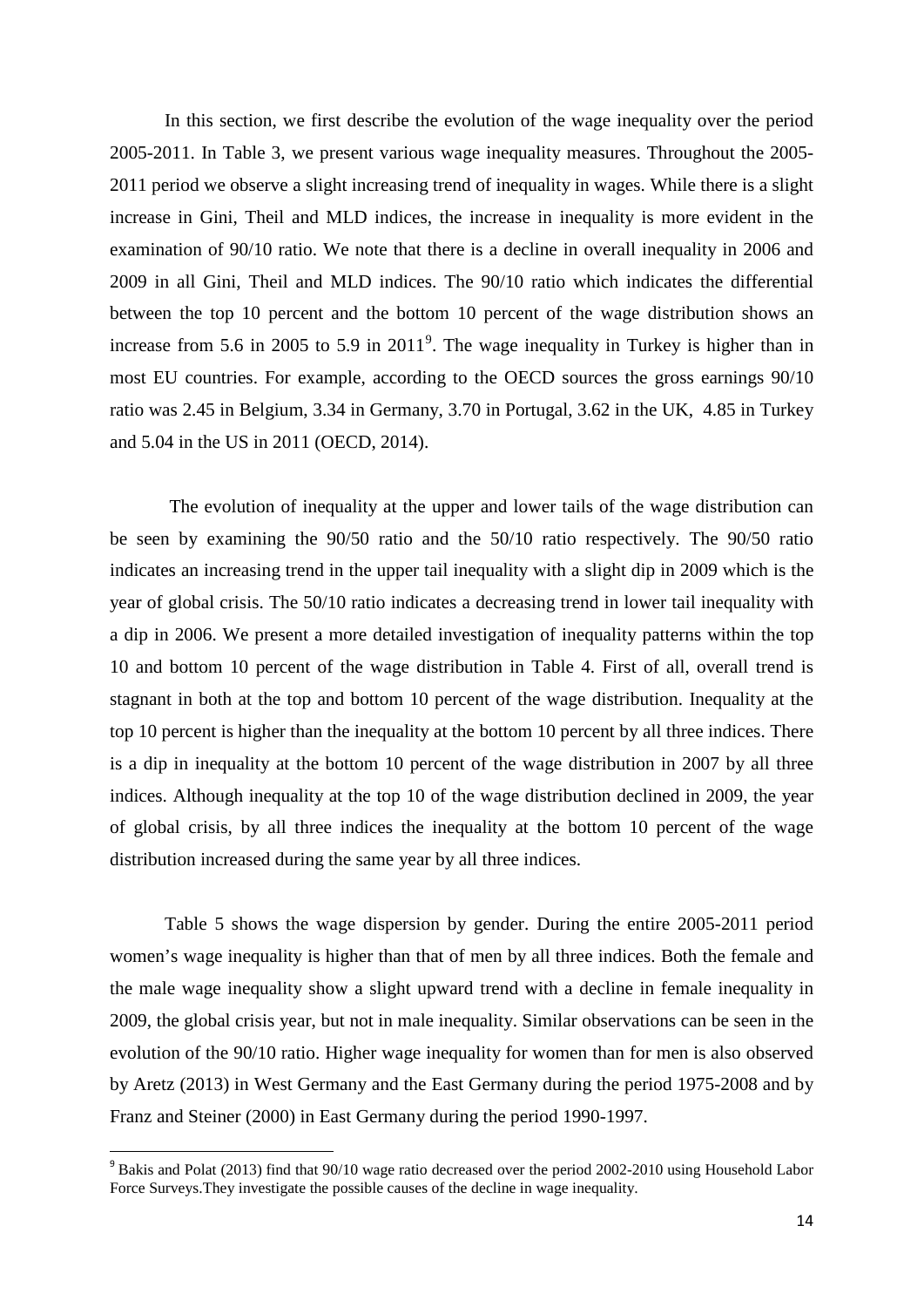In this section, we first describe the evolution of the wage inequality over the period 2005-2011. In Table 3, we present various wage inequality measures. Throughout the 2005- 2011 period we observe a slight increasing trend of inequality in wages. While there is a slight increase in Gini, Theil and MLD indices, the increase in inequality is more evident in the examination of 90/10 ratio. We note that there is a decline in overall inequality in 2006 and 2009 in all Gini, Theil and MLD indices. The 90/10 ratio which indicates the differential between the top 10 percent and the bottom 10 percent of the wage distribution shows an increase from 5.6 in 2005 to 5.[9](#page-14-0) in  $2011<sup>9</sup>$ . The wage inequality in Turkey is higher than in most EU countries. For example, according to the OECD sources the gross earnings 90/10 ratio was 2.45 in Belgium, 3.34 in Germany, 3.70 in Portugal, 3.62 in the UK, 4.85 in Turkey and 5.04 in the US in 2011 (OECD, 2014).

The evolution of inequality at the upper and lower tails of the wage distribution can be seen by examining the 90/50 ratio and the 50/10 ratio respectively. The 90/50 ratio indicates an increasing trend in the upper tail inequality with a slight dip in 2009 which is the year of global crisis. The 50/10 ratio indicates a decreasing trend in lower tail inequality with a dip in 2006. We present a more detailed investigation of inequality patterns within the top 10 and bottom 10 percent of the wage distribution in Table 4. First of all, overall trend is stagnant in both at the top and bottom 10 percent of the wage distribution. Inequality at the top 10 percent is higher than the inequality at the bottom 10 percent by all three indices. There is a dip in inequality at the bottom 10 percent of the wage distribution in 2007 by all three indices. Although inequality at the top 10 of the wage distribution declined in 2009, the year of global crisis, by all three indices the inequality at the bottom 10 percent of the wage distribution increased during the same year by all three indices.

Table 5 shows the wage dispersion by gender. During the entire 2005-2011 period women's wage inequality is higher than that of men by all three indices. Both the female and the male wage inequality show a slight upward trend with a decline in female inequality in 2009, the global crisis year, but not in male inequality. Similar observations can be seen in the evolution of the 90/10 ratio. Higher wage inequality for women than for men is also observed by Aretz (2013) in West Germany and the East Germany during the period 1975-2008 and by Franz and Steiner (2000) in East Germany during the period 1990-1997.

<span id="page-15-0"></span><sup>&</sup>lt;sup>9</sup> Bakis and Polat (2013) find that 90/10 wage ratio decreased over the period 2002-2010 using Household Labor Force Surveys.They investigate the possible causes of the decline in wage inequality.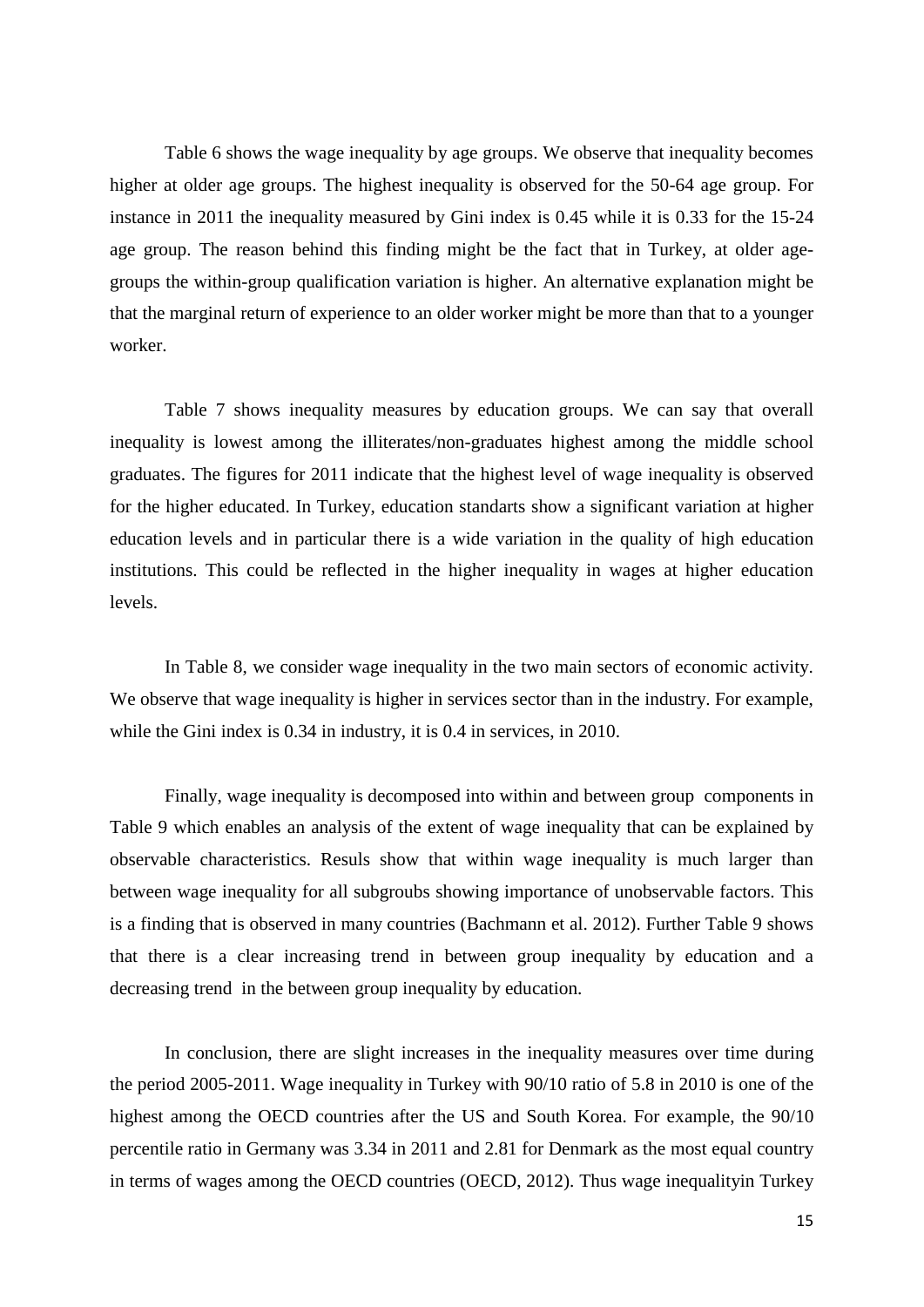Table 6 shows the wage inequality by age groups. We observe that inequality becomes higher at older age groups. The highest inequality is observed for the 50-64 age group. For instance in 2011 the inequality measured by Gini index is 0.45 while it is 0.33 for the 15-24 age group. The reason behind this finding might be the fact that in Turkey, at older agegroups the within-group qualification variation is higher. An alternative explanation might be that the marginal return of experience to an older worker might be more than that to a younger worker.

Table 7 shows inequality measures by education groups. We can say that overall inequality is lowest among the illiterates/non-graduates highest among the middle school graduates. The figures for 2011 indicate that the highest level of wage inequality is observed for the higher educated. In Turkey, education standarts show a significant variation at higher education levels and in particular there is a wide variation in the quality of high education institutions. This could be reflected in the higher inequality in wages at higher education levels.

In Table 8, we consider wage inequality in the two main sectors of economic activity. We observe that wage inequality is higher in services sector than in the industry. For example, while the Gini index is 0.34 in industry, it is 0.4 in services, in 2010.

Finally, wage inequality is decomposed into within and between group components in Table 9 which enables an analysis of the extent of wage inequality that can be explained by observable characteristics. Resuls show that within wage inequality is much larger than between wage inequality for all subgroubs showing importance of unobservable factors. This is a finding that is observed in many countries (Bachmann et al. 2012). Further Table 9 shows that there is a clear increasing trend in between group inequality by education and a decreasing trend in the between group inequality by education.

In conclusion, there are slight increases in the inequality measures over time during the period 2005-2011. Wage inequality in Turkey with 90/10 ratio of 5.8 in 2010 is one of the highest among the OECD countries after the US and South Korea. For example, the 90/10 percentile ratio in Germany was 3.34 in 2011 and 2.81 for Denmark as the most equal country in terms of wages among the OECD countries (OECD, 2012). Thus wage inequalityin Turkey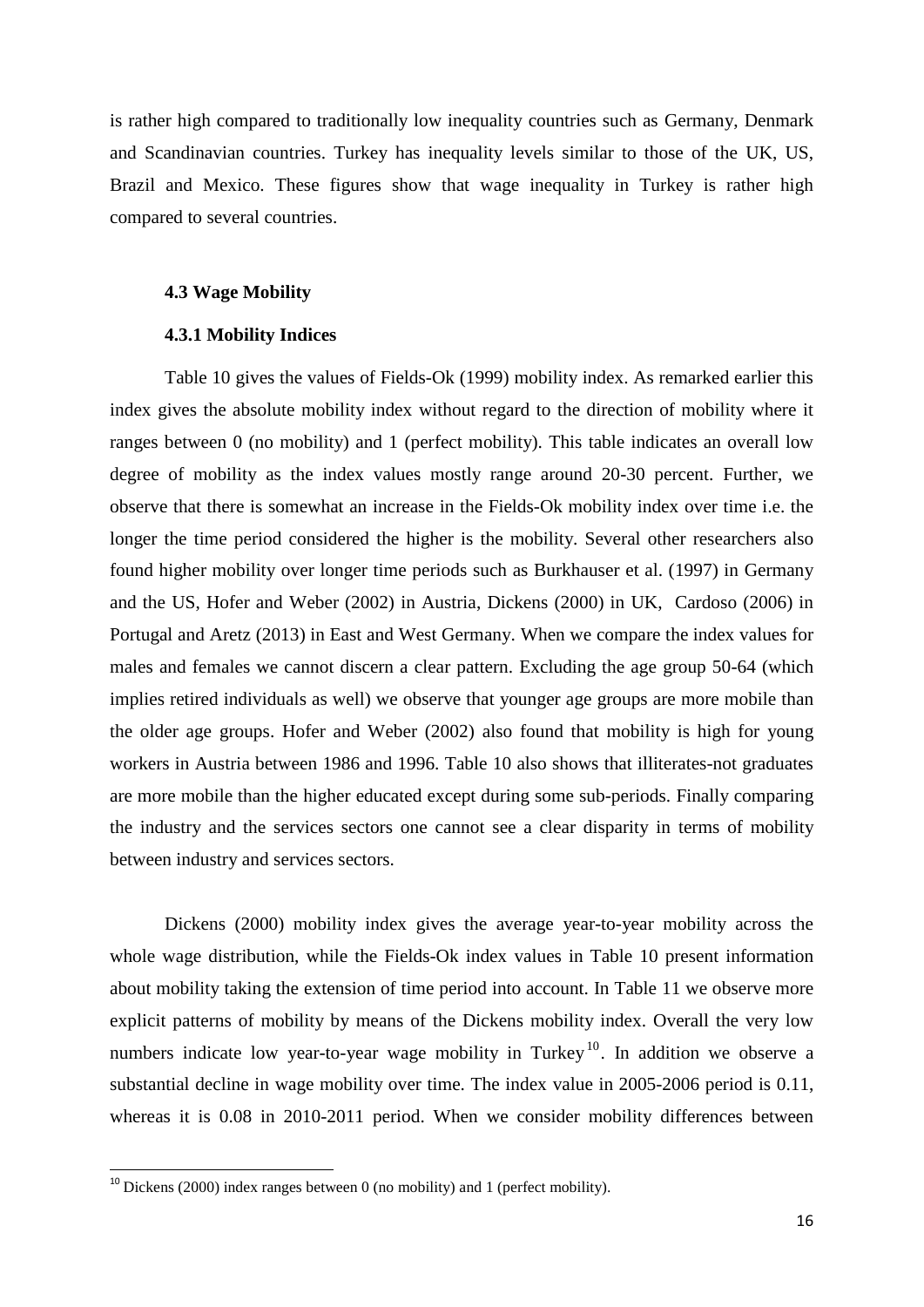is rather high compared to traditionally low inequality countries such as Germany, Denmark and Scandinavian countries. Turkey has inequality levels similar to those of the UK, US, Brazil and Mexico. These figures show that wage inequality in Turkey is rather high compared to several countries.

#### **4.3 Wage Mobility**

#### **4.3.1 Mobility Indices**

Table 10 gives the values of Fields-Ok (1999) mobility index. As remarked earlier this index gives the absolute mobility index without regard to the direction of mobility where it ranges between 0 (no mobility) and 1 (perfect mobility). This table indicates an overall low degree of mobility as the index values mostly range around 20-30 percent. Further, we observe that there is somewhat an increase in the Fields-Ok mobility index over time i.e. the longer the time period considered the higher is the mobility. Several other researchers also found higher mobility over longer time periods such as Burkhauser et al. (1997) in Germany and the US, Hofer and Weber (2002) in Austria, Dickens (2000) in UK, Cardoso (2006) in Portugal and Aretz (2013) in East and West Germany. When we compare the index values for males and females we cannot discern a clear pattern. Excluding the age group 50-64 (which implies retired individuals as well) we observe that younger age groups are more mobile than the older age groups. Hofer and Weber (2002) also found that mobility is high for young workers in Austria between 1986 and 1996. Table 10 also shows that illiterates-not graduates are more mobile than the higher educated except during some sub-periods. Finally comparing the industry and the services sectors one cannot see a clear disparity in terms of mobility between industry and services sectors.

Dickens (2000) mobility index gives the average year-to-year mobility across the whole wage distribution, while the Fields-Ok index values in Table 10 present information about mobility taking the extension of time period into account. In Table 11 we observe more explicit patterns of mobility by means of the Dickens mobility index. Overall the very low numbers indicate low year-to-year wage mobility in Turkey<sup>[10](#page-15-0)</sup>. In addition we observe a substantial decline in wage mobility over time. The index value in 2005-2006 period is 0.11, whereas it is 0.08 in 2010-2011 period. When we consider mobility differences between

 $10$  Dickens (2000) index ranges between 0 (no mobility) and 1 (perfect mobility).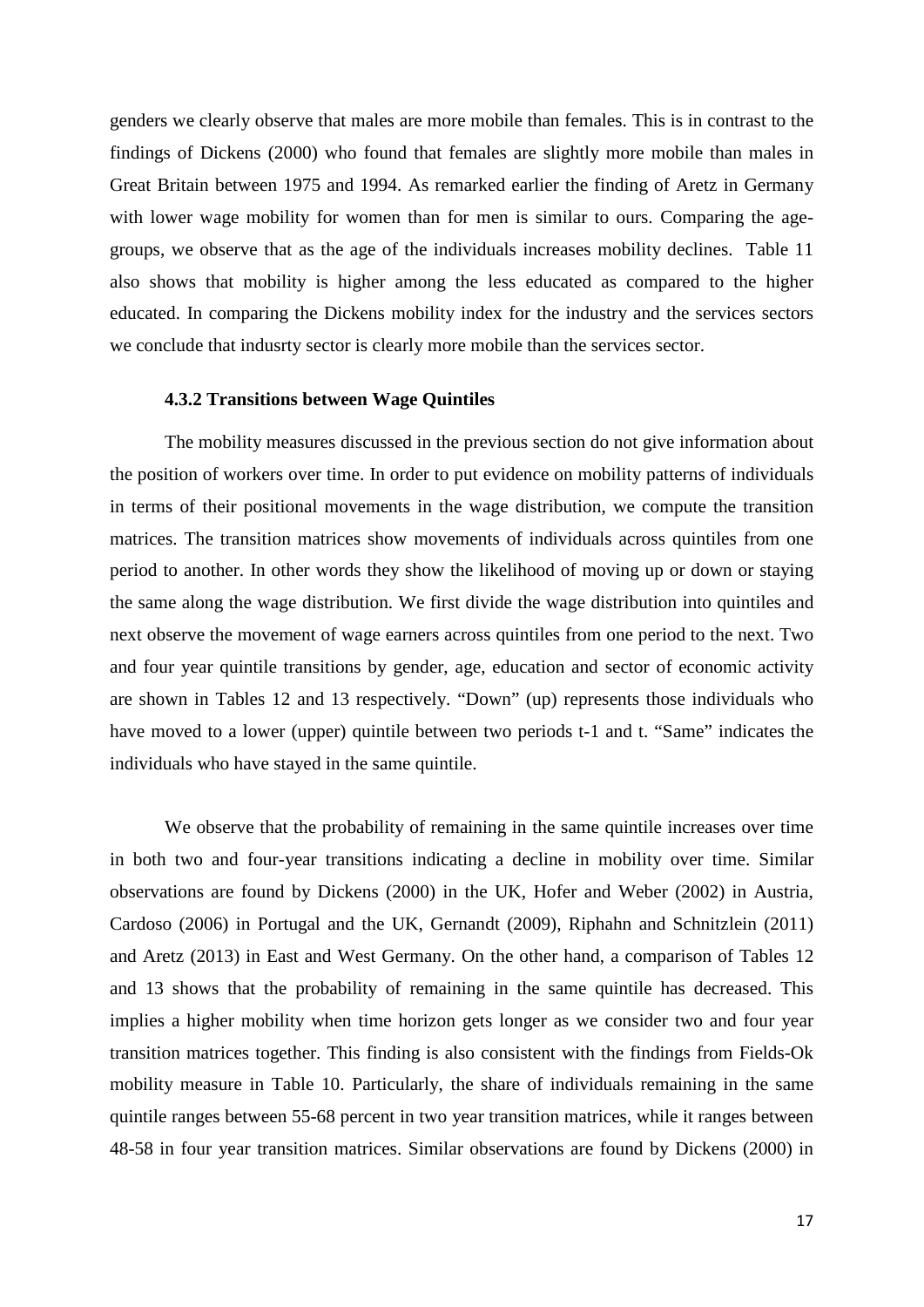genders we clearly observe that males are more mobile than females. This is in contrast to the findings of Dickens (2000) who found that females are slightly more mobile than males in Great Britain between 1975 and 1994. As remarked earlier the finding of Aretz in Germany with lower wage mobility for women than for men is similar to ours. Comparing the agegroups, we observe that as the age of the individuals increases mobility declines. Table 11 also shows that mobility is higher among the less educated as compared to the higher educated. In comparing the Dickens mobility index for the industry and the services sectors we conclude that indusrty sector is clearly more mobile than the services sector.

#### **4.3.2 Transitions between Wage Quintiles**

The mobility measures discussed in the previous section do not give information about the position of workers over time. In order to put evidence on mobility patterns of individuals in terms of their positional movements in the wage distribution, we compute the transition matrices. The transition matrices show movements of individuals across quintiles from one period to another. In other words they show the likelihood of moving up or down or staying the same along the wage distribution. We first divide the wage distribution into quintiles and next observe the movement of wage earners across quintiles from one period to the next. Two and four year quintile transitions by gender, age, education and sector of economic activity are shown in Tables 12 and 13 respectively. "Down" (up) represents those individuals who have moved to a lower (upper) quintile between two periods t-1 and t. "Same" indicates the individuals who have stayed in the same quintile.

We observe that the probability of remaining in the same quintile increases over time in both two and four-year transitions indicating a decline in mobility over time. Similar observations are found by Dickens (2000) in the UK, Hofer and Weber (2002) in Austria, Cardoso (2006) in Portugal and the UK, Gernandt (2009), Riphahn and Schnitzlein (2011) and Aretz (2013) in East and West Germany. On the other hand, a comparison of Tables 12 and 13 shows that the probability of remaining in the same quintile has decreased. This implies a higher mobility when time horizon gets longer as we consider two and four year transition matrices together. This finding is also consistent with the findings from Fields-Ok mobility measure in Table 10. Particularly, the share of individuals remaining in the same quintile ranges between 55-68 percent in two year transition matrices, while it ranges between 48-58 in four year transition matrices. Similar observations are found by Dickens (2000) in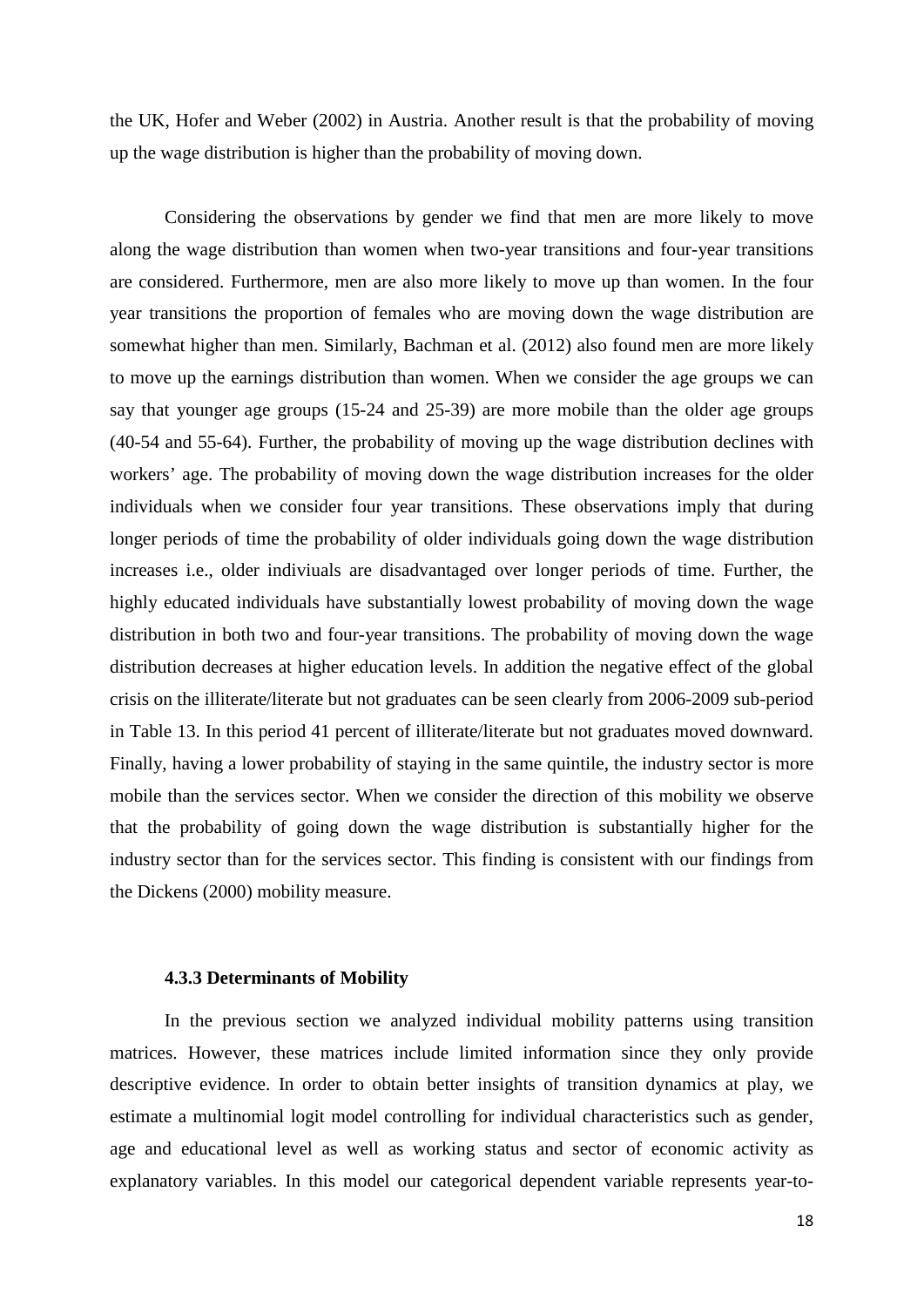the UK, Hofer and Weber (2002) in Austria. Another result is that the probability of moving up the wage distribution is higher than the probability of moving down.

Considering the observations by gender we find that men are more likely to move along the wage distribution than women when two-year transitions and four-year transitions are considered. Furthermore, men are also more likely to move up than women. In the four year transitions the proportion of females who are moving down the wage distribution are somewhat higher than men. Similarly, Bachman et al. (2012) also found men are more likely to move up the earnings distribution than women. When we consider the age groups we can say that younger age groups (15-24 and 25-39) are more mobile than the older age groups (40-54 and 55-64). Further, the probability of moving up the wage distribution declines with workers' age. The probability of moving down the wage distribution increases for the older individuals when we consider four year transitions. These observations imply that during longer periods of time the probability of older individuals going down the wage distribution increases i.e., older indiviuals are disadvantaged over longer periods of time. Further, the highly educated individuals have substantially lowest probability of moving down the wage distribution in both two and four-year transitions. The probability of moving down the wage distribution decreases at higher education levels. In addition the negative effect of the global crisis on the illiterate/literate but not graduates can be seen clearly from 2006-2009 sub-period in Table 13. In this period 41 percent of illiterate/literate but not graduates moved downward. Finally, having a lower probability of staying in the same quintile, the industry sector is more mobile than the services sector. When we consider the direction of this mobility we observe that the probability of going down the wage distribution is substantially higher for the industry sector than for the services sector. This finding is consistent with our findings from the Dickens (2000) mobility measure.

### **4.3.3 Determinants of Mobility**

In the previous section we analyzed individual mobility patterns using transition matrices. However, these matrices include limited information since they only provide descriptive evidence. In order to obtain better insights of transition dynamics at play, we estimate a multinomial logit model controlling for individual characteristics such as gender, age and educational level as well as working status and sector of economic activity as explanatory variables. In this model our categorical dependent variable represents year-to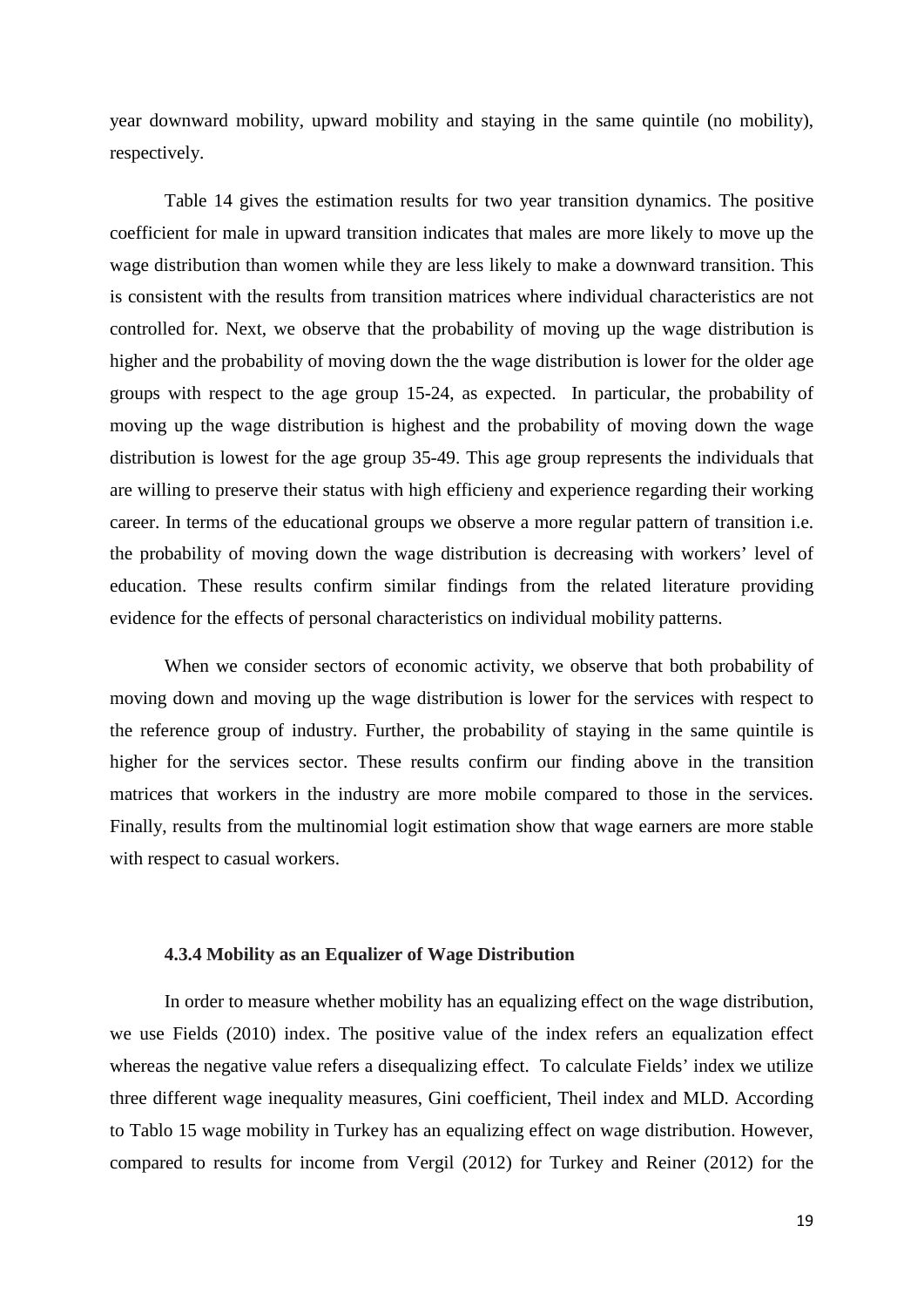year downward mobility, upward mobility and staying in the same quintile (no mobility), respectively.

Table 14 gives the estimation results for two year transition dynamics. The positive coefficient for male in upward transition indicates that males are more likely to move up the wage distribution than women while they are less likely to make a downward transition. This is consistent with the results from transition matrices where individual characteristics are not controlled for. Next, we observe that the probability of moving up the wage distribution is higher and the probability of moving down the the wage distribution is lower for the older age groups with respect to the age group 15-24, as expected. In particular, the probability of moving up the wage distribution is highest and the probability of moving down the wage distribution is lowest for the age group 35-49. This age group represents the individuals that are willing to preserve their status with high efficieny and experience regarding their working career. In terms of the educational groups we observe a more regular pattern of transition i.e. the probability of moving down the wage distribution is decreasing with workers' level of education. These results confirm similar findings from the related literature providing evidence for the effects of personal characteristics on individual mobility patterns.

When we consider sectors of economic activity, we observe that both probability of moving down and moving up the wage distribution is lower for the services with respect to the reference group of industry. Further, the probability of staying in the same quintile is higher for the services sector. These results confirm our finding above in the transition matrices that workers in the industry are more mobile compared to those in the services. Finally, results from the multinomial logit estimation show that wage earners are more stable with respect to casual workers.

#### **4.3.4 Mobility as an Equalizer of Wage Distribution**

In order to measure whether mobility has an equalizing effect on the wage distribution, we use Fields (2010) index. The positive value of the index refers an equalization effect whereas the negative value refers a disequalizing effect. To calculate Fields' index we utilize three different wage inequality measures, Gini coefficient, Theil index and MLD. According to Tablo 15 wage mobility in Turkey has an equalizing effect on wage distribution. However, compared to results for income from Vergil (2012) for Turkey and Reiner (2012) for the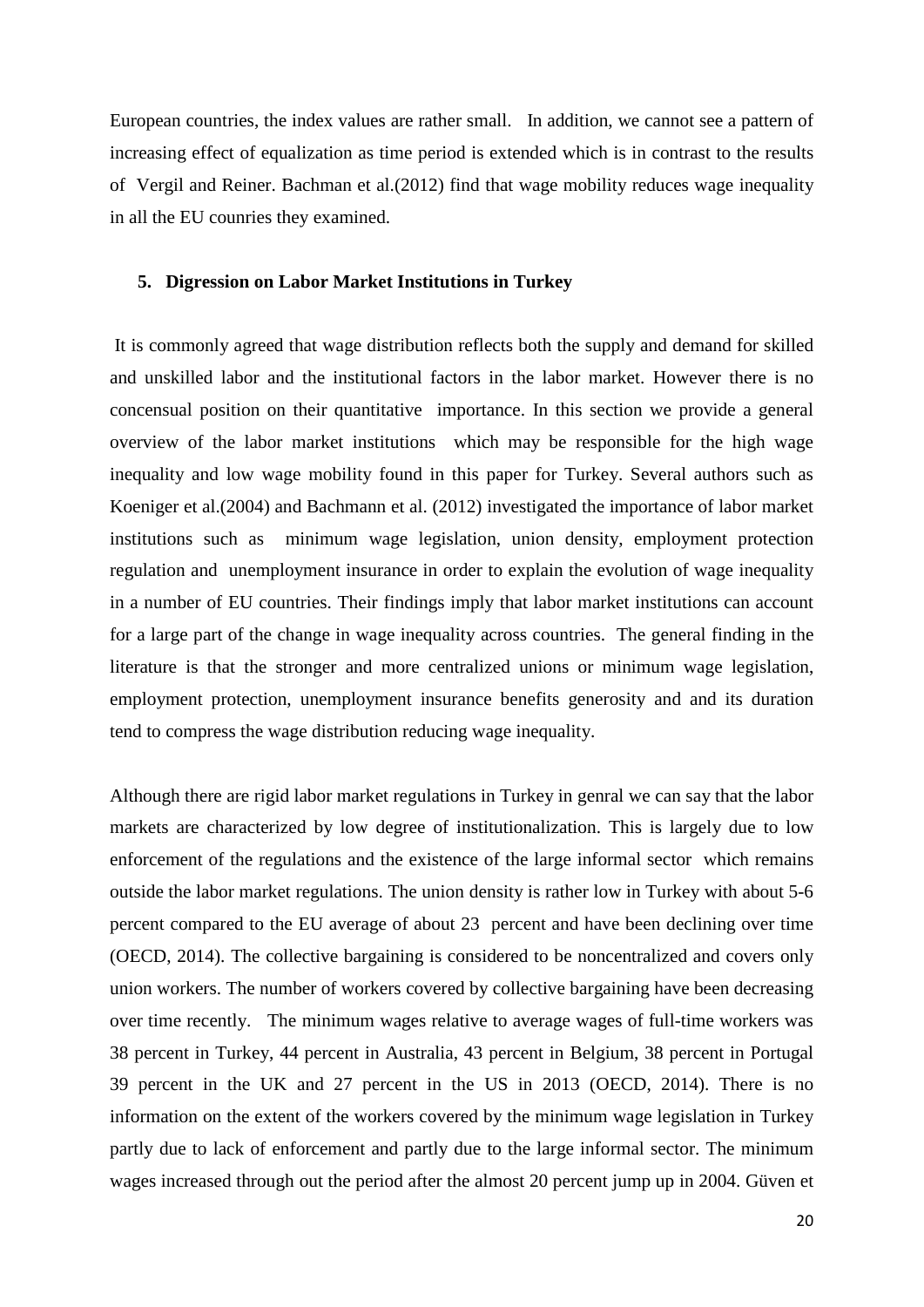European countries, the index values are rather small. In addition, we cannot see a pattern of increasing effect of equalization as time period is extended which is in contrast to the results of Vergil and Reiner. Bachman et al.(2012) find that wage mobility reduces wage inequality in all the EU counries they examined.

#### **5. Digression on Labor Market Institutions in Turkey**

It is commonly agreed that wage distribution reflects both the supply and demand for skilled and unskilled labor and the institutional factors in the labor market. However there is no concensual position on their quantitative importance. In this section we provide a general overview of the labor market institutions which may be responsible for the high wage inequality and low wage mobility found in this paper for Turkey. Several authors such as Koeniger et al.(2004) and Bachmann et al. (2012) investigated the importance of labor market institutions such as minimum wage legislation, union density, employment protection regulation and unemployment insurance in order to explain the evolution of wage inequality in a number of EU countries. Their findings imply that labor market institutions can account for a large part of the change in wage inequality across countries. The general finding in the literature is that the stronger and more centralized unions or minimum wage legislation, employment protection, unemployment insurance benefits generosity and and its duration tend to compress the wage distribution reducing wage inequality.

Although there are rigid labor market regulations in Turkey in genral we can say that the labor markets are characterized by low degree of institutionalization. This is largely due to low enforcement of the regulations and the existence of the large informal sector which remains outside the labor market regulations. The union density is rather low in Turkey with about 5-6 percent compared to the EU average of about 23 percent and have been declining over time (OECD, 2014). The collective bargaining is considered to be noncentralized and covers only union workers. The number of workers covered by collective bargaining have been decreasing over time recently. The minimum wages relative to average wages of full-time workers was 38 percent in Turkey, 44 percent in Australia, 43 percent in Belgium, 38 percent in Portugal 39 percent in the UK and 27 percent in the US in 2013 (OECD, 2014). There is no information on the extent of the workers covered by the minimum wage legislation in Turkey partly due to lack of enforcement and partly due to the large informal sector. The minimum wages increased through out the period after the almost 20 percent jump up in 2004. Güven et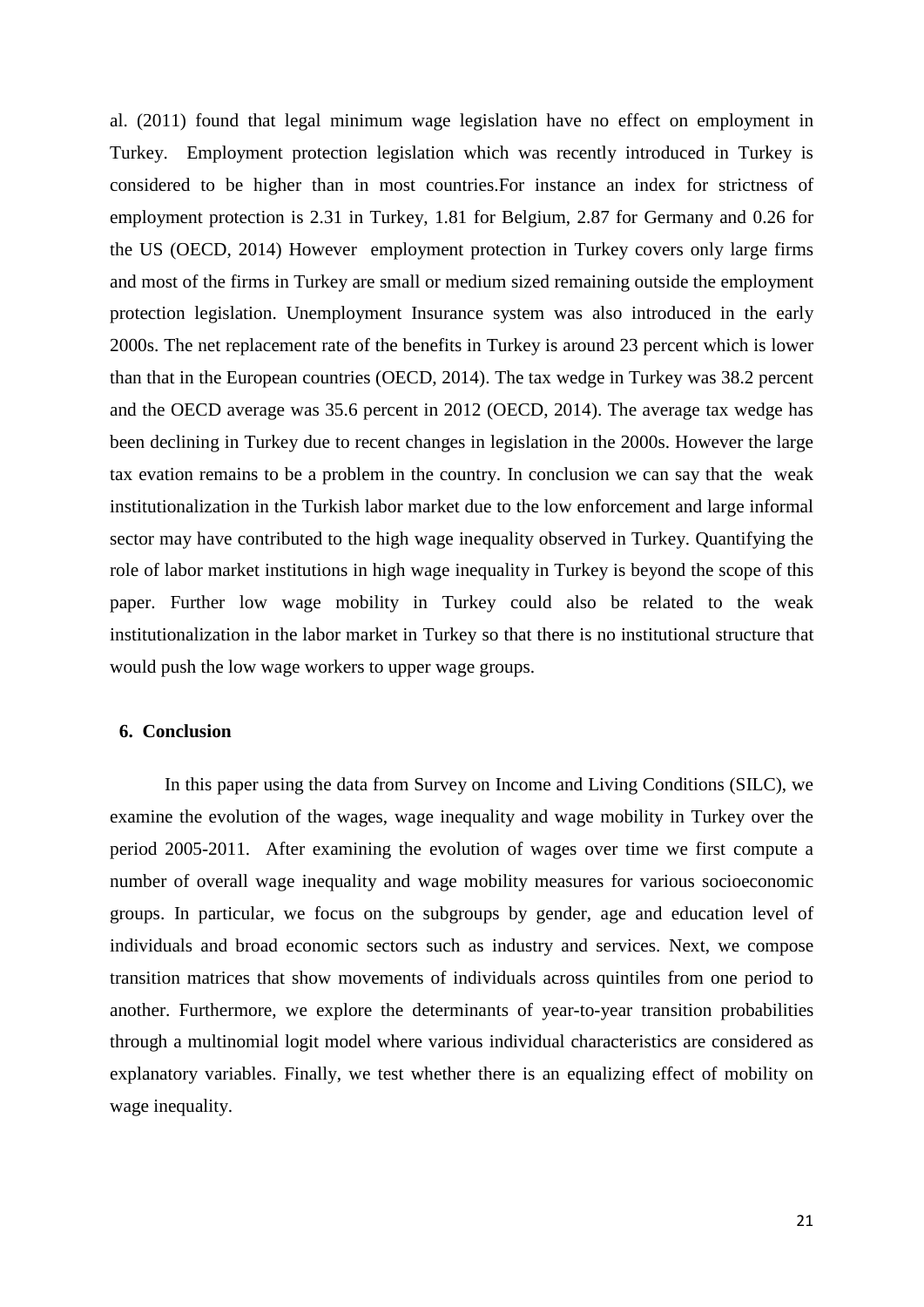al. (2011) found that legal minimum wage legislation have no effect on employment in Turkey. Employment protection legislation which was recently introduced in Turkey is considered to be higher than in most countries.For instance an index for strictness of employment protection is 2.31 in Turkey, 1.81 for Belgium, 2.87 for Germany and 0.26 for the US (OECD, 2014) However employment protection in Turkey covers only large firms and most of the firms in Turkey are small or medium sized remaining outside the employment protection legislation. Unemployment Insurance system was also introduced in the early 2000s. The net replacement rate of the benefits in Turkey is around 23 percent which is lower than that in the European countries (OECD, 2014). The tax wedge in Turkey was 38.2 percent and the OECD average was 35.6 percent in 2012 (OECD, 2014). The average tax wedge has been declining in Turkey due to recent changes in legislation in the 2000s. However the large tax evation remains to be a problem in the country. In conclusion we can say that the weak institutionalization in the Turkish labor market due to the low enforcement and large informal sector may have contributed to the high wage inequality observed in Turkey. Quantifying the role of labor market institutions in high wage inequality in Turkey is beyond the scope of this paper. Further low wage mobility in Turkey could also be related to the weak institutionalization in the labor market in Turkey so that there is no institutional structure that would push the low wage workers to upper wage groups.

#### **6. Conclusion**

In this paper using the data from Survey on Income and Living Conditions (SILC), we examine the evolution of the wages, wage inequality and wage mobility in Turkey over the period 2005-2011. After examining the evolution of wages over time we first compute a number of overall wage inequality and wage mobility measures for various socioeconomic groups. In particular, we focus on the subgroups by gender, age and education level of individuals and broad economic sectors such as industry and services. Next, we compose transition matrices that show movements of individuals across quintiles from one period to another. Furthermore, we explore the determinants of year-to-year transition probabilities through a multinomial logit model where various individual characteristics are considered as explanatory variables. Finally, we test whether there is an equalizing effect of mobility on wage inequality.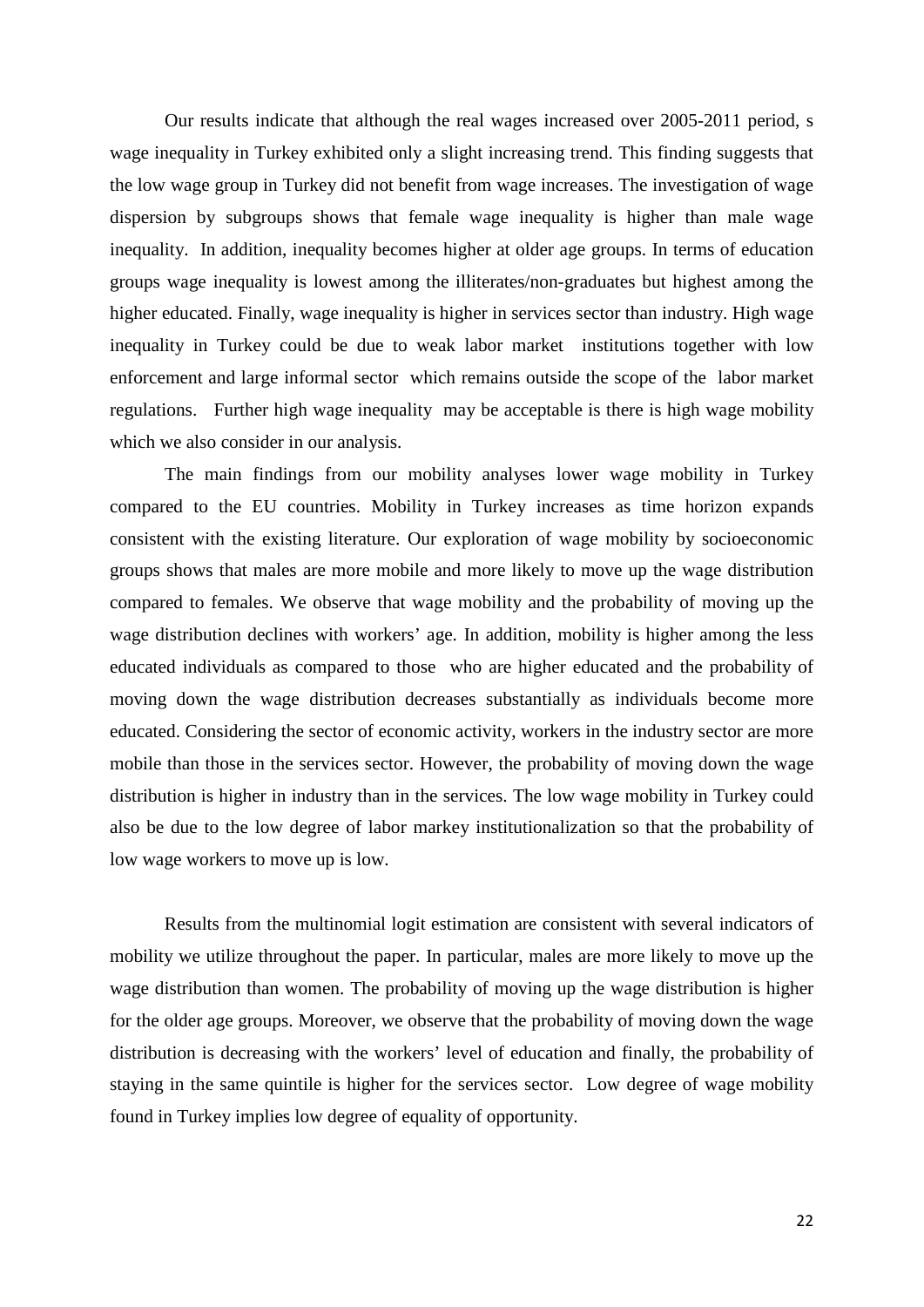Our results indicate that although the real wages increased over 2005-2011 period, s wage inequality in Turkey exhibited only a slight increasing trend. This finding suggests that the low wage group in Turkey did not benefit from wage increases. The investigation of wage dispersion by subgroups shows that female wage inequality is higher than male wage inequality. In addition, inequality becomes higher at older age groups. In terms of education groups wage inequality is lowest among the illiterates/non-graduates but highest among the higher educated. Finally, wage inequality is higher in services sector than industry. High wage inequality in Turkey could be due to weak labor market institutions together with low enforcement and large informal sector which remains outside the scope of the labor market regulations. Further high wage inequality may be acceptable is there is high wage mobility which we also consider in our analysis.

The main findings from our mobility analyses lower wage mobility in Turkey compared to the EU countries. Mobility in Turkey increases as time horizon expands consistent with the existing literature. Our exploration of wage mobility by socioeconomic groups shows that males are more mobile and more likely to move up the wage distribution compared to females. We observe that wage mobility and the probability of moving up the wage distribution declines with workers' age. In addition, mobility is higher among the less educated individuals as compared to those who are higher educated and the probability of moving down the wage distribution decreases substantially as individuals become more educated. Considering the sector of economic activity, workers in the industry sector are more mobile than those in the services sector. However, the probability of moving down the wage distribution is higher in industry than in the services. The low wage mobility in Turkey could also be due to the low degree of labor markey institutionalization so that the probability of low wage workers to move up is low.

Results from the multinomial logit estimation are consistent with several indicators of mobility we utilize throughout the paper. In particular, males are more likely to move up the wage distribution than women. The probability of moving up the wage distribution is higher for the older age groups. Moreover, we observe that the probability of moving down the wage distribution is decreasing with the workers' level of education and finally, the probability of staying in the same quintile is higher for the services sector. Low degree of wage mobility found in Turkey implies low degree of equality of opportunity.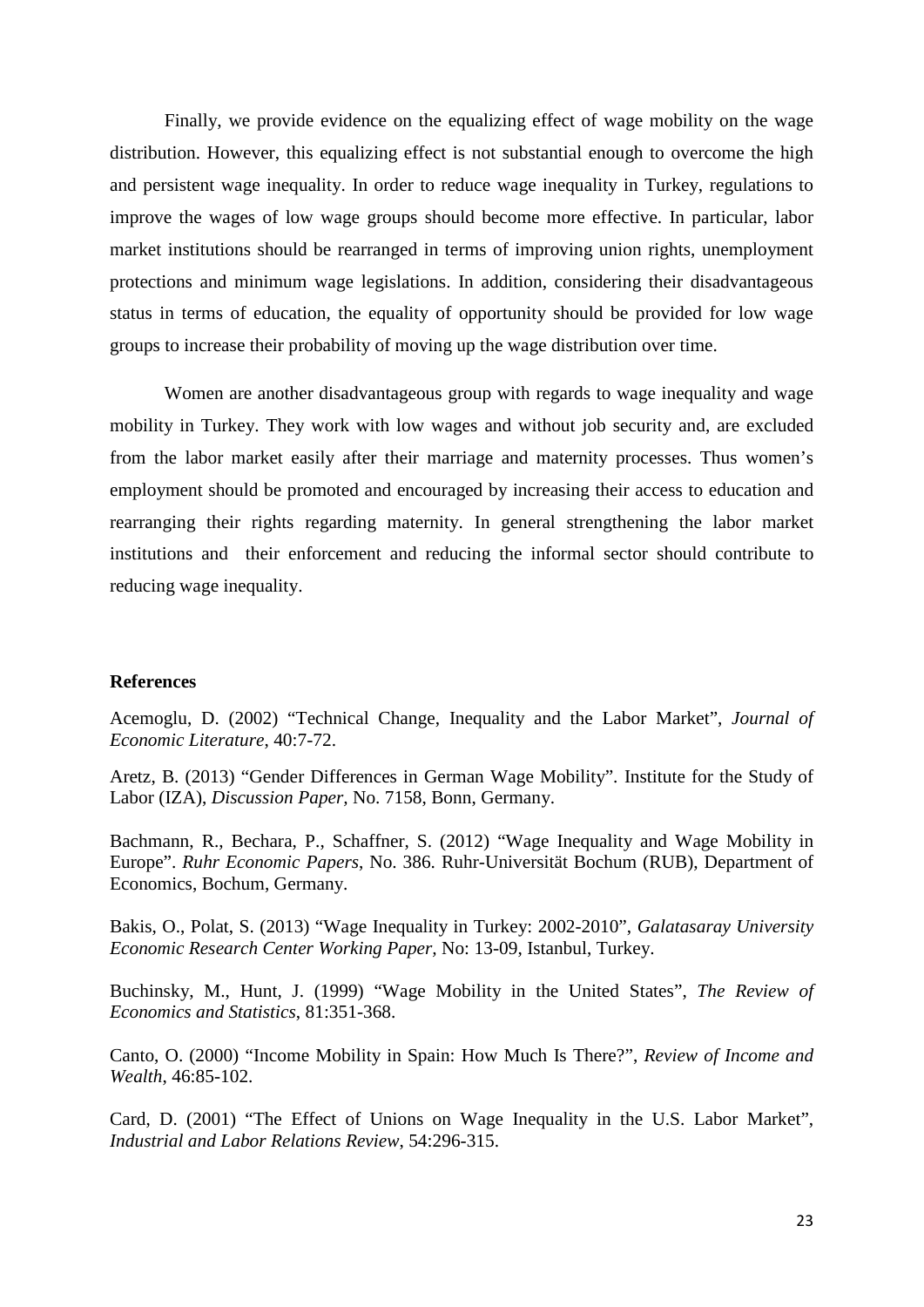Finally, we provide evidence on the equalizing effect of wage mobility on the wage distribution. However, this equalizing effect is not substantial enough to overcome the high and persistent wage inequality. In order to reduce wage inequality in Turkey, regulations to improve the wages of low wage groups should become more effective. In particular, labor market institutions should be rearranged in terms of improving union rights, unemployment protections and minimum wage legislations. In addition, considering their disadvantageous status in terms of education, the equality of opportunity should be provided for low wage groups to increase their probability of moving up the wage distribution over time.

Women are another disadvantageous group with regards to wage inequality and wage mobility in Turkey. They work with low wages and without job security and, are excluded from the labor market easily after their marriage and maternity processes. Thus women's employment should be promoted and encouraged by increasing their access to education and rearranging their rights regarding maternity. In general strengthening the labor market institutions and their enforcement and reducing the informal sector should contribute to reducing wage inequality.

#### **References**

Acemoglu, D. (2002) "Technical Change, Inequality and the Labor Market", *Journal of Economic Literature*, 40:7-72.

Aretz, B. (2013) "Gender Differences in German Wage Mobility". Institute for the Study of Labor (IZA), *Discussion Paper,* No. 7158, Bonn, Germany.

Bachmann, R., Bechara, P., Schaffner, S. (2012) "Wage Inequality and Wage Mobility in Europe". *Ruhr Economic Papers*, No. 386. Ruhr-Universität Bochum (RUB), Department of Economics, Bochum, Germany.

Bakis, O., Polat, S. (2013) "Wage Inequality in Turkey: 2002-2010", *Galatasaray University Economic Research Center Working Paper,* No: 13-09, Istanbul, Turkey.

Buchinsky, M., Hunt, J. (1999) "Wage Mobility in the United States", *The Review of Economics and Statistics*, 81:351-368.

Canto, O. (2000) "Income Mobility in Spain: How Much Is There?", *Review of Income and Wealth*, 46:85-102.

Card, D. (2001) "The Effect of Unions on Wage Inequality in the U.S. Labor Market", *Industrial and Labor Relations Review*, 54:296-315.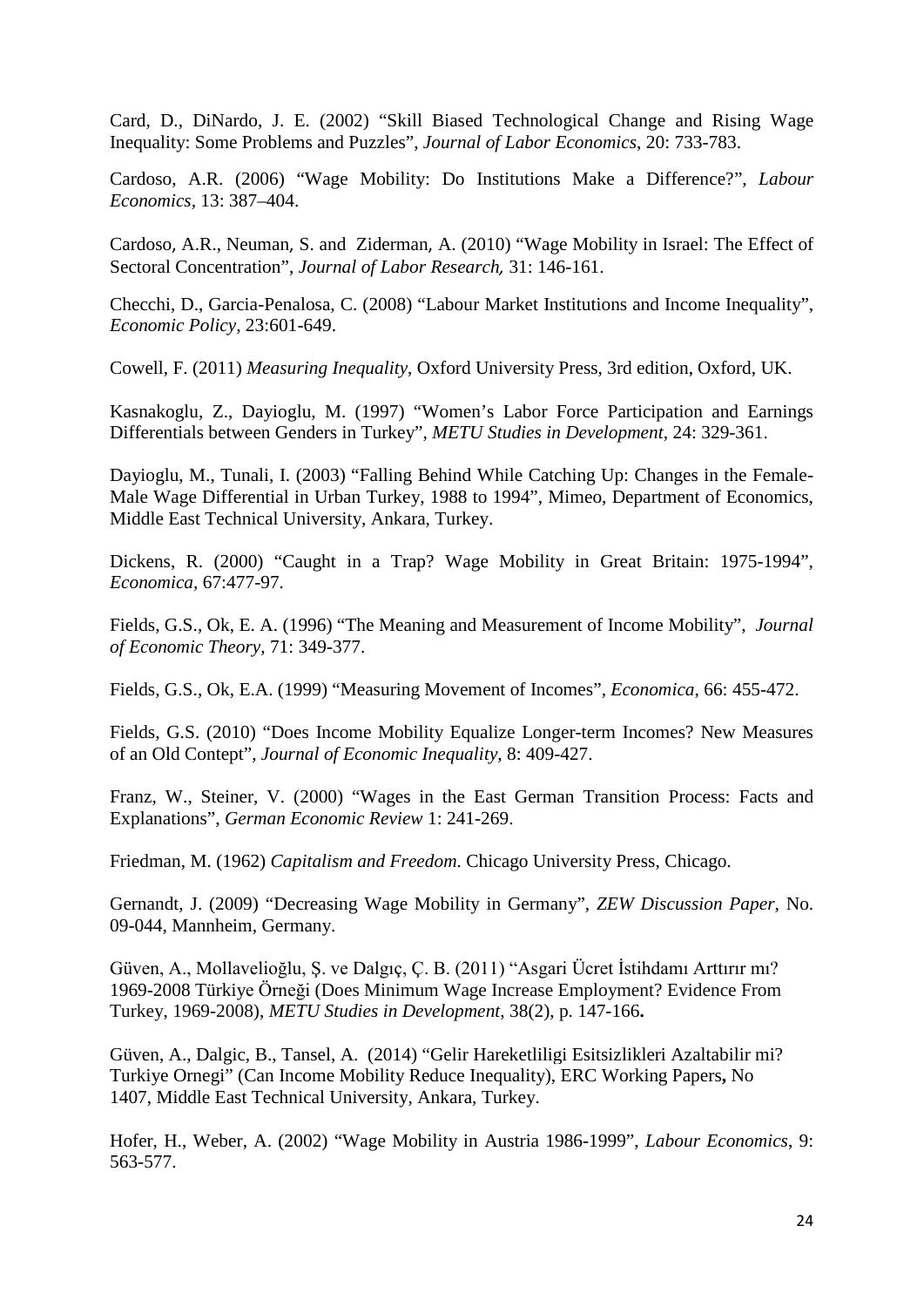Card, D., DiNardo, J. E. (2002) "Skill Biased Technological Change and Rising Wage Inequality: Some Problems and Puzzles", *Journal of Labor Economics*, 20: 733-783.

Cardoso, A.R. (2006) "Wage Mobility: Do Institutions Make a Difference?", *Labour Economics,* 13: 387–404.

[Cardoso](http://link.springer.com/search?facet-author=%22Ana+Rute+Cardoso%22), A.R., [Neuman](http://link.springer.com/search?facet-author=%22Shoshana+Neuman%22), S. and [Ziderman](http://link.springer.com/search?facet-author=%22Adrian+Ziderman%22), A. (2010) "Wage Mobility in Israel: The Effect of Sectoral Concentration", *[Journal of Labor Research](http://link.springer.com/journal/12122),* 31: 146-161.

Checchi, D., Garcia-Penalosa, C. (2008) "Labour Market Institutions and Income Inequality", *Economic Policy,* 23:601-649.

Cowell, F. (2011) *Measuring Inequality*, Oxford University Press, 3rd edition, Oxford, UK.

Kasnakoglu, Z., Dayioglu, M. (1997) "Women's Labor Force Participation and Earnings Differentials between Genders in Turkey", *METU Studies in Development*, 24: 329-361.

Dayioglu, M., Tunali, I. (2003) "Falling Behind While Catching Up: Changes in the Female-Male Wage Differential in Urban Turkey, 1988 to 1994", Mimeo, Department of Economics, Middle East Technical University, Ankara, Turkey.

Dickens, R. (2000) "Caught in a Trap? Wage Mobility in Great Britain: 1975-1994", *Economica,* 67:477-97.

Fields, G.S., Ok, E. A. (1996) "The Meaning and Measurement of Income Mobility", *Journal of Economic Theory,* 71: 349-377.

Fields, G.S., Ok, E.A. (1999) "Measuring Movement of Incomes", *Economica*, 66: 455-472.

Fields, G.S. (2010) "Does Income Mobility Equalize Longer-term Incomes? New Measures of an Old Contept", *Journal of Economic Inequality*, 8: 409-427.

Franz, W., Steiner, V. (2000) "Wages in the East German Transition Process: Facts and Explanations", *German Economic Review* 1: 241-269.

Friedman, M. (1962) *Capitalism and Freedom*. Chicago University Press, Chicago.

Gernandt, J. (2009) "Decreasing Wage Mobility in Germany", *ZEW Discussion Paper*, No. 09-044, Mannheim, Germany.

Güven, A., Mollavelioğlu, Ş. ve Dalgıç, Ç. B. (2011) "Asgari Ücret İstihdamı Arttırır mı? 1969-2008 Türkiye Örneği (Does Minimum Wage Increase Employment? Evidence From Turkey, 1969-2008), *METU Studies in Development*, 38(2), p. 147-166**.**

Güven, A., Dalgic, B., Tansel, A. (2014) "Gelir Hareketliligi Esitsizlikleri Azaltabilir mi? Turkiye Ornegi" (Can Income Mobility Reduce Inequality), [ERC Working Papers](http://econpapers.repec.org/paper/metwpaper/)**,** No 1407, [Middle East Technical University,](http://www.erc.metu.edu.tr/) Ankara, Turkey.

Hofer, H., Weber, A. (2002) "Wage Mobility in Austria 1986-1999", *Labour Economics*, 9: 563-577.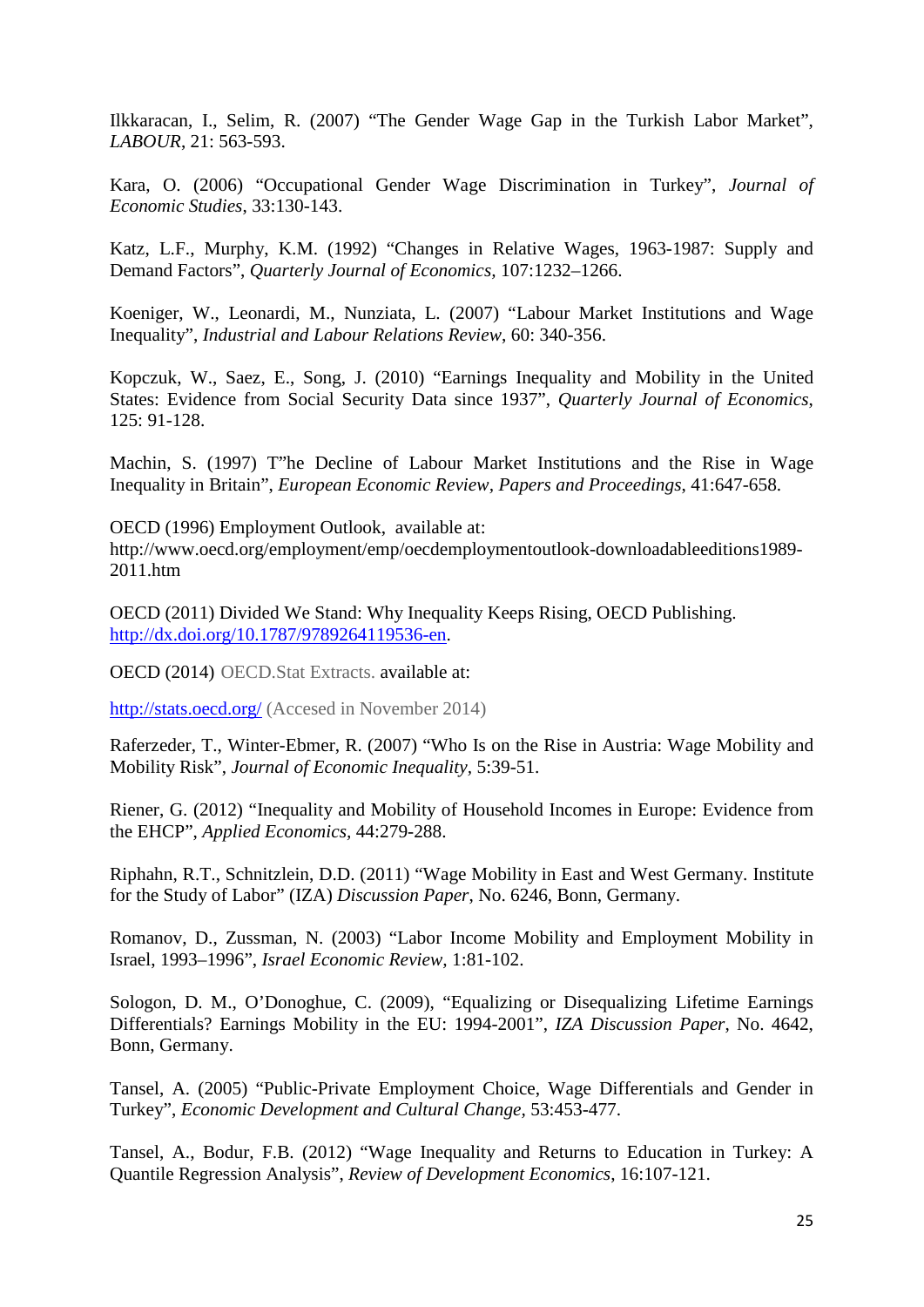Ilkkaracan, I., Selim, R. (2007) "The Gender Wage Gap in the Turkish Labor Market", *LABOUR*, 21: 563-593.

Kara, O. (2006) "Occupational Gender Wage Discrimination in Turkey", *Journal of Economic Studies*, 33:130-143.

Katz, L.F., Murphy, K.M. (1992) "Changes in Relative Wages, 1963-1987: Supply and Demand Factors", *Quarterly Journal of Economics,* 107:1232–1266.

Koeniger, W., Leonardi, M., Nunziata, L. (2007) "Labour Market Institutions and Wage Inequality", *Industrial and Labour Relations Review*, 60: 340-356.

Kopczuk, W., Saez, E., Song, J. (2010) "Earnings Inequality and Mobility in the United States: Evidence from Social Security Data since 1937", *Quarterly Journal of Economics*, 125: 91-128.

Machin, S. (1997) T"he Decline of Labour Market Institutions and the Rise in Wage Inequality in Britain", *European Economic Review, Papers and Proceedings*, 41:647-658.

OECD (1996) Employment Outlook, available at: http://www.oecd.org/employment/emp/oecdemploymentoutlook-downloadableeditions1989- 2011.htm

OECD (2011) Divided We Stand: Why Inequality Keeps Rising, OECD Publishing. [http://dx.doi.org/10.1787/9789264119536-en.](http://dx.doi.org/10.1787/9789264119536-en)

OECD (2014) OECD.Stat Extracts. available at:

<http://stats.oecd.org/> (Accesed in November 2014)

Raferzeder, T., Winter-Ebmer, R. (2007) "Who Is on the Rise in Austria: Wage Mobility and Mobility Risk", *Journal of Economic Inequality,* 5:39-51.

Riener, G. (2012) "Inequality and Mobility of Household Incomes in Europe: Evidence from the EHCP", *Applied Economics,* 44:279-288.

Riphahn, R.T., Schnitzlein, D.D. (2011) "Wage Mobility in East and West Germany. Institute for the Study of Labor" (IZA) *Discussion Paper*, No. 6246, Bonn, Germany.

Romanov, D., Zussman, N. (2003) "Labor Income Mobility and Employment Mobility in Israel, 1993–1996", *Israel Economic Review,* 1:81-102.

Sologon, D. M., O'Donoghue, C. (2009), "Equalizing or Disequalizing Lifetime Earnings Differentials? Earnings Mobility in the EU: 1994-2001", *IZA Discussion Paper*, No. 4642, Bonn, Germany.

Tansel, A. (2005) "Public-Private Employment Choice, Wage Differentials and Gender in Turkey", *Economic Development and Cultural Change,* 53:453-477.

Tansel, A., Bodur, F.B. (2012) "Wage Inequality and Returns to Education in Turkey: A Quantile Regression Analysis", *Review of Development Economics*, 16:107-121.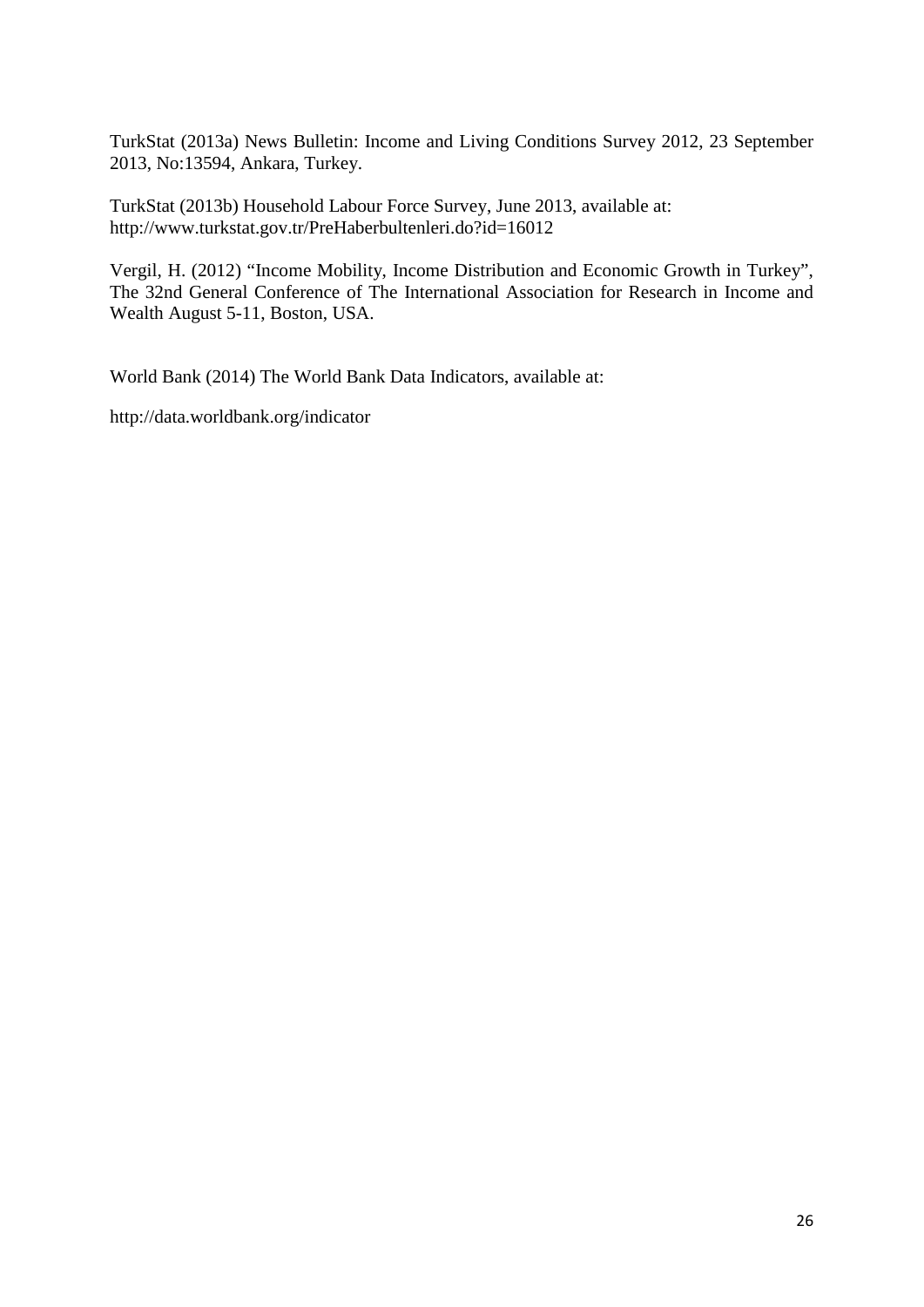TurkStat (2013a) News Bulletin: Income and Living Conditions Survey 2012, 23 September 2013, No:13594, Ankara, Turkey.

TurkStat (2013b) Household Labour Force Survey, June 2013, available at: http://www.turkstat.gov.tr/PreHaberbultenleri.do?id=16012

Vergil, H. (2012) "Income Mobility, Income Distribution and Economic Growth in Turkey", The 32nd General Conference of The International Association for Research in Income and Wealth August 5-11, Boston, USA.

World Bank (2014) The World Bank Data Indicators, available at:

http://data.worldbank.org/indicator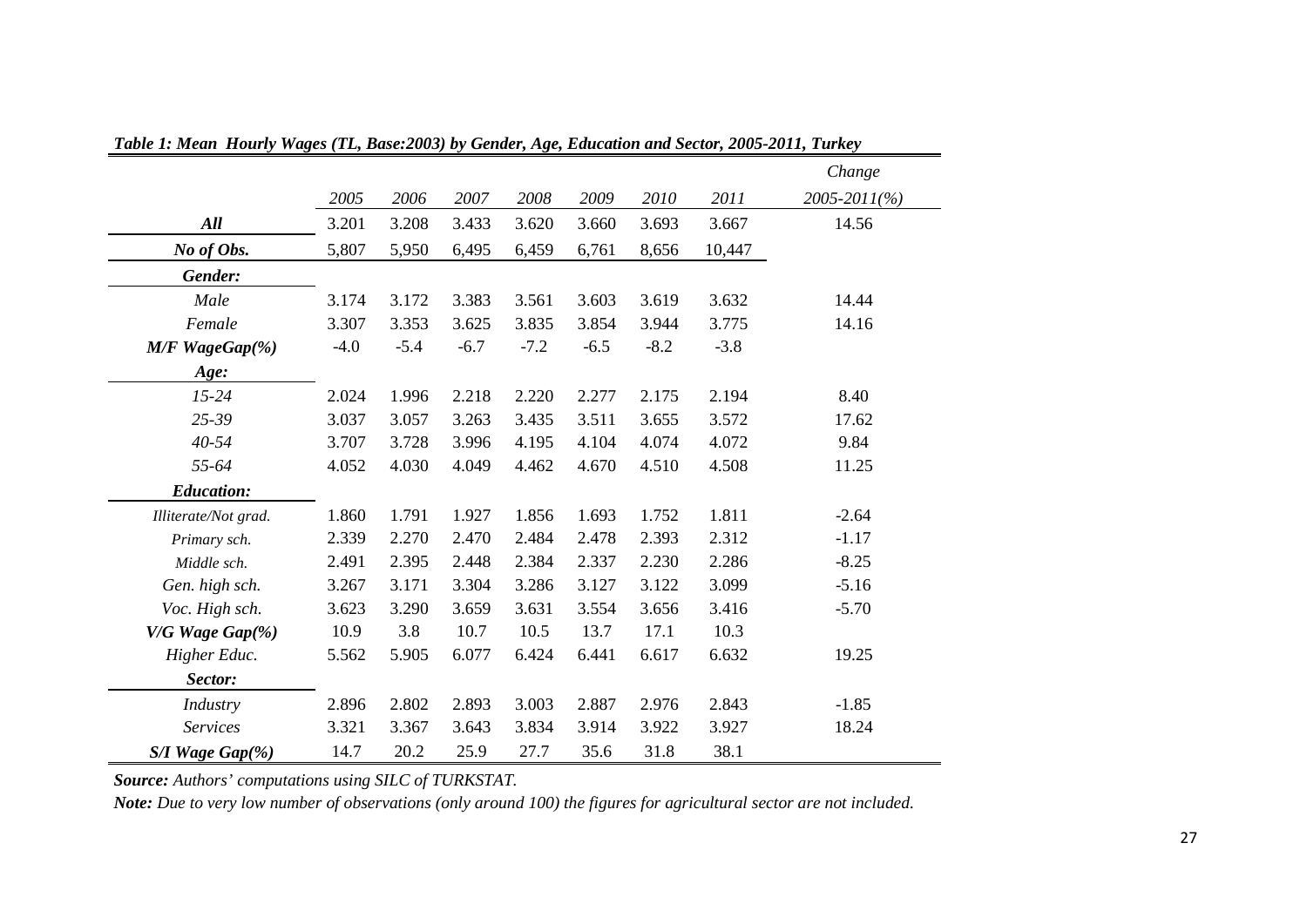|                      |        |        |        |        |        |        |        | Change       |
|----------------------|--------|--------|--------|--------|--------|--------|--------|--------------|
|                      | 2005   | 2006   | 2007   | 2008   | 2009   | 2010   | 2011   | 2005-2011(%) |
| All                  | 3.201  | 3.208  | 3.433  | 3.620  | 3.660  | 3.693  | 3.667  | 14.56        |
| No of Obs.           | 5,807  | 5,950  | 6,495  | 6,459  | 6,761  | 8,656  | 10,447 |              |
| Gender:              |        |        |        |        |        |        |        |              |
| Male                 | 3.174  | 3.172  | 3.383  | 3.561  | 3.603  | 3.619  | 3.632  | 14.44        |
| Female               | 3.307  | 3.353  | 3.625  | 3.835  | 3.854  | 3.944  | 3.775  | 14.16        |
| M/F WageGap(%)       | $-4.0$ | $-5.4$ | $-6.7$ | $-7.2$ | $-6.5$ | $-8.2$ | $-3.8$ |              |
| Age:                 |        |        |        |        |        |        |        |              |
| $15 - 24$            | 2.024  | 1.996  | 2.218  | 2.220  | 2.277  | 2.175  | 2.194  | 8.40         |
| 25-39                | 3.037  | 3.057  | 3.263  | 3.435  | 3.511  | 3.655  | 3.572  | 17.62        |
| $40 - 54$            | 3.707  | 3.728  | 3.996  | 4.195  | 4.104  | 4.074  | 4.072  | 9.84         |
| 55-64                | 4.052  | 4.030  | 4.049  | 4.462  | 4.670  | 4.510  | 4.508  | 11.25        |
| <b>Education:</b>    |        |        |        |        |        |        |        |              |
| Illiterate/Not grad. | 1.860  | 1.791  | 1.927  | 1.856  | 1.693  | 1.752  | 1.811  | $-2.64$      |
| Primary sch.         | 2.339  | 2.270  | 2.470  | 2.484  | 2.478  | 2.393  | 2.312  | $-1.17$      |
| Middle sch.          | 2.491  | 2.395  | 2.448  | 2.384  | 2.337  | 2.230  | 2.286  | $-8.25$      |
| Gen. high sch.       | 3.267  | 3.171  | 3.304  | 3.286  | 3.127  | 3.122  | 3.099  | $-5.16$      |
| Voc. High sch.       | 3.623  | 3.290  | 3.659  | 3.631  | 3.554  | 3.656  | 3.416  | $-5.70$      |
| V/G Wage Gap(%)      | 10.9   | 3.8    | 10.7   | 10.5   | 13.7   | 17.1   | 10.3   |              |
| Higher Educ.         | 5.562  | 5.905  | 6.077  | 6.424  | 6.441  | 6.617  | 6.632  | 19.25        |
| Sector:              |        |        |        |        |        |        |        |              |
| Industry             | 2.896  | 2.802  | 2.893  | 3.003  | 2.887  | 2.976  | 2.843  | $-1.85$      |
| <b>Services</b>      | 3.321  | 3.367  | 3.643  | 3.834  | 3.914  | 3.922  | 3.927  | 18.24        |
| S/I Wage Gap(%)      | 14.7   | 20.2   | 25.9   | 27.7   | 35.6   | 31.8   | 38.1   |              |

*Table 1: Mean Hourly Wages (TL, Base:2003) by Gender, Age, Education and Sector, 2005-2011, Turkey*

*Source: Authors' computations using SILC of TURKSTAT.* 

*Note: Due to very low number of observations (only around 100) the figures for agricultural sector are not included.*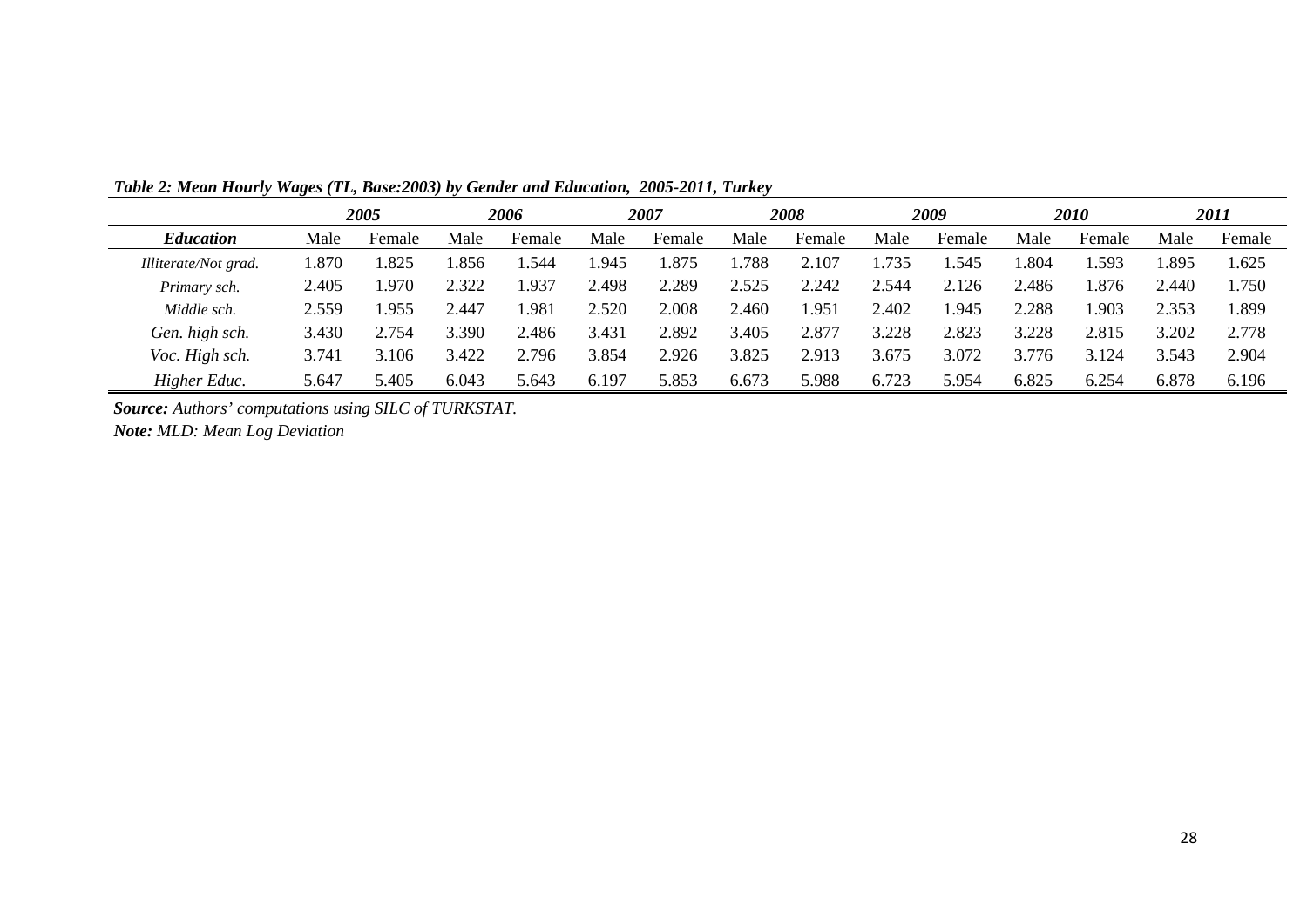|                      |       | 2005   |       | 2006   |       | 2007   |       | 2008   |       | 2009   |       | 2010   |       | 2011   |
|----------------------|-------|--------|-------|--------|-------|--------|-------|--------|-------|--------|-------|--------|-------|--------|
| <b>Education</b>     | Male  | Female | Male  | Female | Male  | Female | Male  | Female | Male  | Female | Male  | Female | Male  | Female |
| Illiterate/Not grad. | .870  | .825   | .856  | .544   | .945  | .875   | .788  | 2.107  | .735  | .545   | .804  | .593   | .895  | 1.625  |
| Primary sch.         | 2.405 | .970   | 2.322 | .937   | 4.498 | 2.289  | 2.525 | 2.242  | .544  | 2.126  | 2.486 | 1.876  | 2.440 | 1.750  |
| Middle sch.          | 2.559 | .955   | 2.447 | .98    | 2.520 | 2.008  | 2.460 | .951   | 2.402 | .945   | 2.288 | .903   | 2.353 | 1.899  |
| Gen. high sch.       | 3.430 | 2.754  | 3.390 | 2.486  | 3.431 | 2.892  | 3.405 | 2.877  | 3.228 | 2.823  | 3.228 | 2.815  | 3.202 | 2.778  |
| Voc. High sch.       | 3.741 | 3.106  | 3.422 | 2.796  | 3.854 | 2.926  | 3.825 | 2.913  | 3.675 | 3.072  | 3.776 | 3.124  | 3.543 | 2.904  |
| Higher Educ.         | 5.647 | 5.405  | 6.043 | 5.643  | 6.197 | 5.853  | 6.673 | 5.988  | 6.723 | 5.954  | 6.825 | 6.254  | 6.878 | 6.196  |

*Table 2: Mean Hourly Wages (TL, Base:2003) by Gender and Education, 2005-2011, Turkey*

*Source: Authors' computations using SILC of TURKSTAT.*

*Note: MLD: Mean Log Deviation*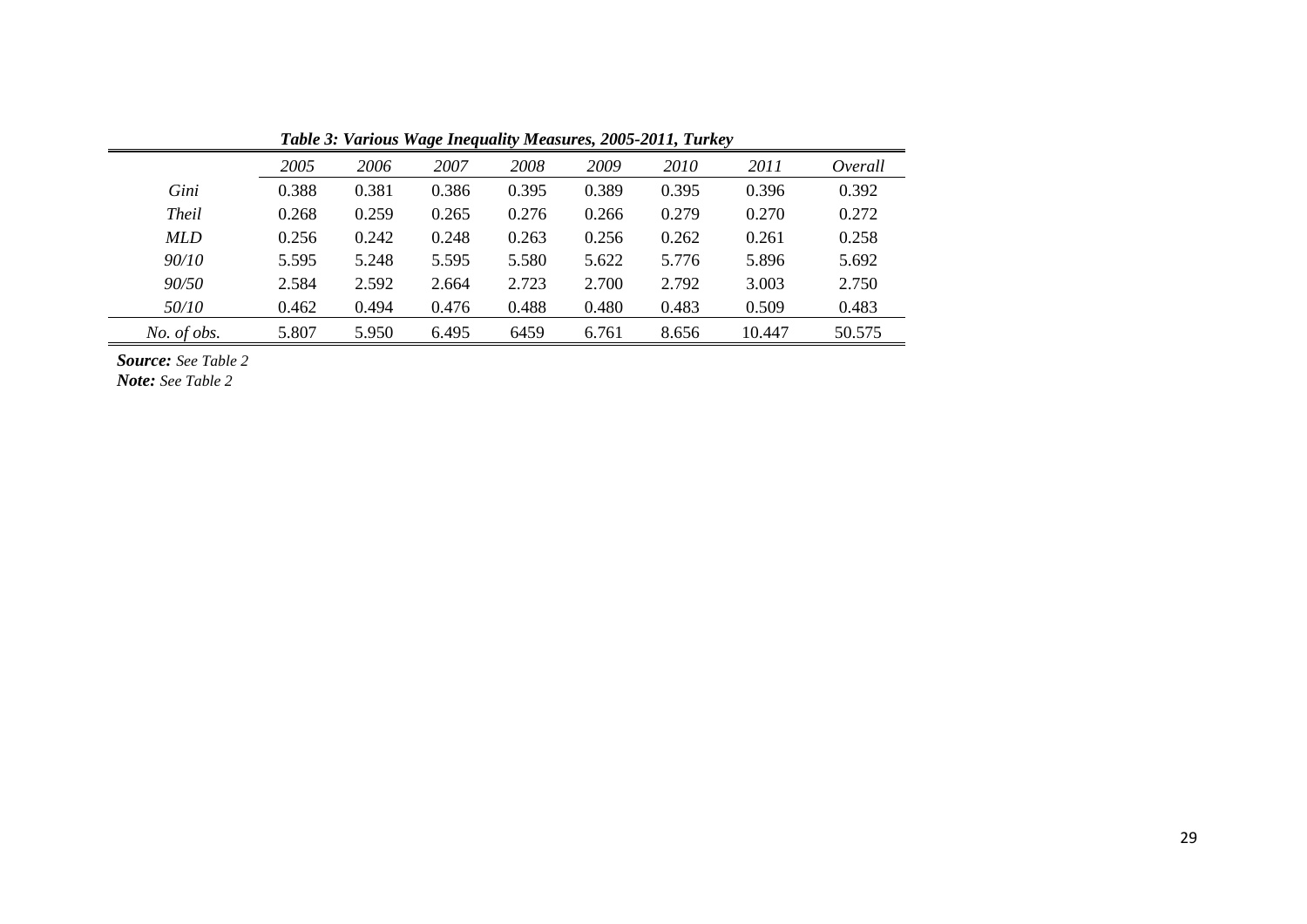|              |       |       |       |       |       | Table 5: Various Wage Inequality Measures, 2003-2011, Turkey |        |         |
|--------------|-------|-------|-------|-------|-------|--------------------------------------------------------------|--------|---------|
|              | 2005  | 2006  | 2007  | 2008  | 2009  | 2010                                                         | 2011   | Overall |
| Gini         | 0.388 | 0.381 | 0.386 | 0.395 | 0.389 | 0.395                                                        | 0.396  | 0.392   |
| <b>Theil</b> | 0.268 | 0.259 | 0.265 | 0.276 | 0.266 | 0.279                                                        | 0.270  | 0.272   |
| <b>MLD</b>   | 0.256 | 0.242 | 0.248 | 0.263 | 0.256 | 0.262                                                        | 0.261  | 0.258   |
| 90/10        | 5.595 | 5.248 | 5.595 | 5.580 | 5.622 | 5.776                                                        | 5.896  | 5.692   |
| 90/50        | 2.584 | 2.592 | 2.664 | 2.723 | 2.700 | 2.792                                                        | 3.003  | 2.750   |
| <i>50/10</i> | 0.462 | 0.494 | 0.476 | 0.488 | 0.480 | 0.483                                                        | 0.509  | 0.483   |
| No. of obs.  | 5.807 | 5.950 | 6.495 | 6459  | 6.761 | 8.656                                                        | 10.447 | 50.575  |

*Table 3: Various Wage Inequality Measures, 2005-2011, Turkey*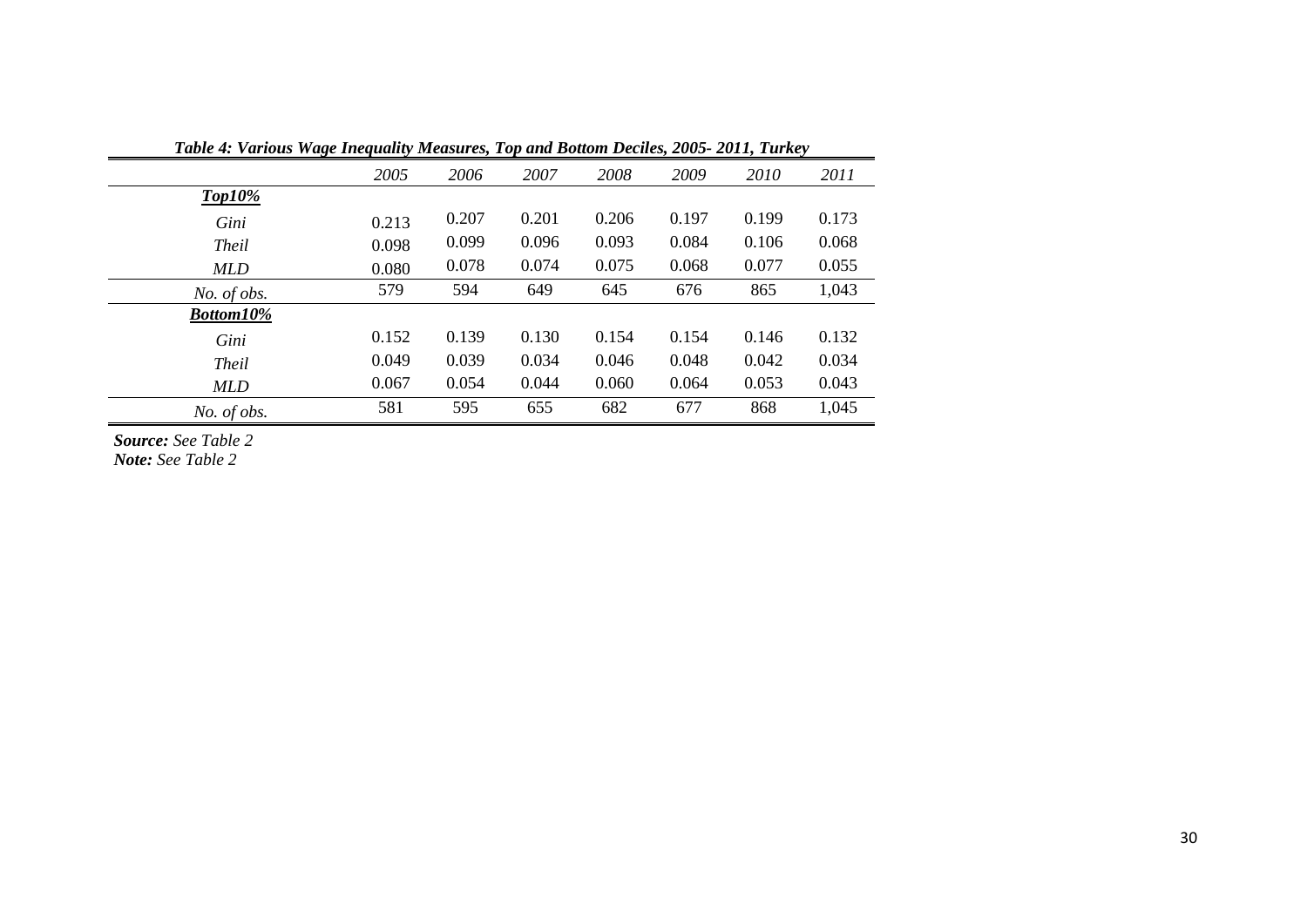| Tubic +. Turious wage Inequally measures, Top and Dollom Deciles, 2005–2011, Turicey |       |       |       |       |       |       |       |
|--------------------------------------------------------------------------------------|-------|-------|-------|-------|-------|-------|-------|
|                                                                                      | 2005  | 2006  | 2007  | 2008  | 2009  | 2010  | 2011  |
| $Top10\%$                                                                            |       |       |       |       |       |       |       |
| Gini                                                                                 | 0.213 | 0.207 | 0.201 | 0.206 | 0.197 | 0.199 | 0.173 |
| <b>Theil</b>                                                                         | 0.098 | 0.099 | 0.096 | 0.093 | 0.084 | 0.106 | 0.068 |
| <b>MLD</b>                                                                           | 0.080 | 0.078 | 0.074 | 0.075 | 0.068 | 0.077 | 0.055 |
| No. of obs.                                                                          | 579   | 594   | 649   | 645   | 676   | 865   | 1,043 |
| <b>Bottom10%</b>                                                                     |       |       |       |       |       |       |       |
| Gini                                                                                 | 0.152 | 0.139 | 0.130 | 0.154 | 0.154 | 0.146 | 0.132 |
| <b>Theil</b>                                                                         | 0.049 | 0.039 | 0.034 | 0.046 | 0.048 | 0.042 | 0.034 |
| <b>MLD</b>                                                                           | 0.067 | 0.054 | 0.044 | 0.060 | 0.064 | 0.053 | 0.043 |
| No. of obs.                                                                          | 581   | 595   | 655   | 682   | 677   | 868   | 1,045 |

*Table 4: Various Wage Inequality Measures, Top and Bottom Deciles, 2005- 2011, Turkey*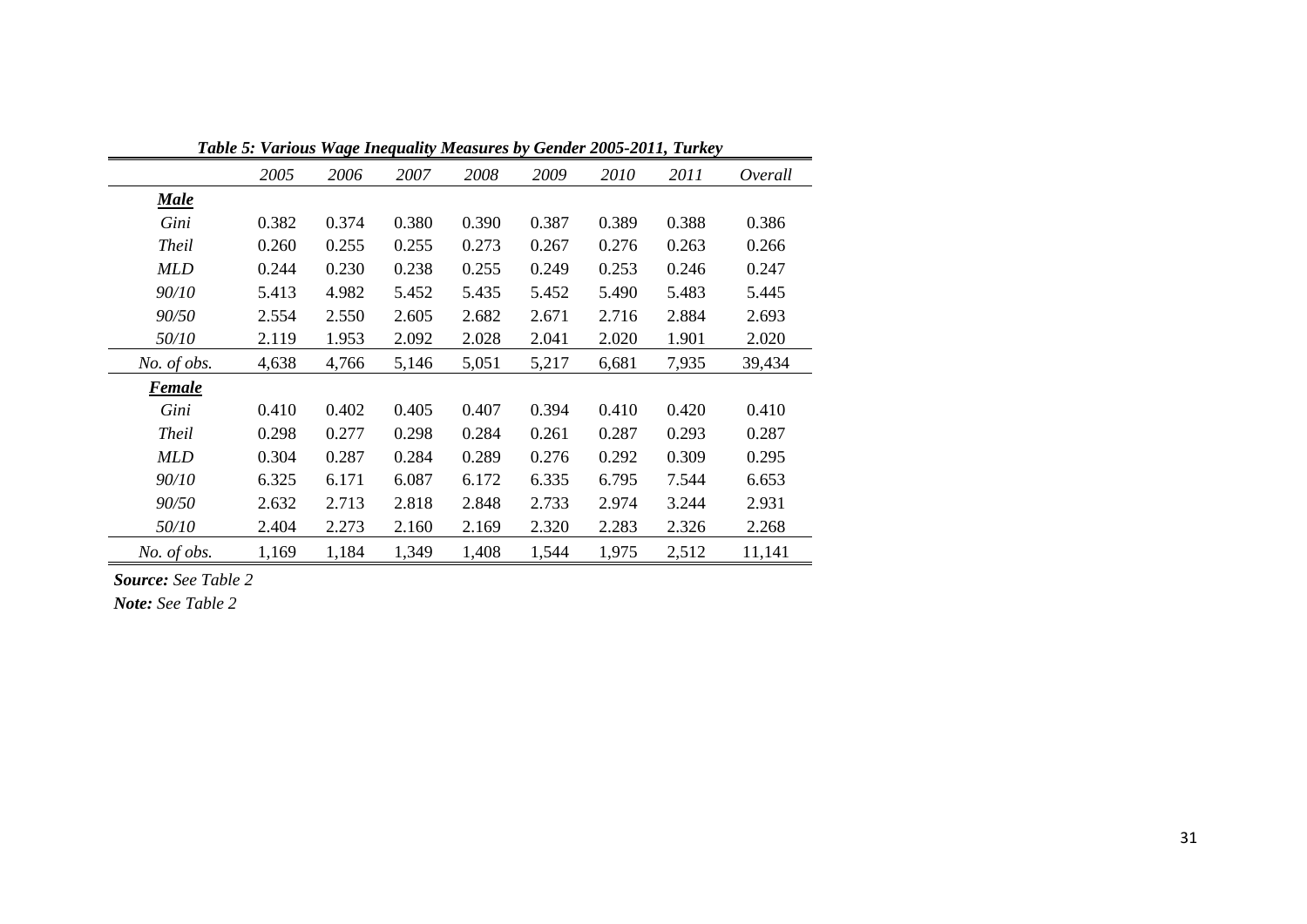| 1 WU VV V I  |       |       |       | <i>rrage Incepaanty modern es by</i> |       |       | $2000$ 2011, $20100$ |         |
|--------------|-------|-------|-------|--------------------------------------|-------|-------|----------------------|---------|
|              | 2005  | 2006  | 2007  | 2008                                 | 2009  | 2010  | 2011                 | Overall |
| <b>Male</b>  |       |       |       |                                      |       |       |                      |         |
| Gini         | 0.382 | 0.374 | 0.380 | 0.390                                | 0.387 | 0.389 | 0.388                | 0.386   |
| <b>Theil</b> | 0.260 | 0.255 | 0.255 | 0.273                                | 0.267 | 0.276 | 0.263                | 0.266   |
| <b>MLD</b>   | 0.244 | 0.230 | 0.238 | 0.255                                | 0.249 | 0.253 | 0.246                | 0.247   |
| 90/10        | 5.413 | 4.982 | 5.452 | 5.435                                | 5.452 | 5.490 | 5.483                | 5.445   |
| 90/50        | 2.554 | 2.550 | 2.605 | 2.682                                | 2.671 | 2.716 | 2.884                | 2.693   |
| 50/10        | 2.119 | 1.953 | 2.092 | 2.028                                | 2.041 | 2.020 | 1.901                | 2.020   |
| No. of obs.  | 4,638 | 4,766 | 5,146 | 5,051                                | 5,217 | 6,681 | 7,935                | 39,434  |
| Female       |       |       |       |                                      |       |       |                      |         |
| Gini         | 0.410 | 0.402 | 0.405 | 0.407                                | 0.394 | 0.410 | 0.420                | 0.410   |
| <b>Theil</b> | 0.298 | 0.277 | 0.298 | 0.284                                | 0.261 | 0.287 | 0.293                | 0.287   |
| MLD          | 0.304 | 0.287 | 0.284 | 0.289                                | 0.276 | 0.292 | 0.309                | 0.295   |
| 90/10        | 6.325 | 6.171 | 6.087 | 6.172                                | 6.335 | 6.795 | 7.544                | 6.653   |
| 90/50        | 2.632 | 2.713 | 2.818 | 2.848                                | 2.733 | 2.974 | 3.244                | 2.931   |
| 50/10        | 2.404 | 2.273 | 2.160 | 2.169                                | 2.320 | 2.283 | 2.326                | 2.268   |
| No. of obs.  | 1,169 | 1,184 | 1,349 | 1,408                                | 1,544 | 1,975 | 2,512                | 11,141  |

*Table 5: Various Wage Inequality Measures by Gender 2005-2011, Turkey*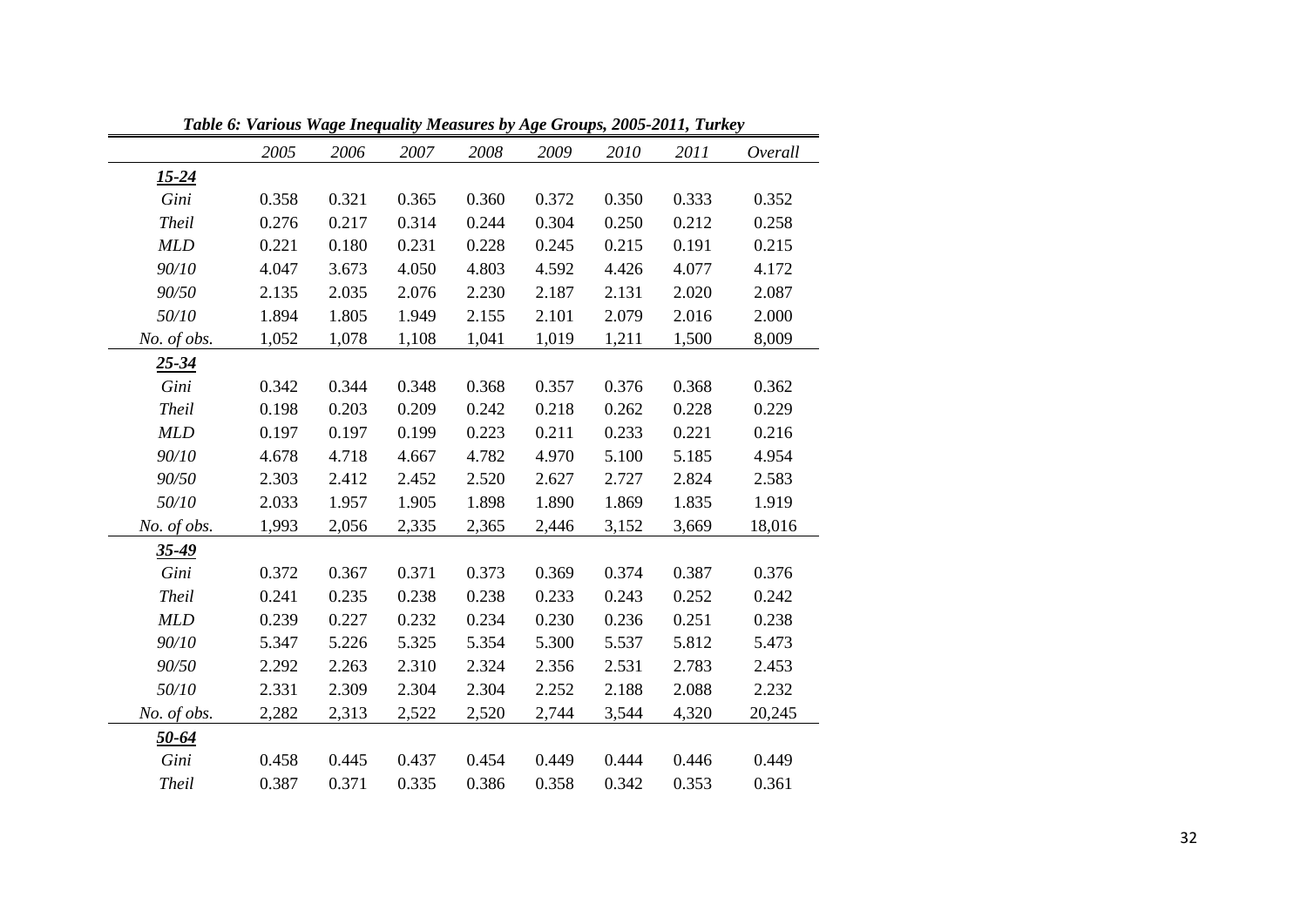|              | Table 6: Various Wage Inequality Measures by Age Groups, 2005-2011, Turkey |       |       |       |       |       |       |         |
|--------------|----------------------------------------------------------------------------|-------|-------|-------|-------|-------|-------|---------|
|              | 2005                                                                       | 2006  | 2007  | 2008  | 2009  | 2010  | 2011  | Overall |
| <u>15-24</u> |                                                                            |       |       |       |       |       |       |         |
| Gini         | 0.358                                                                      | 0.321 | 0.365 | 0.360 | 0.372 | 0.350 | 0.333 | 0.352   |
| <b>Theil</b> | 0.276                                                                      | 0.217 | 0.314 | 0.244 | 0.304 | 0.250 | 0.212 | 0.258   |
| <b>MLD</b>   | 0.221                                                                      | 0.180 | 0.231 | 0.228 | 0.245 | 0.215 | 0.191 | 0.215   |
| 90/10        | 4.047                                                                      | 3.673 | 4.050 | 4.803 | 4.592 | 4.426 | 4.077 | 4.172   |
| 90/50        | 2.135                                                                      | 2.035 | 2.076 | 2.230 | 2.187 | 2.131 | 2.020 | 2.087   |
| 50/10        | 1.894                                                                      | 1.805 | 1.949 | 2.155 | 2.101 | 2.079 | 2.016 | 2.000   |
| No. of obs.  | 1,052                                                                      | 1,078 | 1,108 | 1,041 | 1,019 | 1,211 | 1,500 | 8,009   |
| $25 - 34$    |                                                                            |       |       |       |       |       |       |         |
| Gini         | 0.342                                                                      | 0.344 | 0.348 | 0.368 | 0.357 | 0.376 | 0.368 | 0.362   |
| <b>Theil</b> | 0.198                                                                      | 0.203 | 0.209 | 0.242 | 0.218 | 0.262 | 0.228 | 0.229   |
| <b>MLD</b>   | 0.197                                                                      | 0.197 | 0.199 | 0.223 | 0.211 | 0.233 | 0.221 | 0.216   |
| 90/10        | 4.678                                                                      | 4.718 | 4.667 | 4.782 | 4.970 | 5.100 | 5.185 | 4.954   |
| 90/50        | 2.303                                                                      | 2.412 | 2.452 | 2.520 | 2.627 | 2.727 | 2.824 | 2.583   |
| 50/10        | 2.033                                                                      | 1.957 | 1.905 | 1.898 | 1.890 | 1.869 | 1.835 | 1.919   |
| No. of obs.  | 1,993                                                                      | 2,056 | 2,335 | 2,365 | 2,446 | 3,152 | 3,669 | 18,016  |
| $35 - 49$    |                                                                            |       |       |       |       |       |       |         |
| Gini         | 0.372                                                                      | 0.367 | 0.371 | 0.373 | 0.369 | 0.374 | 0.387 | 0.376   |
| <b>Theil</b> | 0.241                                                                      | 0.235 | 0.238 | 0.238 | 0.233 | 0.243 | 0.252 | 0.242   |
| <b>MLD</b>   | 0.239                                                                      | 0.227 | 0.232 | 0.234 | 0.230 | 0.236 | 0.251 | 0.238   |
| 90/10        | 5.347                                                                      | 5.226 | 5.325 | 5.354 | 5.300 | 5.537 | 5.812 | 5.473   |
| 90/50        | 2.292                                                                      | 2.263 | 2.310 | 2.324 | 2.356 | 2.531 | 2.783 | 2.453   |
| 50/10        | 2.331                                                                      | 2.309 | 2.304 | 2.304 | 2.252 | 2.188 | 2.088 | 2.232   |
| No. of obs.  | 2,282                                                                      | 2,313 | 2,522 | 2,520 | 2,744 | 3,544 | 4,320 | 20,245  |
| <u>50-64</u> |                                                                            |       |       |       |       |       |       |         |
| Gini         | 0.458                                                                      | 0.445 | 0.437 | 0.454 | 0.449 | 0.444 | 0.446 | 0.449   |
| <b>Theil</b> | 0.387                                                                      | 0.371 | 0.335 | 0.386 | 0.358 | 0.342 | 0.353 | 0.361   |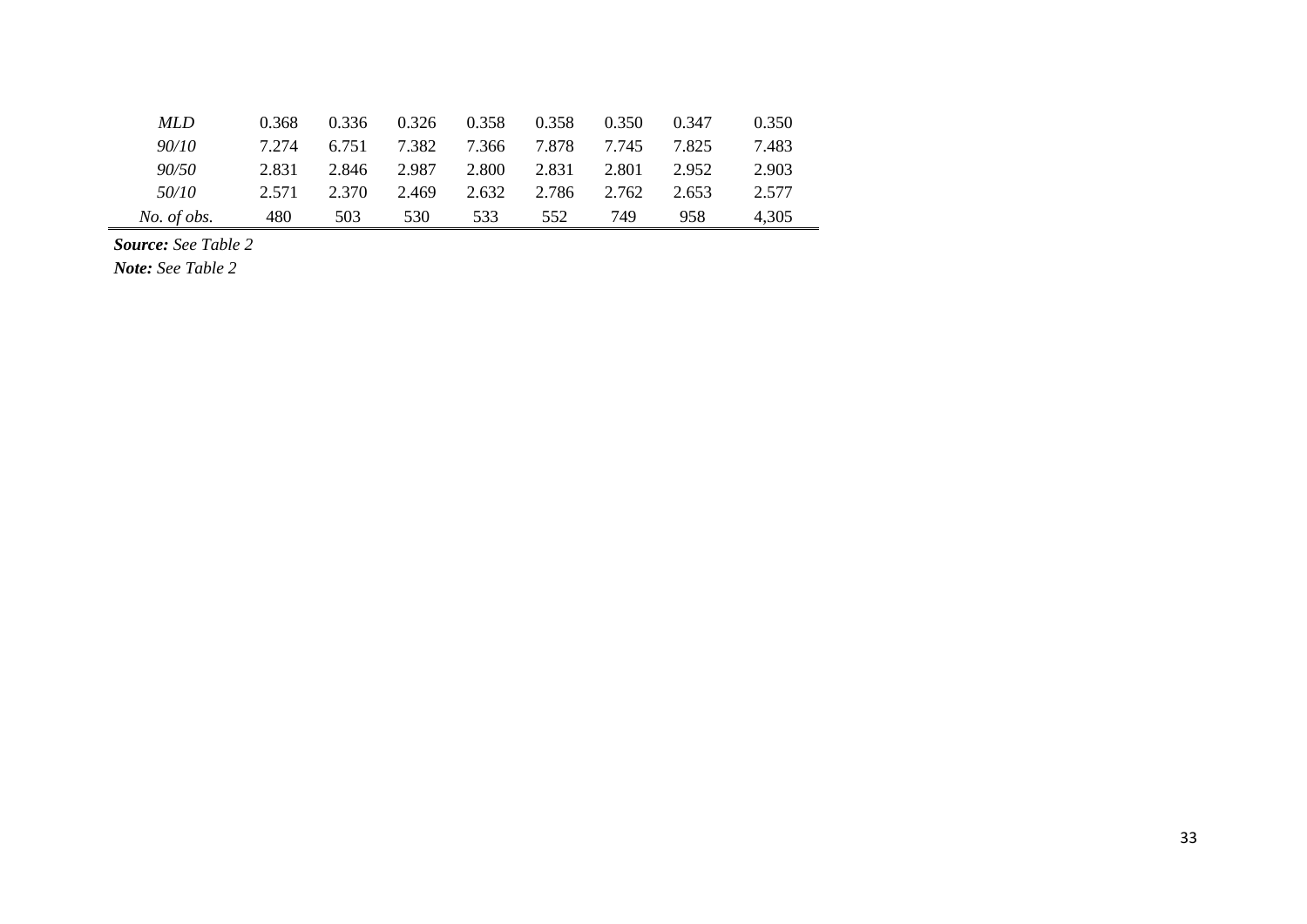| <b>MLD</b>  | 0.368 | 0.336 | 0.326 | 0.358 | 0.358 | 0.350 | 0.347 | 0.350 |
|-------------|-------|-------|-------|-------|-------|-------|-------|-------|
| 90/10       | 7.274 | 6.751 | 7.382 | 7.366 | 7.878 | 7.745 | 7.825 | 7.483 |
| 90/50       | 2.831 | 2.846 | 2.987 | 2.800 | 2.831 | 2.801 | 2.952 | 2.903 |
| 50/10       | 2.571 | 2.370 | 2.469 | 2.632 | 2.786 | 2.762 | 2.653 | 2.577 |
| No. of obs. | 480   | 503   | 530   | 533   | 552   | 749   | 958   | 4,305 |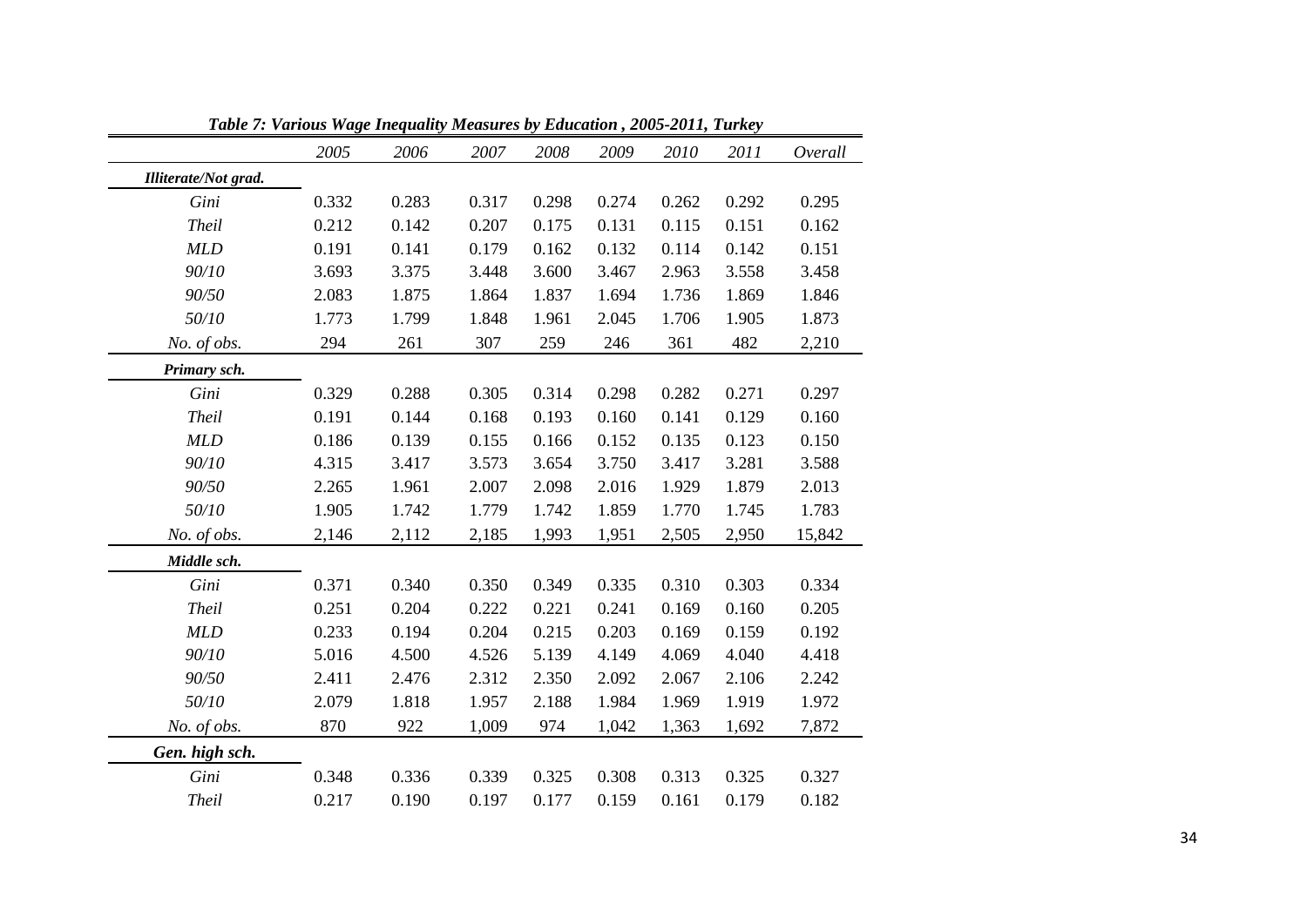|                      | Tubic 7. Various wage Inequality measures by Education , 2009-2011, Turkey |       |       |       |       |       |       |         |
|----------------------|----------------------------------------------------------------------------|-------|-------|-------|-------|-------|-------|---------|
|                      | 2005                                                                       | 2006  | 2007  | 2008  | 2009  | 2010  | 2011  | Overall |
| Illiterate/Not grad. |                                                                            |       |       |       |       |       |       |         |
| Gini                 | 0.332                                                                      | 0.283 | 0.317 | 0.298 | 0.274 | 0.262 | 0.292 | 0.295   |
| <b>Theil</b>         | 0.212                                                                      | 0.142 | 0.207 | 0.175 | 0.131 | 0.115 | 0.151 | 0.162   |
| MLD                  | 0.191                                                                      | 0.141 | 0.179 | 0.162 | 0.132 | 0.114 | 0.142 | 0.151   |
| 90/10                | 3.693                                                                      | 3.375 | 3.448 | 3.600 | 3.467 | 2.963 | 3.558 | 3.458   |
| 90/50                | 2.083                                                                      | 1.875 | 1.864 | 1.837 | 1.694 | 1.736 | 1.869 | 1.846   |
| 50/10                | 1.773                                                                      | 1.799 | 1.848 | 1.961 | 2.045 | 1.706 | 1.905 | 1.873   |
| No. of obs.          | 294                                                                        | 261   | 307   | 259   | 246   | 361   | 482   | 2,210   |
| Primary sch.         |                                                                            |       |       |       |       |       |       |         |
| Gini                 | 0.329                                                                      | 0.288 | 0.305 | 0.314 | 0.298 | 0.282 | 0.271 | 0.297   |
| <b>Theil</b>         | 0.191                                                                      | 0.144 | 0.168 | 0.193 | 0.160 | 0.141 | 0.129 | 0.160   |
| <b>MLD</b>           | 0.186                                                                      | 0.139 | 0.155 | 0.166 | 0.152 | 0.135 | 0.123 | 0.150   |
| 90/10                | 4.315                                                                      | 3.417 | 3.573 | 3.654 | 3.750 | 3.417 | 3.281 | 3.588   |
| 90/50                | 2.265                                                                      | 1.961 | 2.007 | 2.098 | 2.016 | 1.929 | 1.879 | 2.013   |
| 50/10                | 1.905                                                                      | 1.742 | 1.779 | 1.742 | 1.859 | 1.770 | 1.745 | 1.783   |
| No. of obs.          | 2,146                                                                      | 2,112 | 2,185 | 1,993 | 1,951 | 2,505 | 2,950 | 15,842  |
| Middle sch.          |                                                                            |       |       |       |       |       |       |         |
| Gini                 | 0.371                                                                      | 0.340 | 0.350 | 0.349 | 0.335 | 0.310 | 0.303 | 0.334   |
| <b>Theil</b>         | 0.251                                                                      | 0.204 | 0.222 | 0.221 | 0.241 | 0.169 | 0.160 | 0.205   |
| MLD                  | 0.233                                                                      | 0.194 | 0.204 | 0.215 | 0.203 | 0.169 | 0.159 | 0.192   |
| 90/10                | 5.016                                                                      | 4.500 | 4.526 | 5.139 | 4.149 | 4.069 | 4.040 | 4.418   |
| 90/50                | 2.411                                                                      | 2.476 | 2.312 | 2.350 | 2.092 | 2.067 | 2.106 | 2.242   |
| 50/10                | 2.079                                                                      | 1.818 | 1.957 | 2.188 | 1.984 | 1.969 | 1.919 | 1.972   |
| No. of obs.          | 870                                                                        | 922   | 1,009 | 974   | 1,042 | 1,363 | 1,692 | 7,872   |
| Gen. high sch.       |                                                                            |       |       |       |       |       |       |         |
| Gini                 | 0.348                                                                      | 0.336 | 0.339 | 0.325 | 0.308 | 0.313 | 0.325 | 0.327   |
| <b>Theil</b>         | 0.217                                                                      | 0.190 | 0.197 | 0.177 | 0.159 | 0.161 | 0.179 | 0.182   |

*Table 7: Various Wage Inequality Measures by Education , 2005-2011, Turkey*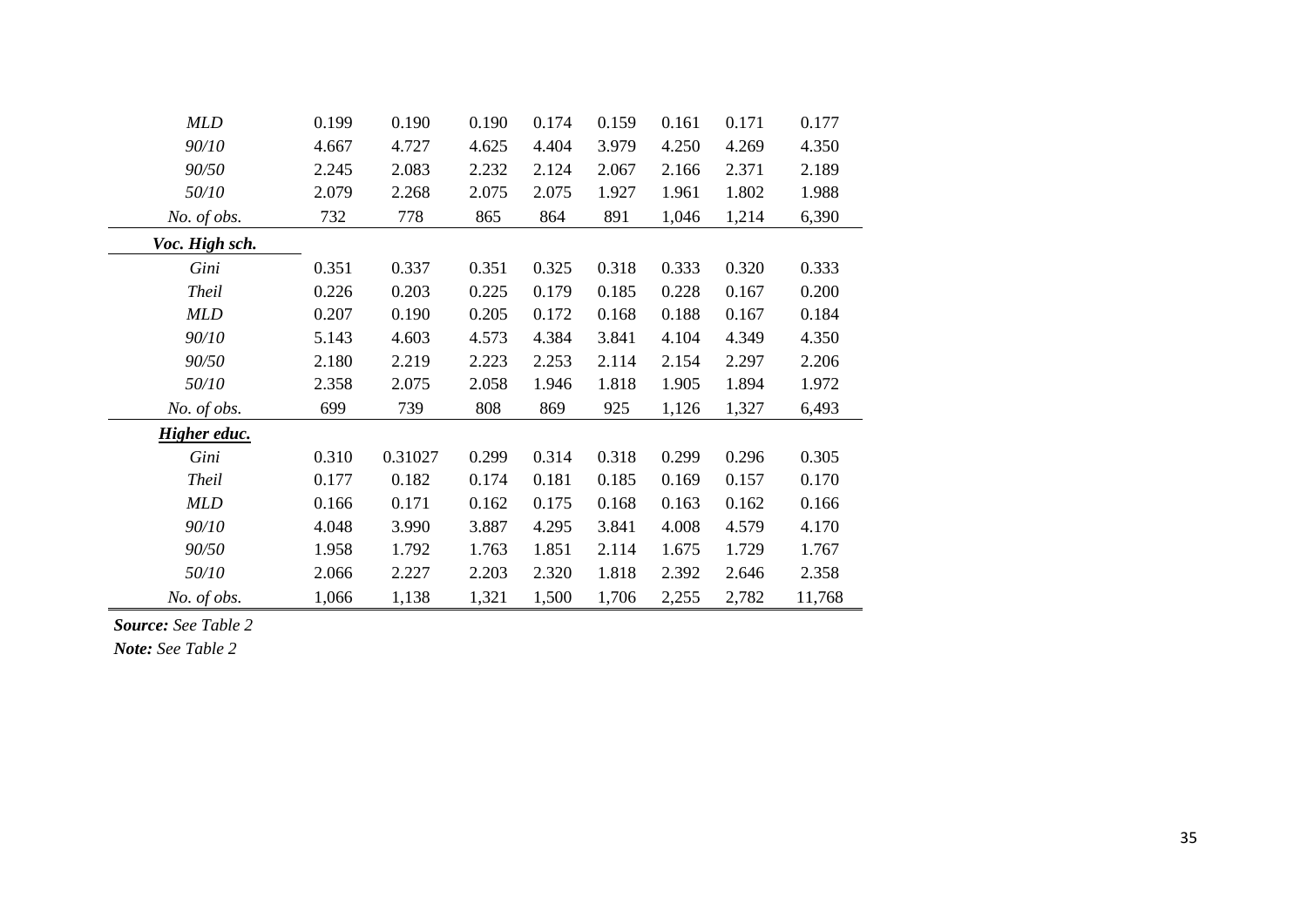| <b>MLD</b>          | 0.199 | 0.190   | 0.190 | 0.174 | 0.159 | 0.161 | 0.171 | 0.177  |
|---------------------|-------|---------|-------|-------|-------|-------|-------|--------|
| 90/10               | 4.667 | 4.727   | 4.625 | 4.404 | 3.979 | 4.250 | 4.269 | 4.350  |
| 90/50               | 2.245 | 2.083   | 2.232 | 2.124 | 2.067 | 2.166 | 2.371 | 2.189  |
| 50/10               | 2.079 | 2.268   | 2.075 | 2.075 | 1.927 | 1.961 | 1.802 | 1.988  |
| No. of obs.         | 732   | 778     | 865   | 864   | 891   | 1,046 | 1,214 | 6,390  |
| Voc. High sch.      |       |         |       |       |       |       |       |        |
| Gini                | 0.351 | 0.337   | 0.351 | 0.325 | 0.318 | 0.333 | 0.320 | 0.333  |
| <b>Theil</b>        | 0.226 | 0.203   | 0.225 | 0.179 | 0.185 | 0.228 | 0.167 | 0.200  |
| <b>MLD</b>          | 0.207 | 0.190   | 0.205 | 0.172 | 0.168 | 0.188 | 0.167 | 0.184  |
| 90/10               | 5.143 | 4.603   | 4.573 | 4.384 | 3.841 | 4.104 | 4.349 | 4.350  |
| 90/50               | 2.180 | 2.219   | 2.223 | 2.253 | 2.114 | 2.154 | 2.297 | 2.206  |
| 50/10               | 2.358 | 2.075   | 2.058 | 1.946 | 1.818 | 1.905 | 1.894 | 1.972  |
| No. of obs.         | 699   | 739     | 808   | 869   | 925   | 1,126 | 1,327 | 6,493  |
| <b>Higher educ.</b> |       |         |       |       |       |       |       |        |
| Gini                | 0.310 | 0.31027 | 0.299 | 0.314 | 0.318 | 0.299 | 0.296 | 0.305  |
| <b>Theil</b>        | 0.177 | 0.182   | 0.174 | 0.181 | 0.185 | 0.169 | 0.157 | 0.170  |
| <b>MLD</b>          | 0.166 | 0.171   | 0.162 | 0.175 | 0.168 | 0.163 | 0.162 | 0.166  |
| 90/10               | 4.048 | 3.990   | 3.887 | 4.295 | 3.841 | 4.008 | 4.579 | 4.170  |
| 90/50               | 1.958 | 1.792   | 1.763 | 1.851 | 2.114 | 1.675 | 1.729 | 1.767  |
| 50/10               | 2.066 | 2.227   | 2.203 | 2.320 | 1.818 | 2.392 | 2.646 | 2.358  |
| No. of obs.         | 1,066 | 1,138   | 1,321 | 1,500 | 1,706 | 2,255 | 2,782 | 11,768 |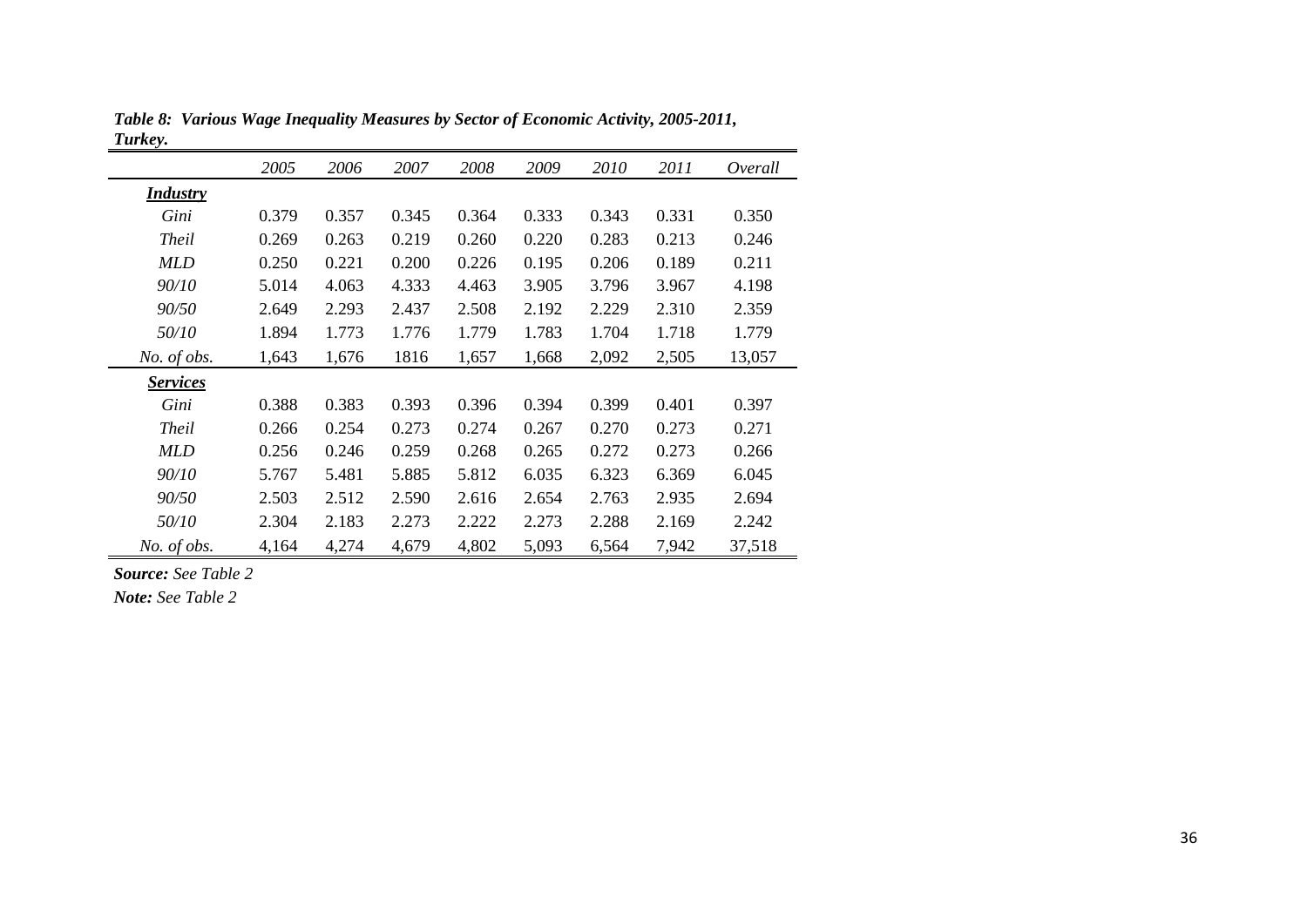| <i>Luikey.</i>  |       |       |       |       |       |       |       |         |
|-----------------|-------|-------|-------|-------|-------|-------|-------|---------|
|                 | 2005  | 2006  | 2007  | 2008  | 2009  | 2010  | 2011  | Overall |
| <b>Industry</b> |       |       |       |       |       |       |       |         |
| Gini            | 0.379 | 0.357 | 0.345 | 0.364 | 0.333 | 0.343 | 0.331 | 0.350   |
| <b>Theil</b>    | 0.269 | 0.263 | 0.219 | 0.260 | 0.220 | 0.283 | 0.213 | 0.246   |
| <b>MLD</b>      | 0.250 | 0.221 | 0.200 | 0.226 | 0.195 | 0.206 | 0.189 | 0.211   |
| 90/10           | 5.014 | 4.063 | 4.333 | 4.463 | 3.905 | 3.796 | 3.967 | 4.198   |
| 90/50           | 2.649 | 2.293 | 2.437 | 2.508 | 2.192 | 2.229 | 2.310 | 2.359   |
| 50/10           | 1.894 | 1.773 | 1.776 | 1.779 | 1.783 | 1.704 | 1.718 | 1.779   |
| No. of obs.     | 1,643 | 1,676 | 1816  | 1,657 | 1,668 | 2,092 | 2,505 | 13,057  |
| <b>Services</b> |       |       |       |       |       |       |       |         |
| Gini            | 0.388 | 0.383 | 0.393 | 0.396 | 0.394 | 0.399 | 0.401 | 0.397   |
| <b>Theil</b>    | 0.266 | 0.254 | 0.273 | 0.274 | 0.267 | 0.270 | 0.273 | 0.271   |
| <b>MLD</b>      | 0.256 | 0.246 | 0.259 | 0.268 | 0.265 | 0.272 | 0.273 | 0.266   |
| 90/10           | 5.767 | 5.481 | 5.885 | 5.812 | 6.035 | 6.323 | 6.369 | 6.045   |
| 90/50           | 2.503 | 2.512 | 2.590 | 2.616 | 2.654 | 2.763 | 2.935 | 2.694   |
| 50/10           | 2.304 | 2.183 | 2.273 | 2.222 | 2.273 | 2.288 | 2.169 | 2.242   |
| No. of obs.     | 4,164 | 4,274 | 4,679 | 4,802 | 5,093 | 6,564 | 7,942 | 37,518  |

*Table 8: Various Wage Inequality Measures by Sector of Economic Activity, 2005-2011, Turkey.*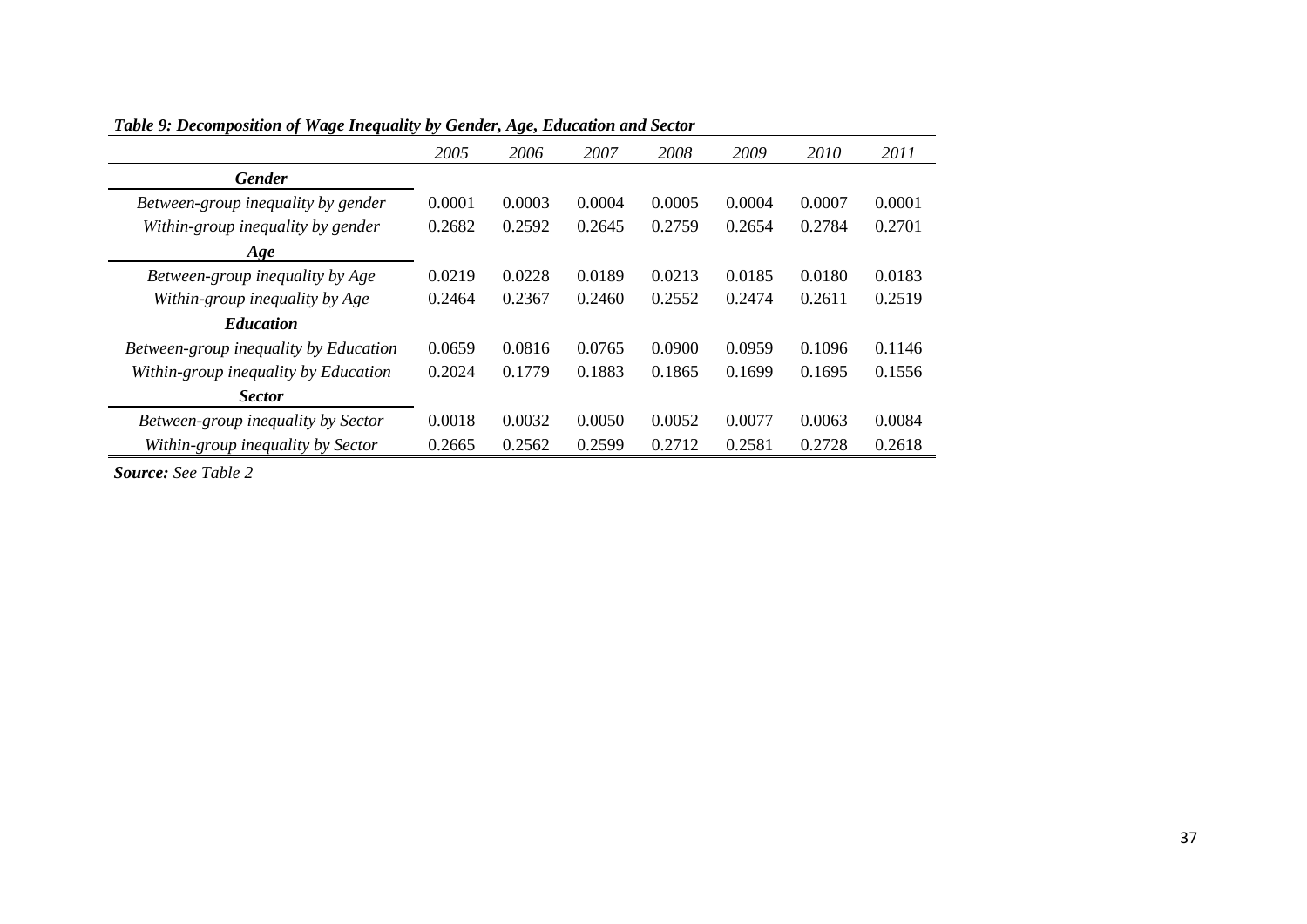| таже э. Бесотрозиют от таке тедиции бу Оснаст, нке, Ешисинон ина эсског |        |        |        |        |        |        |        |
|-------------------------------------------------------------------------|--------|--------|--------|--------|--------|--------|--------|
|                                                                         | 2005   | 2006   | 2007   | 2008   | 2009   | 2010   | 2011   |
| <b>Gender</b>                                                           |        |        |        |        |        |        |        |
| Between-group inequality by gender                                      | 0.0001 | 0.0003 | 0.0004 | 0.0005 | 0.0004 | 0.0007 | 0.0001 |
| Within-group inequality by gender                                       | 0.2682 | 0.2592 | 0.2645 | 0.2759 | 0.2654 | 0.2784 | 0.2701 |
| Age                                                                     |        |        |        |        |        |        |        |
| Between-group inequality by Age                                         | 0.0219 | 0.0228 | 0.0189 | 0.0213 | 0.0185 | 0.0180 | 0.0183 |
| Within-group inequality by Age                                          | 0.2464 | 0.2367 | 0.2460 | 0.2552 | 0.2474 | 0.2611 | 0.2519 |
| <b>Education</b>                                                        |        |        |        |        |        |        |        |
| Between-group inequality by Education                                   | 0.0659 | 0.0816 | 0.0765 | 0.0900 | 0.0959 | 0.1096 | 0.1146 |
| Within-group inequality by Education                                    | 0.2024 | 0.1779 | 0.1883 | 0.1865 | 0.1699 | 0.1695 | 0.1556 |
| <b>Sector</b>                                                           |        |        |        |        |        |        |        |
| Between-group inequality by Sector                                      | 0.0018 | 0.0032 | 0.0050 | 0.0052 | 0.0077 | 0.0063 | 0.0084 |
| Within-group inequality by Sector                                       | 0.2665 | 0.2562 | 0.2599 | 0.2712 | 0.2581 | 0.2728 | 0.2618 |

*Table 9: Decomposition of Wage Inequality by Gender, Age, Education and Sector*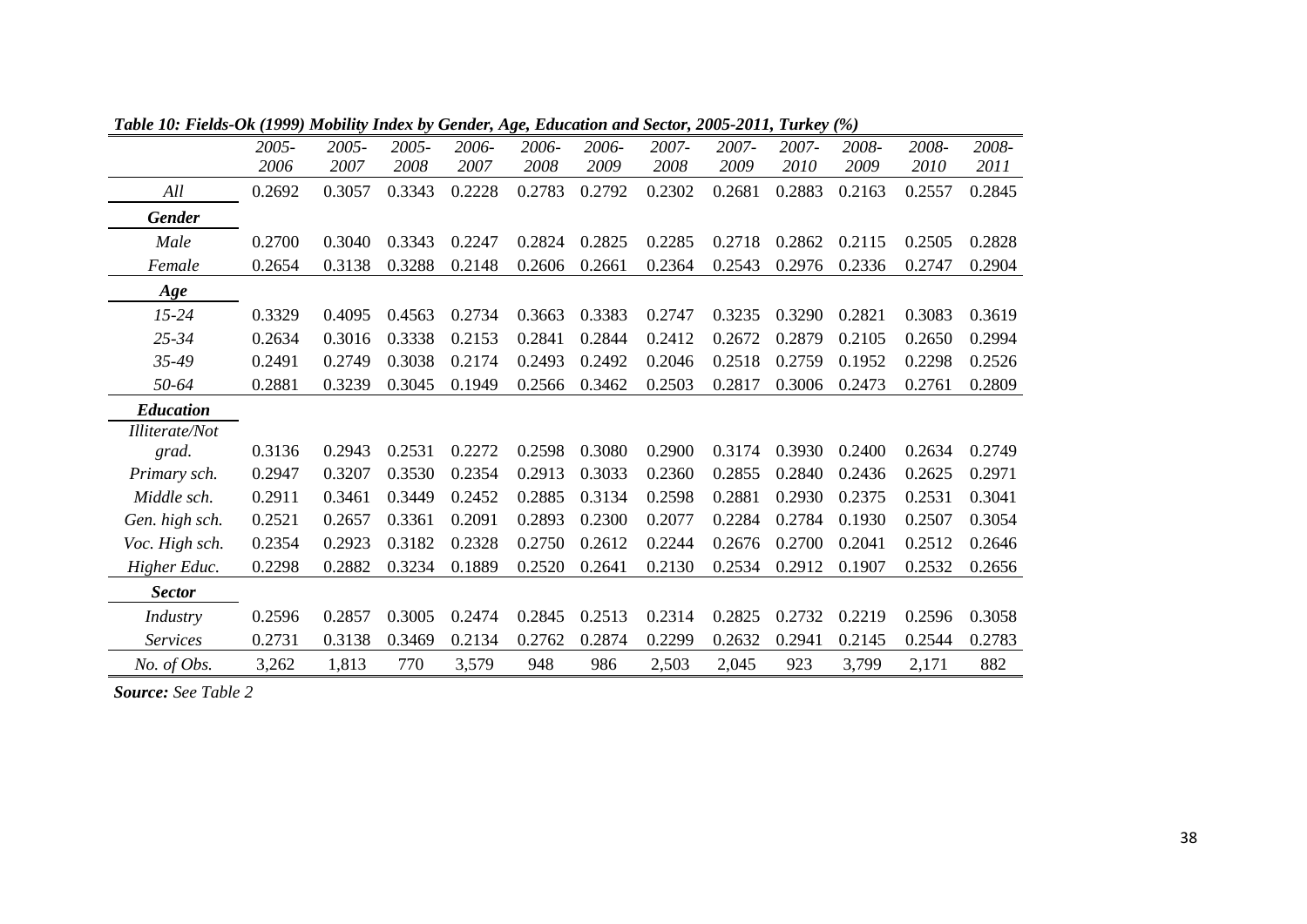|                       | 2005-  | 2005-  | 2005-  | 2006-  | 2006-  | 2006-  | 2007-  | 2007-  | 2007-  | 2008-  | 2008-  | 2008-  |
|-----------------------|--------|--------|--------|--------|--------|--------|--------|--------|--------|--------|--------|--------|
|                       | 2006   | 2007   | 2008   | 2007   | 2008   | 2009   | 2008   | 2009   | 2010   | 2009   | 2010   | 2011   |
| All                   | 0.2692 | 0.3057 | 0.3343 | 0.2228 | 0.2783 | 0.2792 | 0.2302 | 0.2681 | 0.2883 | 0.2163 | 0.2557 | 0.2845 |
| <b>Gender</b>         |        |        |        |        |        |        |        |        |        |        |        |        |
| Male                  | 0.2700 | 0.3040 | 0.3343 | 0.2247 | 0.2824 | 0.2825 | 0.2285 | 0.2718 | 0.2862 | 0.2115 | 0.2505 | 0.2828 |
| Female                | 0.2654 | 0.3138 | 0.3288 | 0.2148 | 0.2606 | 0.2661 | 0.2364 | 0.2543 | 0.2976 | 0.2336 | 0.2747 | 0.2904 |
| Age                   |        |        |        |        |        |        |        |        |        |        |        |        |
| $15 - 24$             | 0.3329 | 0.4095 | 0.4563 | 0.2734 | 0.3663 | 0.3383 | 0.2747 | 0.3235 | 0.3290 | 0.2821 | 0.3083 | 0.3619 |
| $25 - 34$             | 0.2634 | 0.3016 | 0.3338 | 0.2153 | 0.2841 | 0.2844 | 0.2412 | 0.2672 | 0.2879 | 0.2105 | 0.2650 | 0.2994 |
| $35 - 49$             | 0.2491 | 0.2749 | 0.3038 | 0.2174 | 0.2493 | 0.2492 | 0.2046 | 0.2518 | 0.2759 | 0.1952 | 0.2298 | 0.2526 |
| 50-64                 | 0.2881 | 0.3239 | 0.3045 | 0.1949 | 0.2566 | 0.3462 | 0.2503 | 0.2817 | 0.3006 | 0.2473 | 0.2761 | 0.2809 |
| <b>Education</b>      |        |        |        |        |        |        |        |        |        |        |        |        |
| <b>Illiterate/Not</b> |        |        |        |        |        |        |        |        |        |        |        |        |
| grad.                 | 0.3136 | 0.2943 | 0.2531 | 0.2272 | 0.2598 | 0.3080 | 0.2900 | 0.3174 | 0.3930 | 0.2400 | 0.2634 | 0.2749 |
| Primary sch.          | 0.2947 | 0.3207 | 0.3530 | 0.2354 | 0.2913 | 0.3033 | 0.2360 | 0.2855 | 0.2840 | 0.2436 | 0.2625 | 0.2971 |
| Middle sch.           | 0.2911 | 0.3461 | 0.3449 | 0.2452 | 0.2885 | 0.3134 | 0.2598 | 0.2881 | 0.2930 | 0.2375 | 0.2531 | 0.3041 |
| Gen. high sch.        | 0.2521 | 0.2657 | 0.3361 | 0.2091 | 0.2893 | 0.2300 | 0.2077 | 0.2284 | 0.2784 | 0.1930 | 0.2507 | 0.3054 |
| Voc. High sch.        | 0.2354 | 0.2923 | 0.3182 | 0.2328 | 0.2750 | 0.2612 | 0.2244 | 0.2676 | 0.2700 | 0.2041 | 0.2512 | 0.2646 |
| Higher Educ.          | 0.2298 | 0.2882 | 0.3234 | 0.1889 | 0.2520 | 0.2641 | 0.2130 | 0.2534 | 0.2912 | 0.1907 | 0.2532 | 0.2656 |
| <b>Sector</b>         |        |        |        |        |        |        |        |        |        |        |        |        |
| Industry              | 0.2596 | 0.2857 | 0.3005 | 0.2474 | 0.2845 | 0.2513 | 0.2314 | 0.2825 | 0.2732 | 0.2219 | 0.2596 | 0.3058 |
| <b>Services</b>       | 0.2731 | 0.3138 | 0.3469 | 0.2134 | 0.2762 | 0.2874 | 0.2299 | 0.2632 | 0.2941 | 0.2145 | 0.2544 | 0.2783 |
| No. of Obs.           | 3,262  | 1,813  | 770    | 3,579  | 948    | 986    | 2,503  | 2,045  | 923    | 3,799  | 2,171  | 882    |
|                       |        |        |        |        |        |        |        |        |        |        |        |        |

*Table 10: Fields-Ok (1999) Mobility Index by Gender, Age, Education and Sector, 2005-2011, Turkey (%)*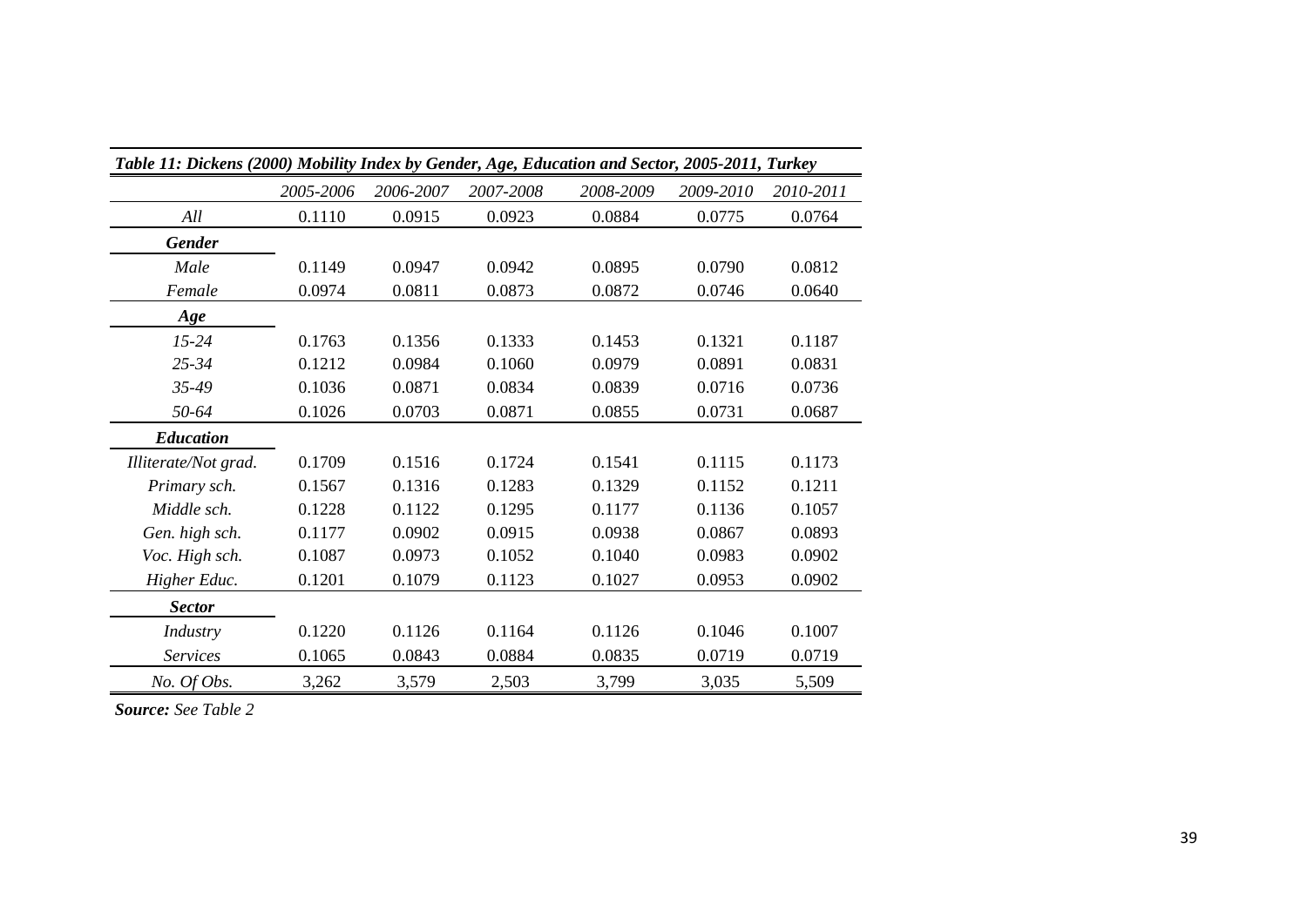| Table 11: Dickens (2000) Mobility Index by Gender, Age, Education and Sector, 2005-2011, Turkey |           |           |           |           |           |           |  |  |
|-------------------------------------------------------------------------------------------------|-----------|-----------|-----------|-----------|-----------|-----------|--|--|
|                                                                                                 | 2005-2006 | 2006-2007 | 2007-2008 | 2008-2009 | 2009-2010 | 2010-2011 |  |  |
| All                                                                                             | 0.1110    | 0.0915    | 0.0923    | 0.0884    | 0.0775    | 0.0764    |  |  |
| <b>Gender</b>                                                                                   |           |           |           |           |           |           |  |  |
| Male                                                                                            | 0.1149    | 0.0947    | 0.0942    | 0.0895    | 0.0790    | 0.0812    |  |  |
| Female                                                                                          | 0.0974    | 0.0811    | 0.0873    | 0.0872    | 0.0746    | 0.0640    |  |  |
| Age                                                                                             |           |           |           |           |           |           |  |  |
| $15 - 24$                                                                                       | 0.1763    | 0.1356    | 0.1333    | 0.1453    | 0.1321    | 0.1187    |  |  |
| $25 - 34$                                                                                       | 0.1212    | 0.0984    | 0.1060    | 0.0979    | 0.0891    | 0.0831    |  |  |
| 35-49                                                                                           | 0.1036    | 0.0871    | 0.0834    | 0.0839    | 0.0716    | 0.0736    |  |  |
| 50-64                                                                                           | 0.1026    | 0.0703    | 0.0871    | 0.0855    | 0.0731    | 0.0687    |  |  |
| <b>Education</b>                                                                                |           |           |           |           |           |           |  |  |
| Illiterate/Not grad.                                                                            | 0.1709    | 0.1516    | 0.1724    | 0.1541    | 0.1115    | 0.1173    |  |  |
| Primary sch.                                                                                    | 0.1567    | 0.1316    | 0.1283    | 0.1329    | 0.1152    | 0.1211    |  |  |
| Middle sch.                                                                                     | 0.1228    | 0.1122    | 0.1295    | 0.1177    | 0.1136    | 0.1057    |  |  |
| Gen. high sch.                                                                                  | 0.1177    | 0.0902    | 0.0915    | 0.0938    | 0.0867    | 0.0893    |  |  |
| Voc. High sch.                                                                                  | 0.1087    | 0.0973    | 0.1052    | 0.1040    | 0.0983    | 0.0902    |  |  |
| Higher Educ.                                                                                    | 0.1201    | 0.1079    | 0.1123    | 0.1027    | 0.0953    | 0.0902    |  |  |
| <b>Sector</b>                                                                                   |           |           |           |           |           |           |  |  |
| Industry                                                                                        | 0.1220    | 0.1126    | 0.1164    | 0.1126    | 0.1046    | 0.1007    |  |  |
| <b>Services</b>                                                                                 | 0.1065    | 0.0843    | 0.0884    | 0.0835    | 0.0719    | 0.0719    |  |  |
| No. Of Obs.                                                                                     | 3,262     | 3,579     | 2,503     | 3,799     | 3,035     | 5,509     |  |  |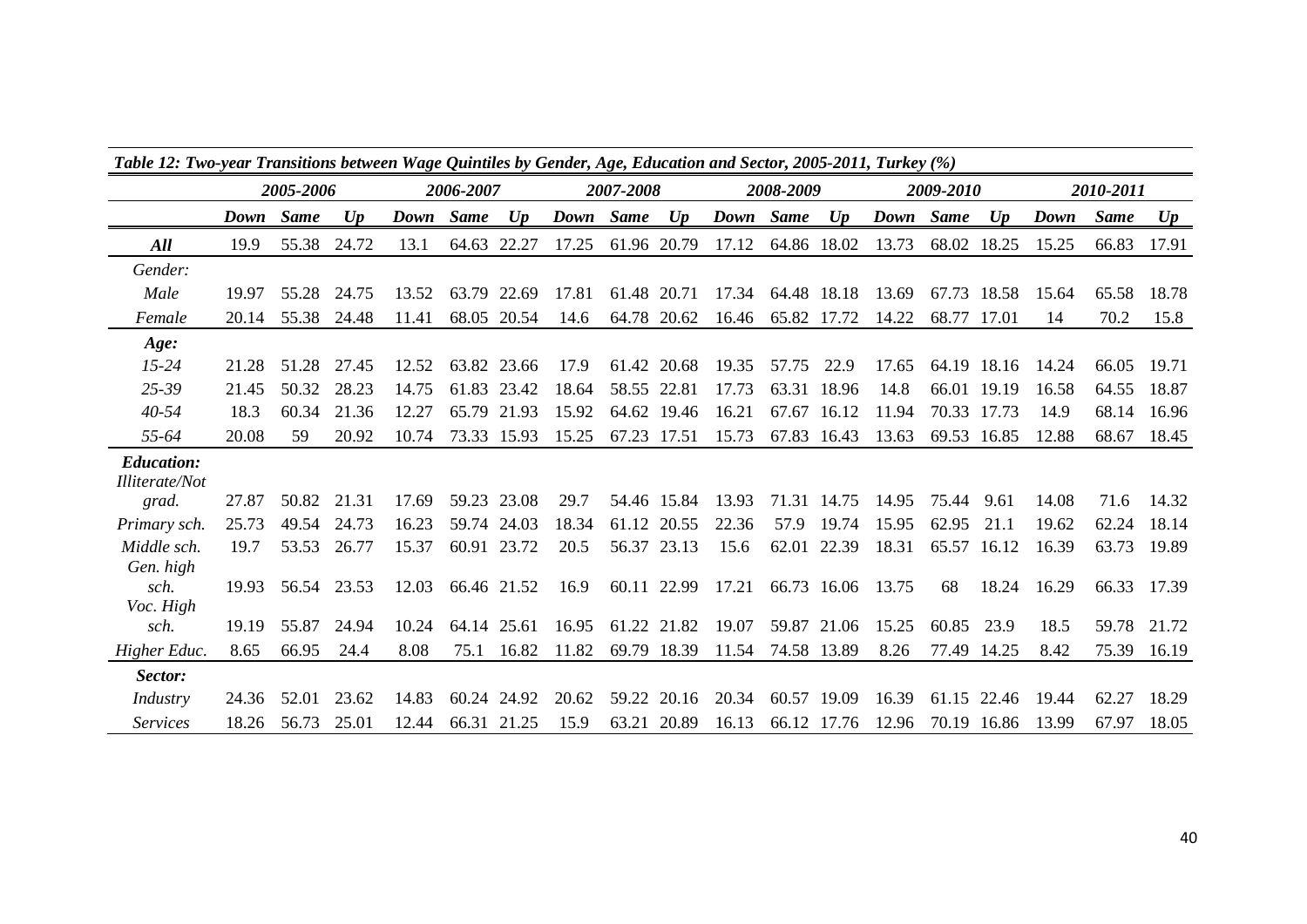| Table 12: Two-year Transitions between Wage Quintiles by Gender, Age, Education and Sector, 2005-2011, Turkey (%) |           |       |             |           |             |             |           |             |             |                   |             |             |           |             |       |       |             |       |
|-------------------------------------------------------------------------------------------------------------------|-----------|-------|-------------|-----------|-------------|-------------|-----------|-------------|-------------|-------------------|-------------|-------------|-----------|-------------|-------|-------|-------------|-------|
|                                                                                                                   | 2005-2006 |       |             | 2006-2007 |             |             | 2007-2008 |             |             | 2008-2009         |             | 2009-2010   |           | 2010-2011   |       |       |             |       |
|                                                                                                                   | Down Same |       | Up          | Down Same |             | Up          | Down Same |             | Up          | Down Same         |             | Up          | Down Same |             | Up    | Down  | <b>Same</b> | U p   |
| All                                                                                                               | 19.9      | 55.38 | 24.72       | 13.1      |             | 64.63 22.27 | 17.25     |             | 61.96 20.79 | 17.12             | 64.86 18.02 |             | 13.73     | 68.02       | 18.25 | 15.25 | 66.83       | 17.91 |
| Gender:                                                                                                           |           |       |             |           |             |             |           |             |             |                   |             |             |           |             |       |       |             |       |
| Male                                                                                                              | 19.97     |       | 55.28 24.75 | 13.52     | 63.79 22.69 |             | 17.81     | 61.48 20.71 |             | 17.34 64.48 18.18 |             |             | 13.69     | 67.73 18.58 |       | 15.64 | 65.58       | 18.78 |
| Female                                                                                                            | 20.14     |       | 55.38 24.48 | 11.41     |             | 68.05 20.54 | 14.6      |             | 64.78 20.62 | 16.46             | 65.82 17.72 |             | 14.22     | 68.77       | 17.01 | 14    | 70.2        | 15.8  |
| Age:                                                                                                              |           |       |             |           |             |             |           |             |             |                   |             |             |           |             |       |       |             |       |
| $15 - 24$                                                                                                         | 21.28     | 51.28 | 27.45       | 12.52     |             | 63.82 23.66 | 17.9      |             | 61.42 20.68 | 19.35             | 57.75       | 22.9        | 17.65     | 64.19 18.16 |       | 14.24 | 66.05       | 19.71 |
| $25 - 39$                                                                                                         | 21.45     | 50.32 | 28.23       | 14.75     |             | 61.83 23.42 | 18.64     |             | 58.55 22.81 | 17.73             |             | 63.31 18.96 | 14.8      | 66.01       | 19.19 | 16.58 | 64.55       | 18.87 |
| $40 - 54$                                                                                                         | 18.3      | 60.34 | 21.36       | 12.27     |             | 65.79 21.93 | 15.92     |             | 64.62 19.46 | 16.21             |             | 67.67 16.12 | 11.94     | 70.33       | 17.73 | 14.9  | 68.14       | 16.96 |
| 55-64                                                                                                             | 20.08     | 59    | 20.92       | 10.74     |             | 73.33 15.93 | 15.25     |             | 67.23 17.51 | 15.73             |             | 67.83 16.43 | 13.63     | 69.53       | 16.85 | 12.88 | 68.67       | 18.45 |
| <b>Education:</b><br><i>Illiterate/Not</i>                                                                        |           |       |             |           |             |             |           |             |             |                   |             |             |           |             |       |       |             |       |
| grad.                                                                                                             | 27.87     | 50.82 | 21.31       | 17.69     |             | 59.23 23.08 | 29.7      |             | 54.46 15.84 | 13.93             |             | 71.31 14.75 | 14.95     | 75.44       | 9.61  | 14.08 | 71.6        | 14.32 |
| Primary sch.                                                                                                      | 25.73     | 49.54 | 24.73       | 16.23     |             | 59.74 24.03 | 18.34     |             | 61.12 20.55 | 22.36             | 57.9        | 19.74       | 15.95     | 62.95       | 21.1  | 19.62 | 62.24       | 18.14 |
| Middle sch.                                                                                                       | 19.7      | 53.53 | 26.77       | 15.37     |             | 60.91 23.72 | 20.5      |             | 56.37 23.13 | 15.6              |             | 62.01 22.39 | 18.31     | 65.57       | 16.12 | 16.39 | 63.73       | 19.89 |
| Gen. high                                                                                                         |           |       |             |           |             |             |           |             |             |                   |             |             |           |             |       |       |             |       |
| sch.                                                                                                              | 19.93     |       | 56.54 23.53 | 12.03     | 66.46 21.52 |             | 16.9      |             | 60.11 22.99 | 17.21             |             | 66.73 16.06 | 13.75     | 68          | 18.24 | 16.29 | 66.33 17.39 |       |
| Voc. High                                                                                                         |           |       |             |           |             |             |           |             |             |                   |             |             |           |             |       |       |             |       |
| sch.                                                                                                              | 19.19     | 55.87 | 24.94       | 10.24     |             | 64.14 25.61 | 16.95     | 61.22 21.82 |             | 19.07             |             | 59.87 21.06 | 15.25     | 60.85       | 23.9  | 18.5  | 59.78       | 21.72 |
| Higher Educ.                                                                                                      | 8.65      | 66.95 | 24.4        | 8.08      | 75.1        | 16.82       | 11.82     | 69.79       | 18.39       | 11.54             | 74.58 13.89 |             | 8.26      | 77.49       | 14.25 | 8.42  | 75.39       | 16.19 |
| Sector:                                                                                                           |           |       |             |           |             |             |           |             |             |                   |             |             |           |             |       |       |             |       |
| Industry                                                                                                          | 24.36     | 52.01 | 23.62       | 14.83     |             | 60.24 24.92 | 20.62     |             | 59.22 20.16 | 20.34             | 60.57 19.09 |             | 16.39     | 61.15 22.46 |       | 19.44 | 62.27       | 18.29 |
| <i>Services</i>                                                                                                   | 18.26     | 56.73 | 25.01       | 12.44     | 66.31 21.25 |             | 15.9      |             | 63.21 20.89 | 16.13             |             | 66.12 17.76 | 12.96     | 70.19 16.86 |       | 13.99 | 67.97       | 18.05 |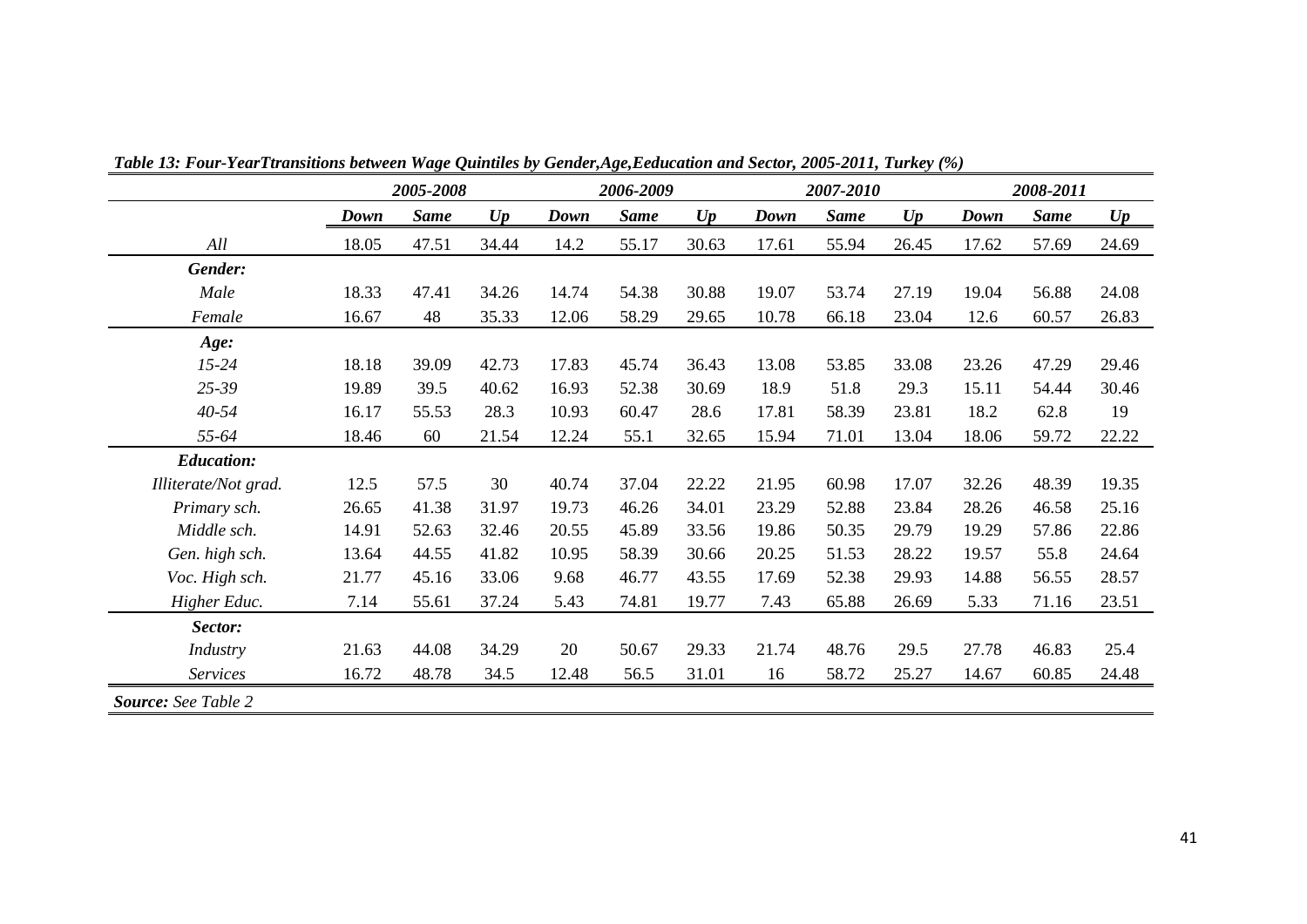<span id="page-42-0"></span>

|                            | 2005-2008 |             |       |       | 2006-2009   |       |       | 2007-2010   |       |       | 2008-2011   |       |  |
|----------------------------|-----------|-------------|-------|-------|-------------|-------|-------|-------------|-------|-------|-------------|-------|--|
|                            | Down      | <b>Same</b> | U p   | Down  | <b>Same</b> | U p   | Down  | <b>Same</b> | U p   | Down  | <b>Same</b> | U p   |  |
| All                        | 18.05     | 47.51       | 34.44 | 14.2  | 55.17       | 30.63 | 17.61 | 55.94       | 26.45 | 17.62 | 57.69       | 24.69 |  |
| Gender:                    |           |             |       |       |             |       |       |             |       |       |             |       |  |
| Male                       | 18.33     | 47.41       | 34.26 | 14.74 | 54.38       | 30.88 | 19.07 | 53.74       | 27.19 | 19.04 | 56.88       | 24.08 |  |
| Female                     | 16.67     | 48          | 35.33 | 12.06 | 58.29       | 29.65 | 10.78 | 66.18       | 23.04 | 12.6  | 60.57       | 26.83 |  |
| Age:                       |           |             |       |       |             |       |       |             |       |       |             |       |  |
| $15 - 24$                  | 18.18     | 39.09       | 42.73 | 17.83 | 45.74       | 36.43 | 13.08 | 53.85       | 33.08 | 23.26 | 47.29       | 29.46 |  |
| 25-39                      | 19.89     | 39.5        | 40.62 | 16.93 | 52.38       | 30.69 | 18.9  | 51.8        | 29.3  | 15.11 | 54.44       | 30.46 |  |
| $40 - 54$                  | 16.17     | 55.53       | 28.3  | 10.93 | 60.47       | 28.6  | 17.81 | 58.39       | 23.81 | 18.2  | 62.8        | 19    |  |
| 55-64                      | 18.46     | 60          | 21.54 | 12.24 | 55.1        | 32.65 | 15.94 | 71.01       | 13.04 | 18.06 | 59.72       | 22.22 |  |
| <b>Education:</b>          |           |             |       |       |             |       |       |             |       |       |             |       |  |
| Illiterate/Not grad.       | 12.5      | 57.5        | 30    | 40.74 | 37.04       | 22.22 | 21.95 | 60.98       | 17.07 | 32.26 | 48.39       | 19.35 |  |
| Primary sch.               | 26.65     | 41.38       | 31.97 | 19.73 | 46.26       | 34.01 | 23.29 | 52.88       | 23.84 | 28.26 | 46.58       | 25.16 |  |
| Middle sch.                | 14.91     | 52.63       | 32.46 | 20.55 | 45.89       | 33.56 | 19.86 | 50.35       | 29.79 | 19.29 | 57.86       | 22.86 |  |
| Gen. high sch.             | 13.64     | 44.55       | 41.82 | 10.95 | 58.39       | 30.66 | 20.25 | 51.53       | 28.22 | 19.57 | 55.8        | 24.64 |  |
| Voc. High sch.             | 21.77     | 45.16       | 33.06 | 9.68  | 46.77       | 43.55 | 17.69 | 52.38       | 29.93 | 14.88 | 56.55       | 28.57 |  |
| Higher Educ.               | 7.14      | 55.61       | 37.24 | 5.43  | 74.81       | 19.77 | 7.43  | 65.88       | 26.69 | 5.33  | 71.16       | 23.51 |  |
| Sector:                    |           |             |       |       |             |       |       |             |       |       |             |       |  |
| Industry                   | 21.63     | 44.08       | 34.29 | 20    | 50.67       | 29.33 | 21.74 | 48.76       | 29.5  | 27.78 | 46.83       | 25.4  |  |
| <b>Services</b>            | 16.72     | 48.78       | 34.5  | 12.48 | 56.5        | 31.01 | 16    | 58.72       | 25.27 | 14.67 | 60.85       | 24.48 |  |
| <b>Source:</b> See Table 2 |           |             |       |       |             |       |       |             |       |       |             |       |  |

*Table 13: Four-YearTtransitions between Wage Quintiles by Gender,Age,Eeducation and Sector, 2005-2011, Turkey (%)*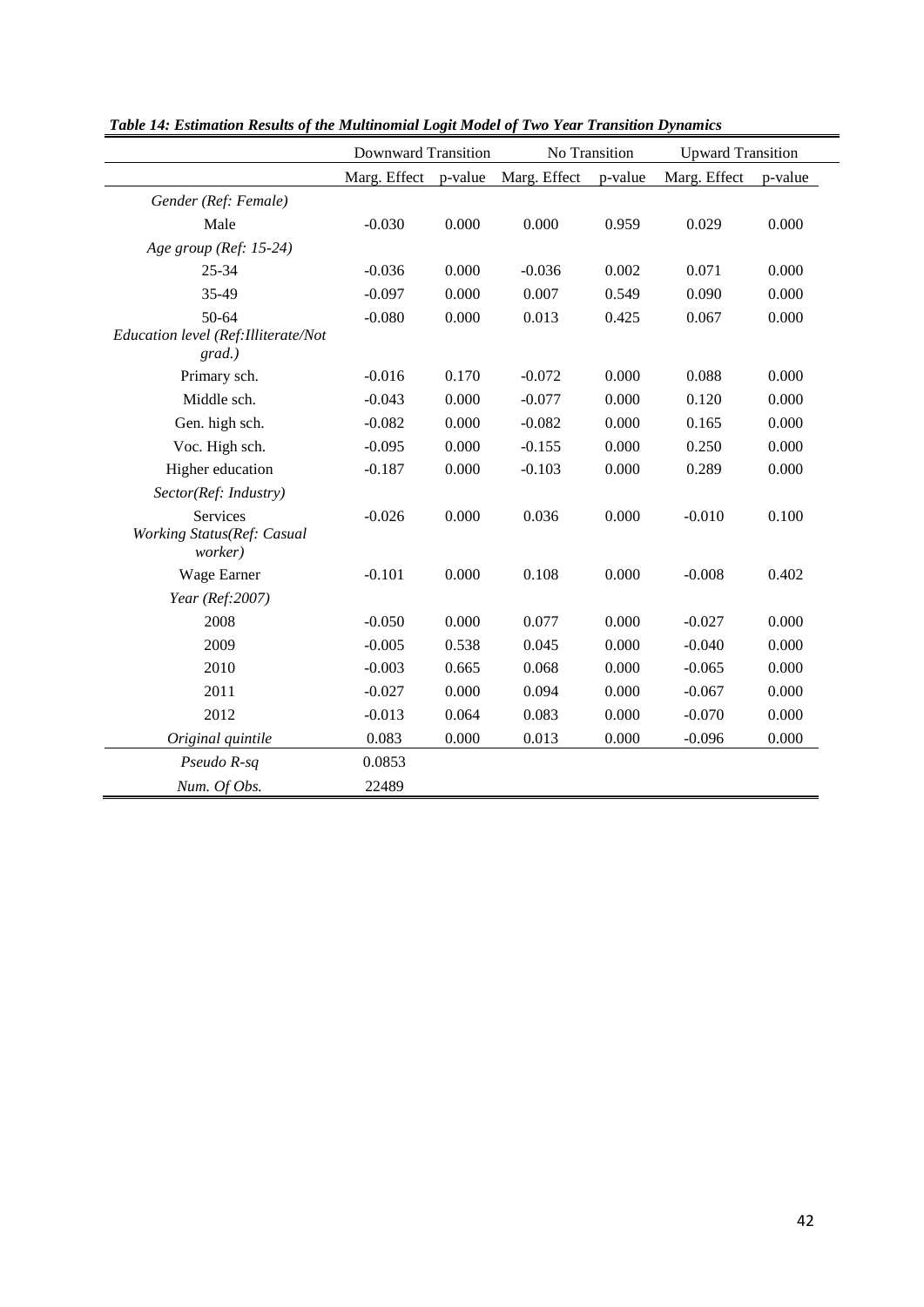|                                                   | <b>Downward Transition</b> |         |              | No Transition | <b>Upward Transition</b> |         |  |
|---------------------------------------------------|----------------------------|---------|--------------|---------------|--------------------------|---------|--|
|                                                   | Marg. Effect               | p-value | Marg. Effect | p-value       | Marg. Effect             | p-value |  |
| Gender (Ref: Female)                              |                            |         |              |               |                          |         |  |
| Male                                              | $-0.030$                   | 0.000   | 0.000        | 0.959         | 0.029                    | 0.000   |  |
| Age group (Ref: 15-24)                            |                            |         |              |               |                          |         |  |
| 25-34                                             | $-0.036$                   | 0.000   | $-0.036$     | 0.002         | 0.071                    | 0.000   |  |
| 35-49                                             | $-0.097$                   | 0.000   | 0.007        | 0.549         | 0.090                    | 0.000   |  |
| 50-64                                             | $-0.080$                   | 0.000   | 0.013        | 0.425         | 0.067                    | 0.000   |  |
| Education level (Ref: Illiterate/Not<br>$grad.$ ) |                            |         |              |               |                          |         |  |
| Primary sch.                                      | $-0.016$                   | 0.170   | $-0.072$     | 0.000         | 0.088                    | 0.000   |  |
| Middle sch.                                       | $-0.043$                   | 0.000   | $-0.077$     | 0.000         | 0.120                    | 0.000   |  |
| Gen. high sch.                                    | $-0.082$                   | 0.000   | $-0.082$     | 0.000         | 0.165                    | 0.000   |  |
| Voc. High sch.                                    | $-0.095$                   | 0.000   | $-0.155$     | 0.000         | 0.250                    | 0.000   |  |
| Higher education                                  | $-0.187$                   | 0.000   | $-0.103$     | 0.000         | 0.289                    | 0.000   |  |
| Sector(Ref: Industry)                             |                            |         |              |               |                          |         |  |
| Services<br>Working Status(Ref: Casual<br>worker) | $-0.026$                   | 0.000   | 0.036        | 0.000         | $-0.010$                 | 0.100   |  |
| Wage Earner                                       | $-0.101$                   | 0.000   | 0.108        | 0.000         | $-0.008$                 | 0.402   |  |
| Year (Ref:2007)                                   |                            |         |              |               |                          |         |  |
| 2008                                              | $-0.050$                   | 0.000   | 0.077        | 0.000         | $-0.027$                 | 0.000   |  |
| 2009                                              | $-0.005$                   | 0.538   | 0.045        | 0.000         | $-0.040$                 | 0.000   |  |
| 2010                                              | $-0.003$                   | 0.665   | 0.068        | 0.000         | $-0.065$                 | 0.000   |  |
| 2011                                              | $-0.027$                   | 0.000   | 0.094        | 0.000         | $-0.067$                 | 0.000   |  |
| 2012                                              | $-0.013$                   | 0.064   | 0.083        | 0.000         | $-0.070$                 | 0.000   |  |
| Original quintile                                 | 0.083                      | 0.000   | 0.013        | 0.000         | $-0.096$                 | 0.000   |  |
| Pseudo R-sq                                       | 0.0853                     |         |              |               |                          |         |  |
| Num. Of Obs.                                      | 22489                      |         |              |               |                          |         |  |

*Table 14: Estimation Results of the Multinomial Logit Model of Two Year Transition Dynamics*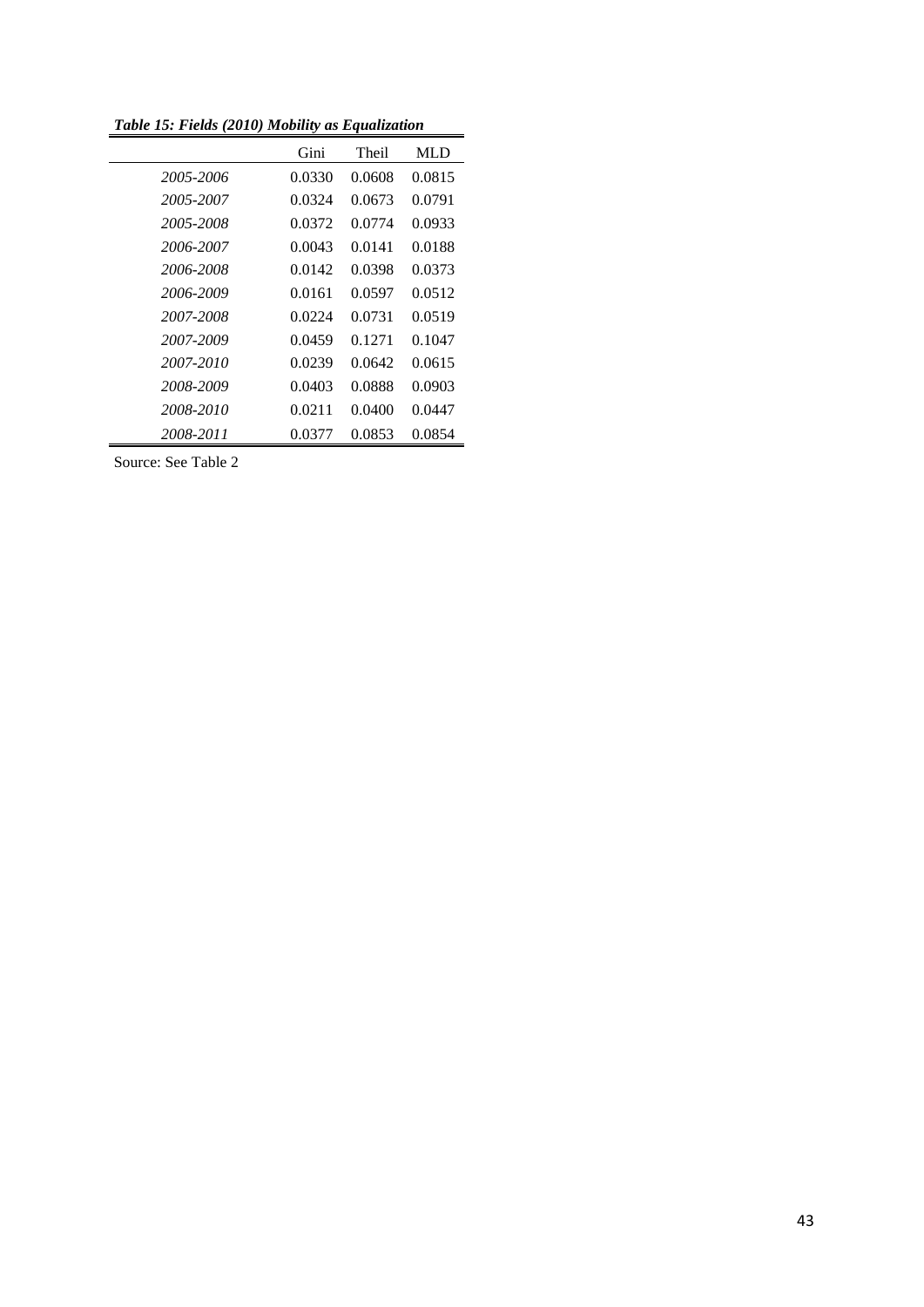*Table 15: Fields (2010) Mobility as Equalization*

|           | Gini   | Theil  | MLD    |
|-----------|--------|--------|--------|
| 2005-2006 | 0.0330 | 0.0608 | 0.0815 |
| 2005-2007 | 0.0324 | 0.0673 | 0.0791 |
| 2005-2008 | 0.0372 | 0.0774 | 0.0933 |
| 2006-2007 | 0.0043 | 0.0141 | 0.0188 |
| 2006-2008 | 0.0142 | 0.0398 | 0.0373 |
| 2006-2009 | 0.0161 | 0.0597 | 0.0512 |
| 2007-2008 | 0.0224 | 0.0731 | 0.0519 |
| 2007-2009 | 0.0459 | 0.1271 | 0.1047 |
| 2007-2010 | 0.0239 | 0.0642 | 0.0615 |
| 2008-2009 | 0.0403 | 0.0888 | 0.0903 |
| 2008-2010 | 0.0211 | 0.0400 | 0.0447 |
| 2008-2011 | 0.0377 | 0.0853 | 0.0854 |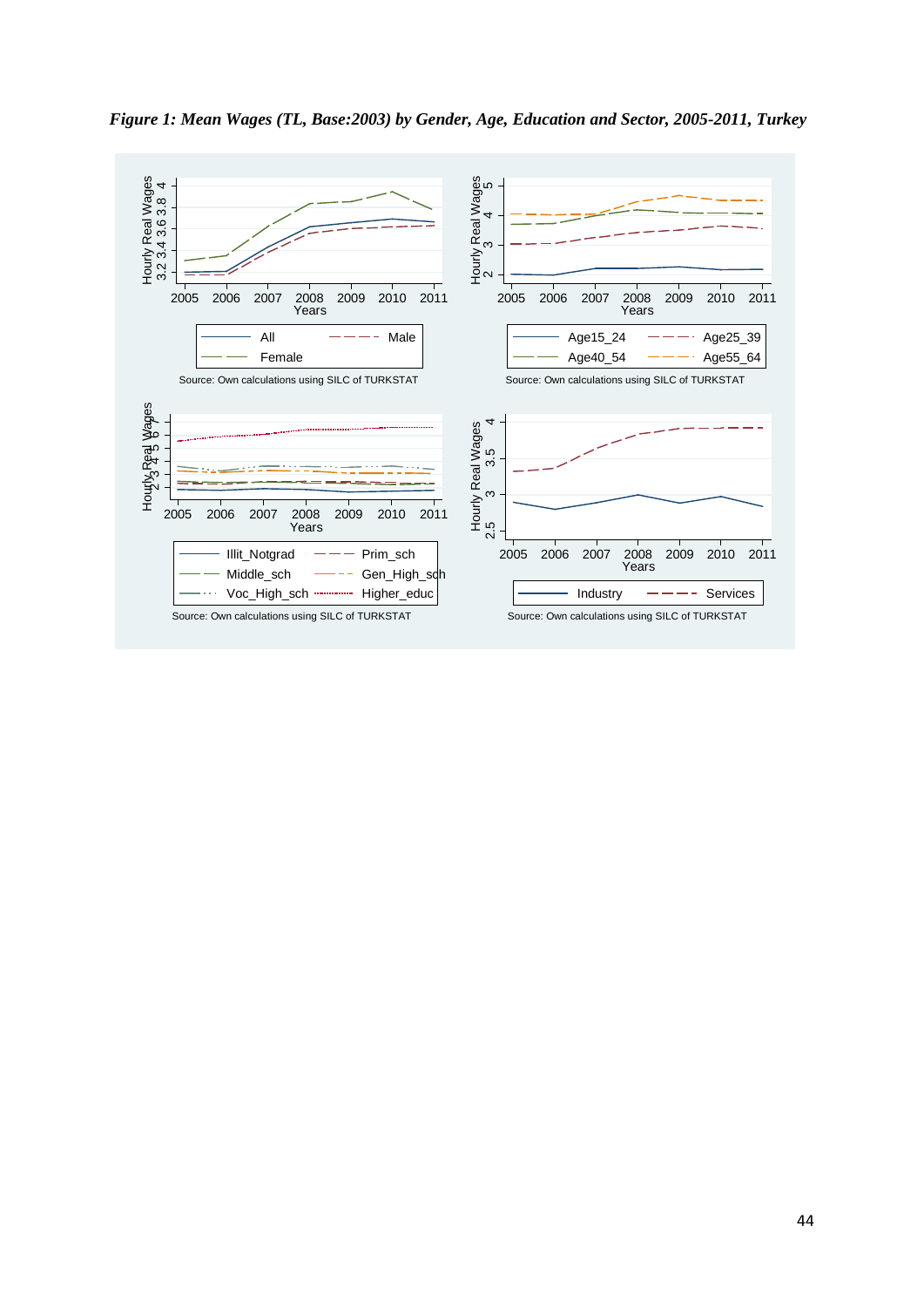

*Figure 1: Mean Wages (TL, Base:2003) by Gender, Age, Education and Sector, 2005-2011, Turkey*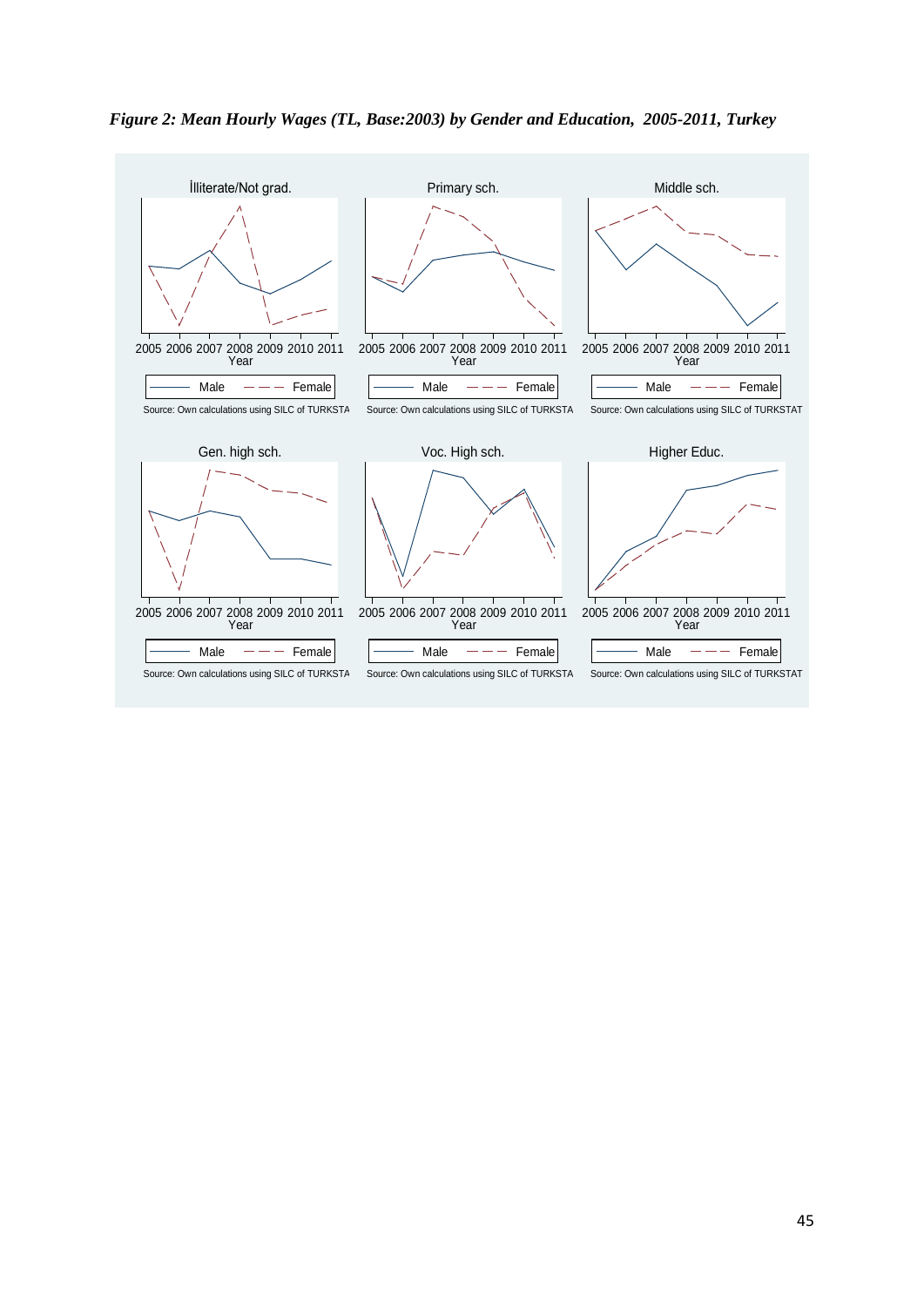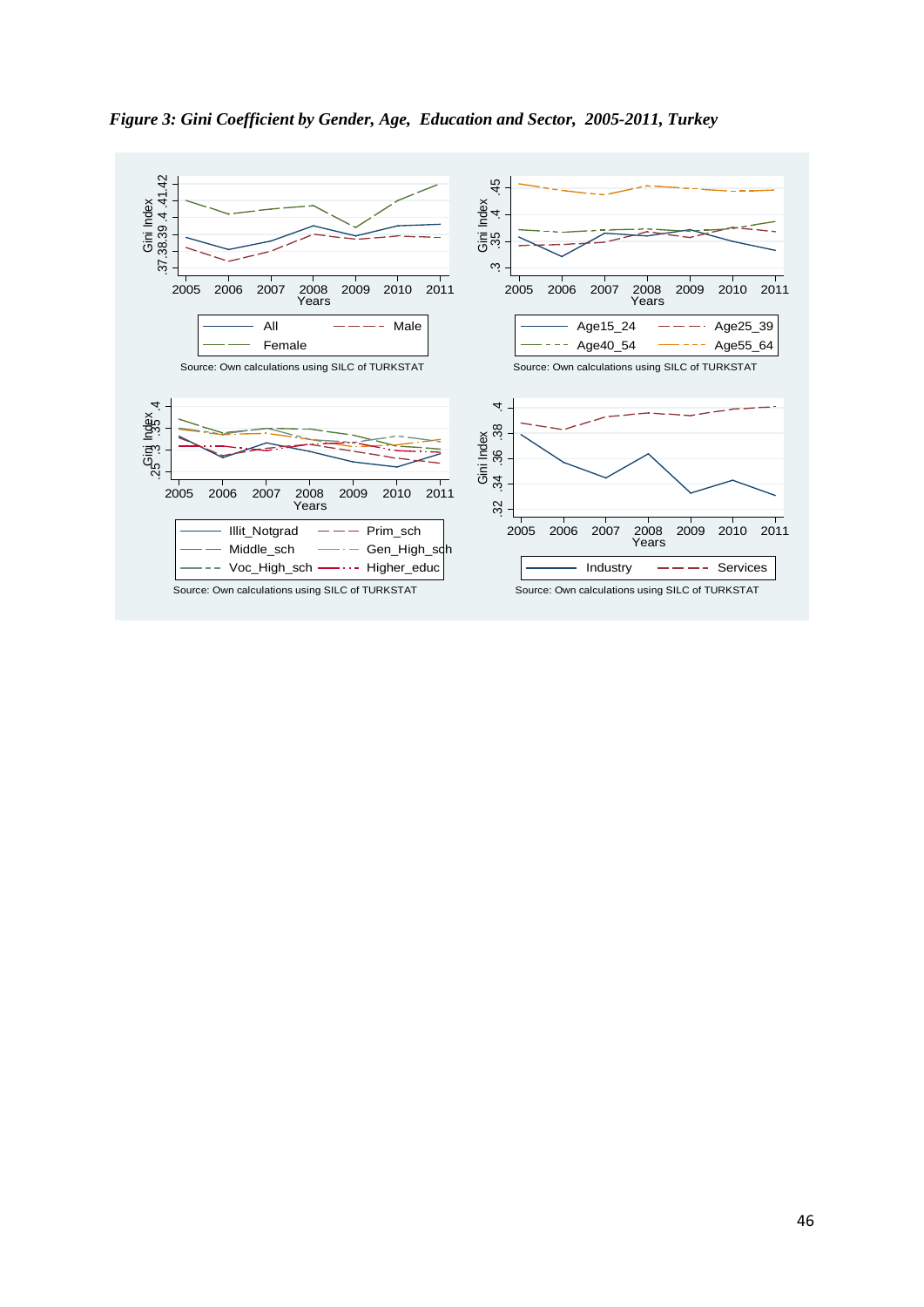

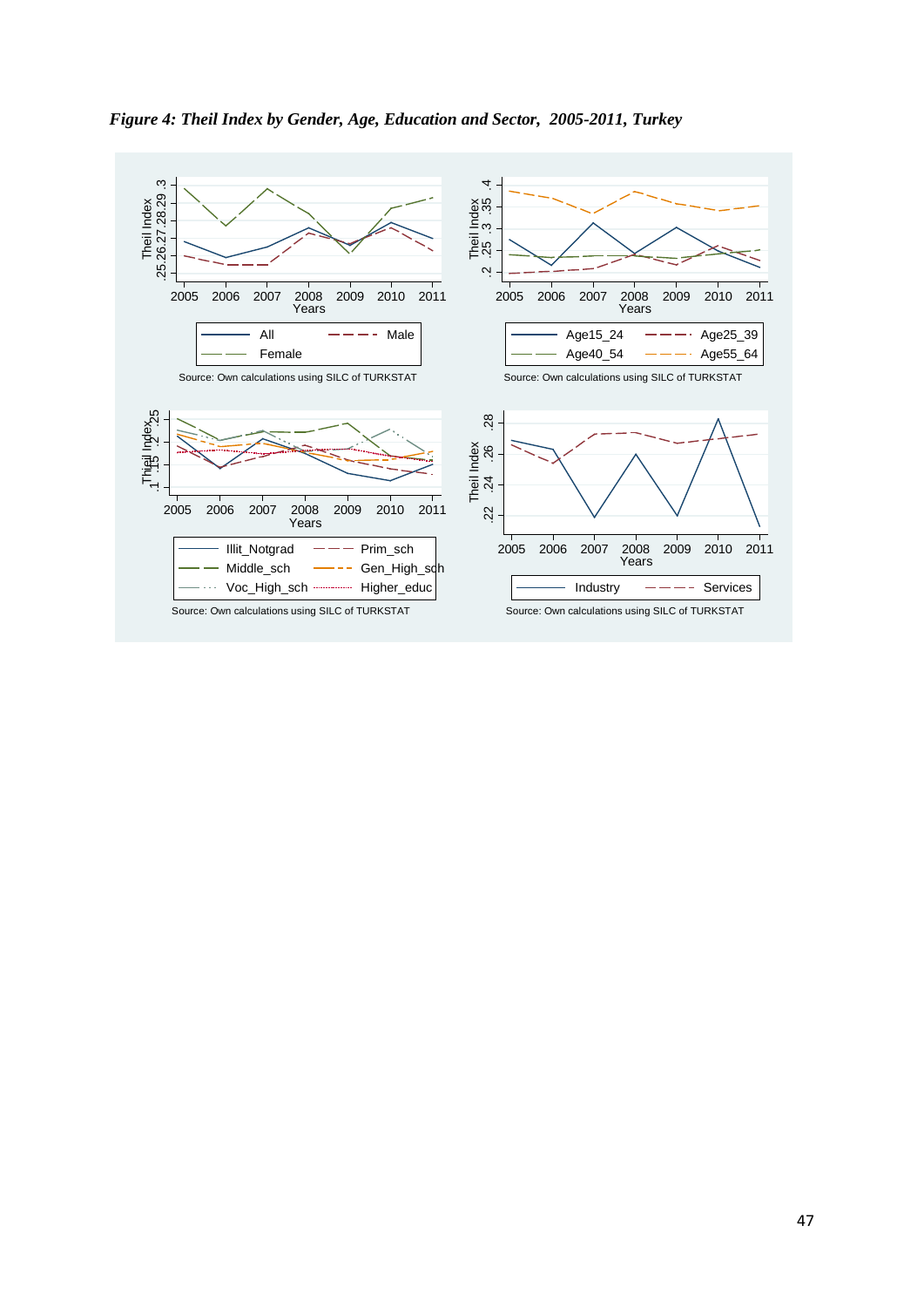

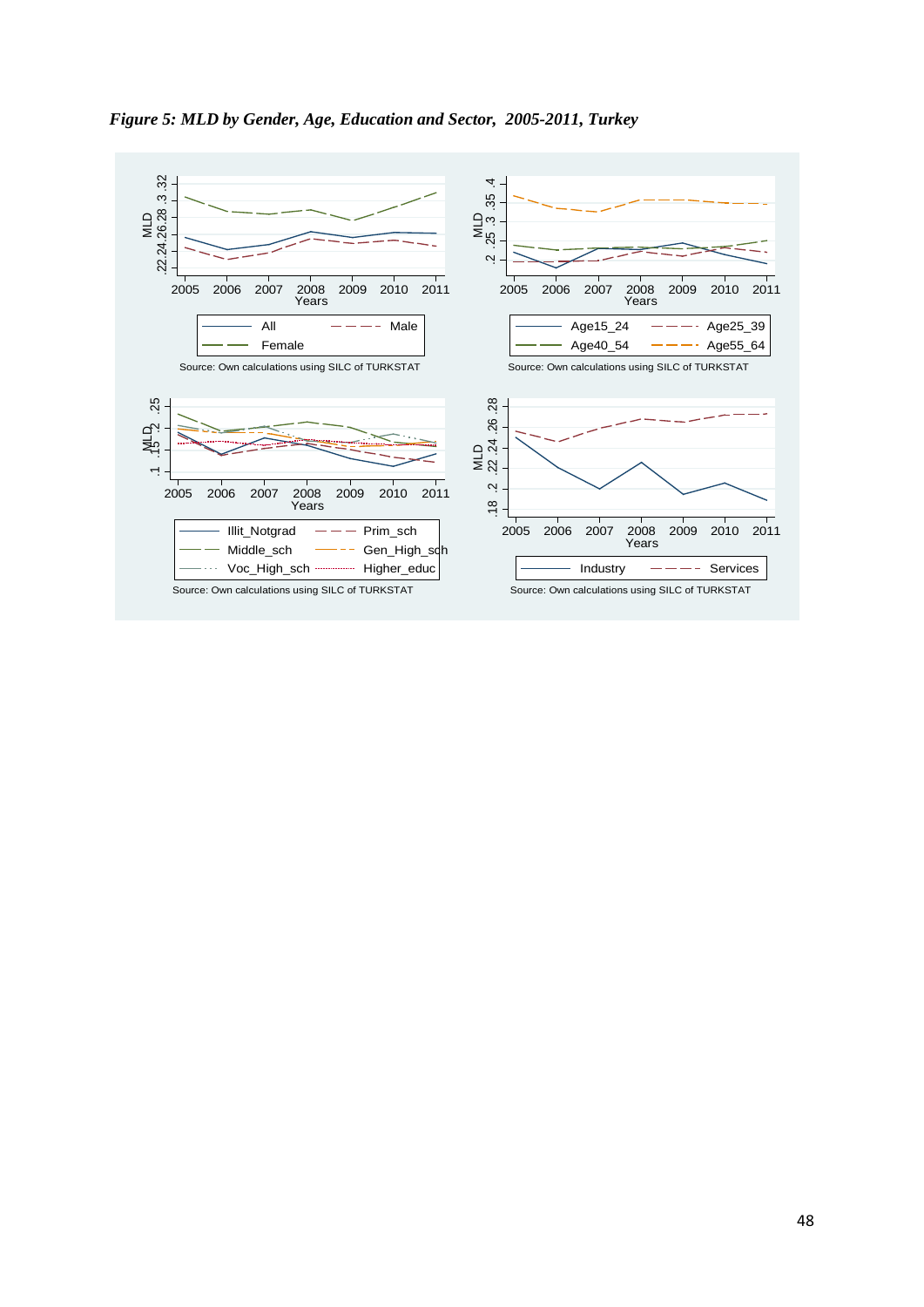

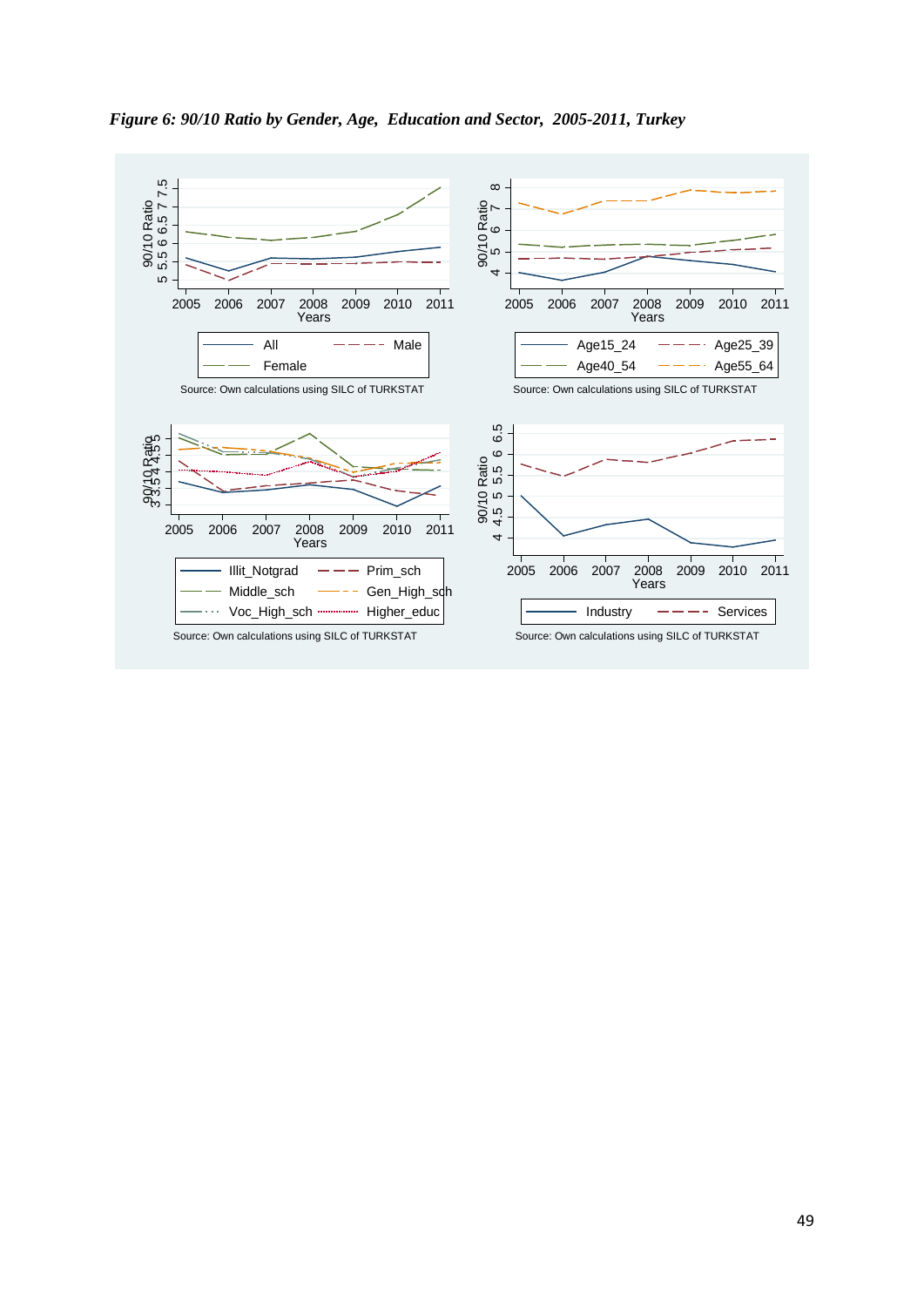

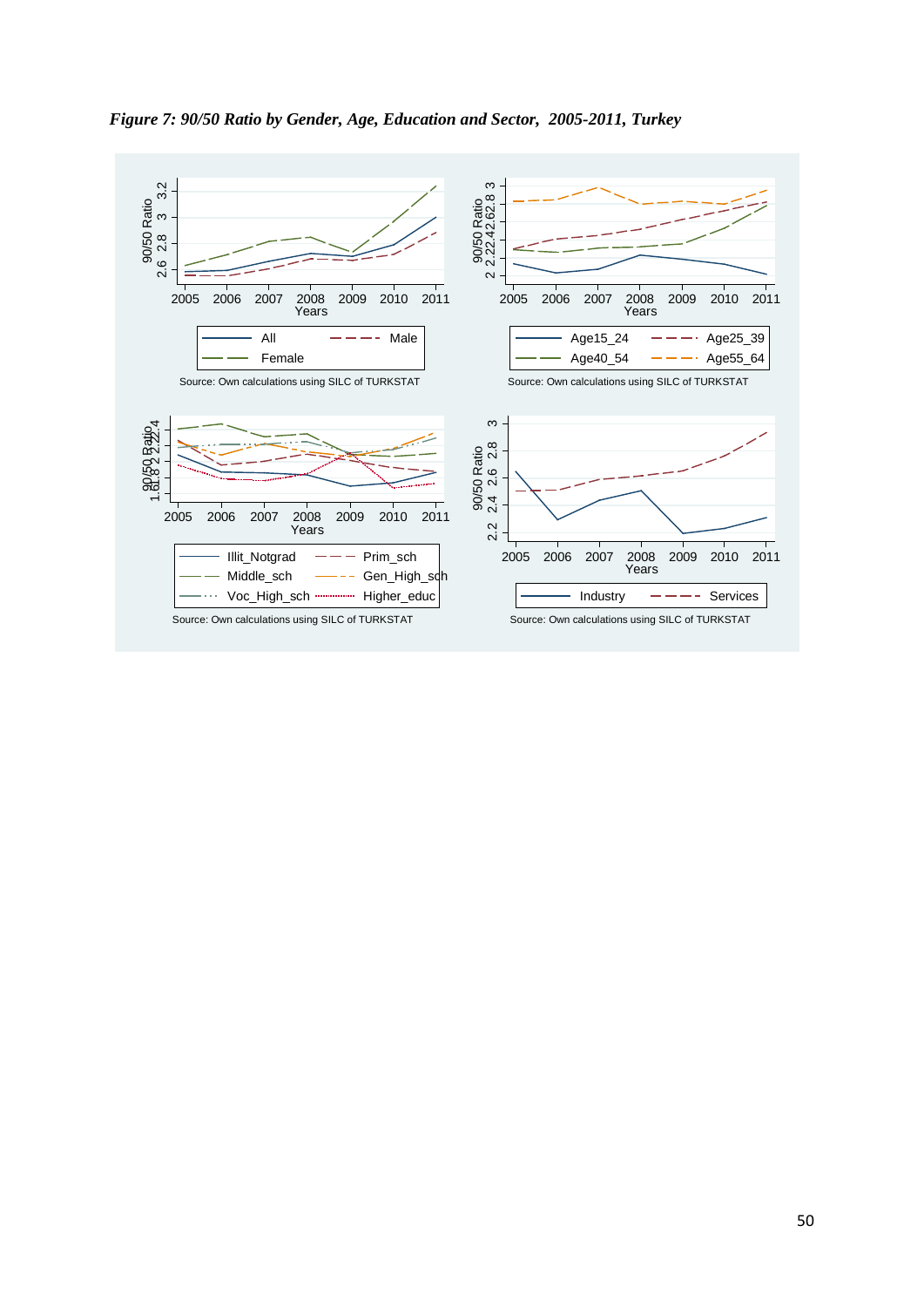

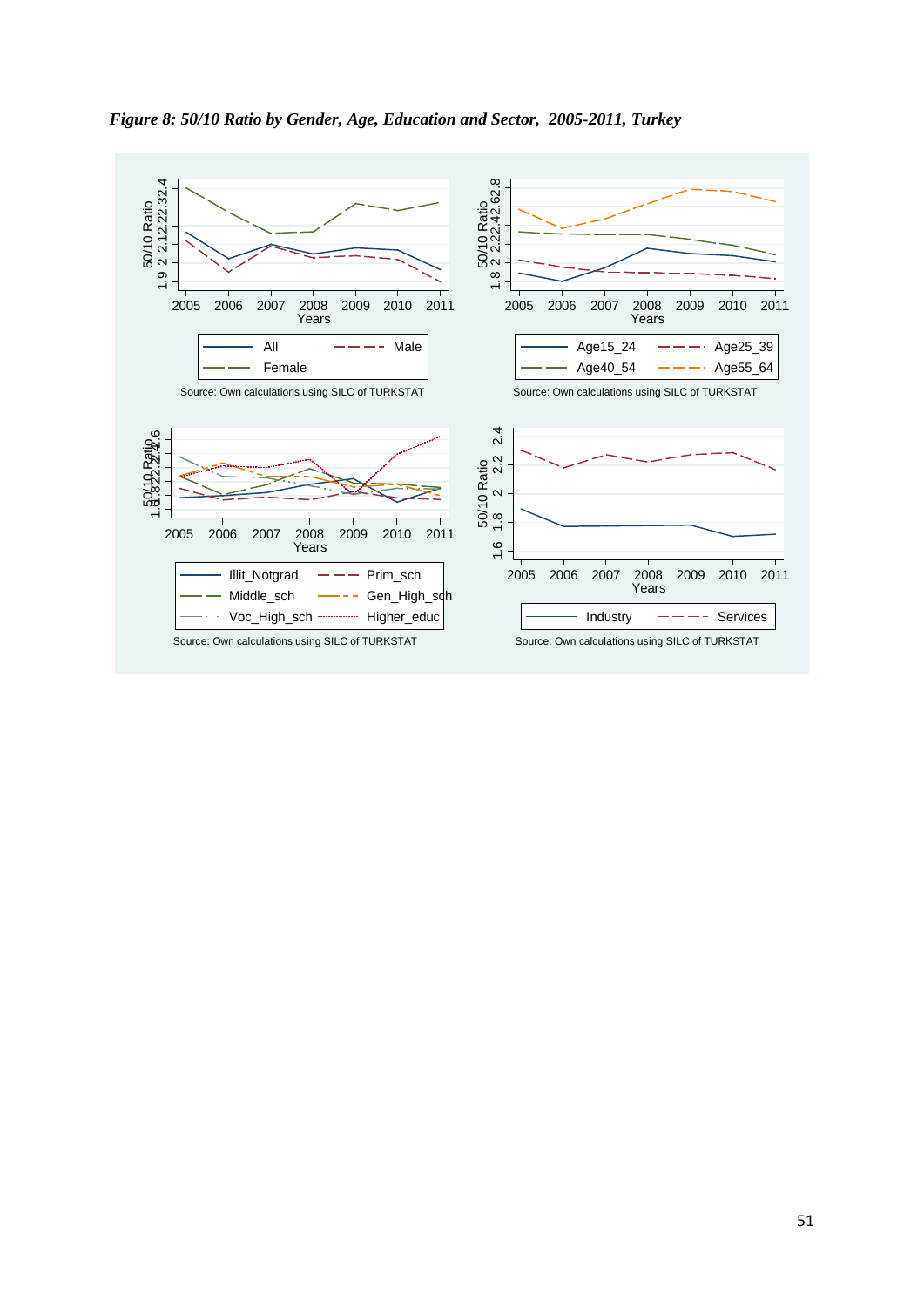

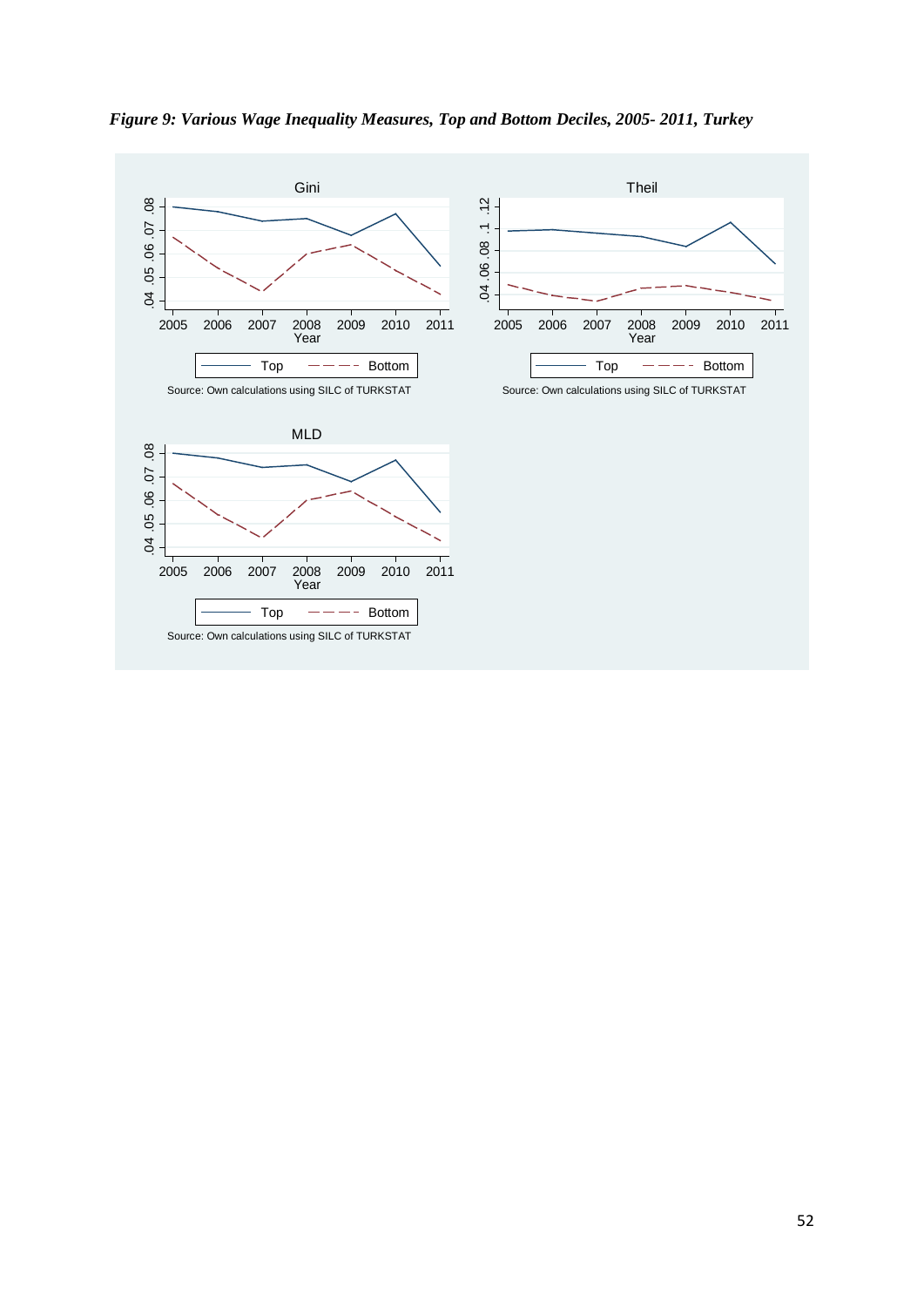*Figure 9: Various Wage Inequality Measures, Top and Bottom Deciles, 2005- 2011, Turkey*